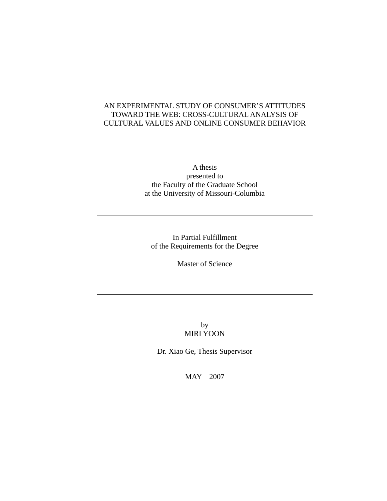### AN EXPERIMENTAL STUDY OF CONSUMER'S ATTITUDES TOWARD THE WEB: CROSS-CULTURAL ANALYSIS OF CULTURAL VALUES AND ONLINE CONSUMER BEHAVIOR

A thesis presented to the Faculty of the Graduate School at the University of Missouri-Columbia

In Partial Fulfillment of the Requirements for the Degree

Master of Science

by MIRI YOON

Dr. Xiao Ge, Thesis Supervisor

MAY 2007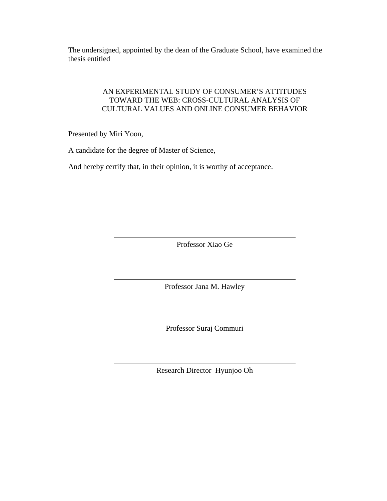The undersigned, appointed by the dean of the Graduate School, have examined the thesis entitled

### AN EXPERIMENTAL STUDY OF CONSUMER'S ATTITUDES TOWARD THE WEB: CROSS-CULTURAL ANALYSIS OF CULTURAL VALUES AND ONLINE CONSUMER BEHAVIOR

Presented by Miri Yoon,

A candidate for the degree of Master of Science,

And hereby certify that, in their opinion, it is worthy of acceptance.

Professor Xiao Ge

Professor Jana M. Hawley

Professor Suraj Commuri

Research Director Hyunjoo Oh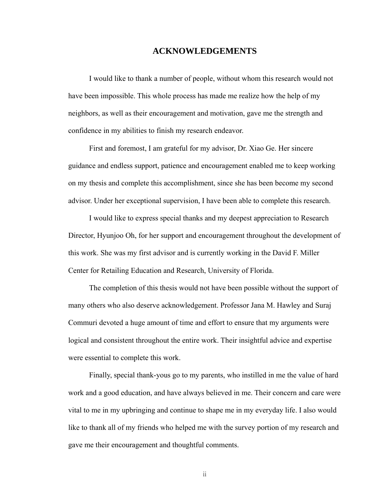#### **ACKNOWLEDGEMENTS**

I would like to thank a number of people, without whom this research would not have been impossible. This whole process has made me realize how the help of my neighbors, as well as their encouragement and motivation, gave me the strength and confidence in my abilities to finish my research endeavor.

First and foremost, I am grateful for my advisor, Dr. Xiao Ge. Her sincere guidance and endless support, patience and encouragement enabled me to keep working on my thesis and complete this accomplishment, since she has been become my second advisor. Under her exceptional supervision, I have been able to complete this research.

I would like to express special thanks and my deepest appreciation to Research Director, Hyunjoo Oh, for her support and encouragement throughout the development of this work. She was my first advisor and is currently working in the David F. Miller Center for Retailing Education and Research, University of Florida.

The completion of this thesis would not have been possible without the support of many others who also deserve acknowledgement. Professor Jana M. Hawley and Suraj Commuri devoted a huge amount of time and effort to ensure that my arguments were logical and consistent throughout the entire work. Their insightful advice and expertise were essential to complete this work.

Finally, special thank-yous go to my parents, who instilled in me the value of hard work and a good education, and have always believed in me. Their concern and care were vital to me in my upbringing and continue to shape me in my everyday life. I also would like to thank all of my friends who helped me with the survey portion of my research and gave me their encouragement and thoughtful comments.

ii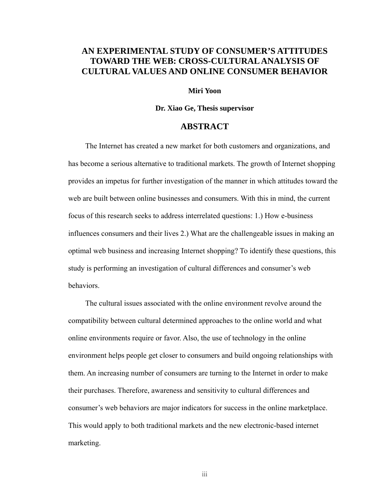# **AN EXPERIMENTAL STUDY OF CONSUMER'S ATTITUDES TOWARD THE WEB: CROSS-CULTURAL ANALYSIS OF CULTURAL VALUES AND ONLINE CONSUMER BEHAVIOR**

#### **Miri Yoon**

#### **Dr. Xiao Ge, Thesis supervisor**

### **ABSTRACT**

The Internet has created a new market for both customers and organizations, and has become a serious alternative to traditional markets. The growth of Internet shopping provides an impetus for further investigation of the manner in which attitudes toward the web are built between online businesses and consumers. With this in mind, the current focus of this research seeks to address interrelated questions: 1.) How e-business influences consumers and their lives 2.) What are the challengeable issues in making an optimal web business and increasing Internet shopping? To identify these questions, this study is performing an investigation of cultural differences and consumer's web behaviors.

The cultural issues associated with the online environment revolve around the compatibility between cultural determined approaches to the online world and what online environments require or favor. Also, the use of technology in the online environment helps people get closer to consumers and build ongoing relationships with them. An increasing number of consumers are turning to the Internet in order to make their purchases. Therefore, awareness and sensitivity to cultural differences and consumer's web behaviors are major indicators for success in the online marketplace. This would apply to both traditional markets and the new electronic-based internet marketing.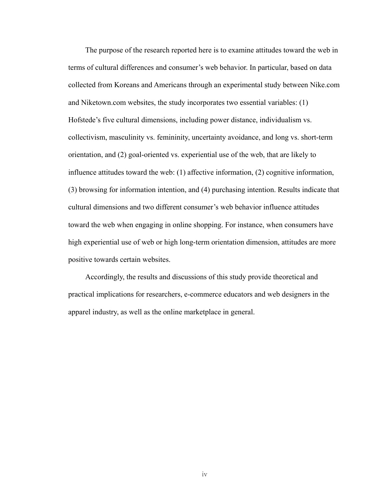The purpose of the research reported here is to examine attitudes toward the web in terms of cultural differences and consumer's web behavior. In particular, based on data collected from Koreans and Americans through an experimental study between Nike.com and Niketown.com websites, the study incorporates two essential variables: (1) Hofstede's five cultural dimensions, including power distance, individualism vs. collectivism, masculinity vs. femininity, uncertainty avoidance, and long vs. short-term orientation, and (2) goal-oriented vs. experiential use of the web, that are likely to influence attitudes toward the web: (1) affective information, (2) cognitive information, (3) browsing for information intention, and (4) purchasing intention. Results indicate that cultural dimensions and two different consumer's web behavior influence attitudes toward the web when engaging in online shopping. For instance, when consumers have high experiential use of web or high long-term orientation dimension, attitudes are more positive towards certain websites.

Accordingly, the results and discussions of this study provide theoretical and practical implications for researchers, e-commerce educators and web designers in the apparel industry, as well as the online marketplace in general.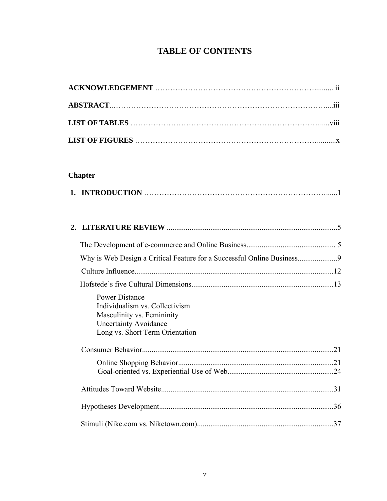# **TABLE OF CONTENTS**

# **Chapter**

| Why is Web Design a Critical Feature for a Successful Online Business9                                                                                   |  |
|----------------------------------------------------------------------------------------------------------------------------------------------------------|--|
|                                                                                                                                                          |  |
|                                                                                                                                                          |  |
| <b>Power Distance</b><br>Individualism vs. Collectivism<br>Masculinity vs. Femininity<br><b>Uncertainty Avoidance</b><br>Long vs. Short Term Orientation |  |
|                                                                                                                                                          |  |
|                                                                                                                                                          |  |
|                                                                                                                                                          |  |
|                                                                                                                                                          |  |
|                                                                                                                                                          |  |
|                                                                                                                                                          |  |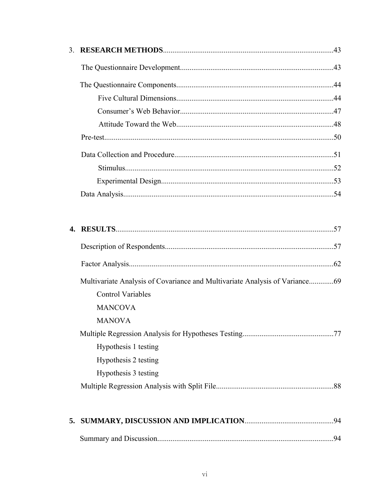|                          | .57 |
|--------------------------|-----|
|                          |     |
|                          |     |
|                          |     |
| <b>Control Variables</b> |     |
| <b>MANCOVA</b>           |     |
| <b>MANOVA</b>            |     |
|                          |     |
| Hypothesis 1 testing     |     |
| Hypothesis 2 testing     |     |
| Hypothesis 3 testing     |     |
|                          |     |
|                          |     |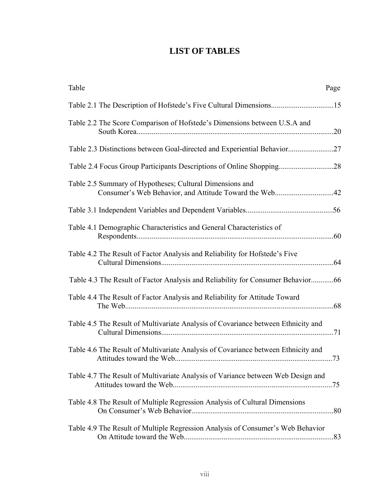# **LIST OF TABLES**

| Table                                                                                                              | Page |
|--------------------------------------------------------------------------------------------------------------------|------|
|                                                                                                                    |      |
| Table 2.2 The Score Comparison of Hofstede's Dimensions between U.S.A and                                          |      |
| Table 2.3 Distinctions between Goal-directed and Experiential Behavior27                                           |      |
|                                                                                                                    |      |
| Table 2.5 Summary of Hypotheses; Cultural Dimensions and<br>Consumer's Web Behavior, and Attitude Toward the Web42 |      |
|                                                                                                                    |      |
| Table 4.1 Demographic Characteristics and General Characteristics of                                               |      |
| Table 4.2 The Result of Factor Analysis and Reliability for Hofstede's Five                                        |      |
| Table 4.3 The Result of Factor Analysis and Reliability for Consumer Behavior66                                    |      |
| Table 4.4 The Result of Factor Analysis and Reliability for Attitude Toward                                        |      |
| Table 4.5 The Result of Multivariate Analysis of Covariance between Ethnicity and                                  |      |
| Table 4.6 The Result of Multivariate Analysis of Covariance between Ethnicity and                                  |      |
| Table 4.7 The Result of Multivariate Analysis of Variance between Web Design and                                   |      |
| Table 4.8 The Result of Multiple Regression Analysis of Cultural Dimensions                                        |      |
| Table 4.9 The Result of Multiple Regression Analysis of Consumer's Web Behavior                                    |      |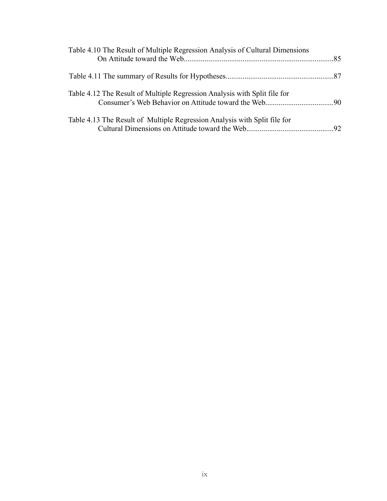| Table 4.10 The Result of Multiple Regression Analysis of Cultural Dimensions |  |
|------------------------------------------------------------------------------|--|
|                                                                              |  |
| Table 4.12 The Result of Multiple Regression Analysis with Split file for    |  |
| Table 4.13 The Result of Multiple Regression Analysis with Split file for    |  |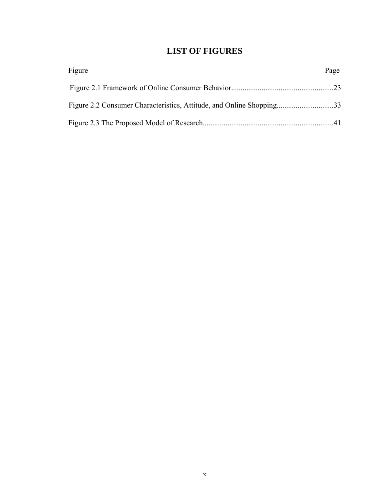# **LIST OF FIGURES**

| Figure | Page |
|--------|------|
|        |      |
|        |      |
|        |      |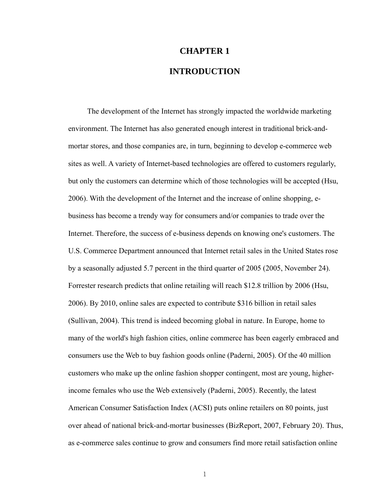# **CHAPTER 1 INTRODUCTION**

The development of the Internet has strongly impacted the worldwide marketing environment. The Internet has also generated enough interest in traditional brick-andmortar stores, and those companies are, in turn, beginning to develop e-commerce web sites as well. A variety of Internet-based technologies are offered to customers regularly, but only the customers can determine which of those technologies will be accepted (Hsu, 2006). With the development of the Internet and the increase of online shopping, ebusiness has become a trendy way for consumers and/or companies to trade over the Internet. Therefore, the success of e-business depends on knowing one's customers. The U.S. Commerce Department announced that Internet retail sales in the United States rose by a seasonally adjusted 5.7 percent in the third quarter of 2005 (2005, November 24). Forrester research predicts that online retailing will reach \$12.8 trillion by 2006 (Hsu, 2006). By 2010, online sales are expected to contribute \$316 billion in retail sales (Sullivan, 2004). This trend is indeed becoming global in nature. In Europe, home to many of the world's high fashion cities, online commerce has been eagerly embraced and consumers use the Web to buy fashion goods online (Paderni, 2005). Of the 40 million customers who make up the online fashion shopper contingent, most are young, higherincome females who use the Web extensively (Paderni, 2005). Recently, the latest American Consumer Satisfaction Index (ACSI) puts online retailers on 80 points, just over ahead of national brick-and-mortar businesses (BizReport, 2007, February 20). Thus, as e-commerce sales continue to grow and consumers find more retail satisfaction online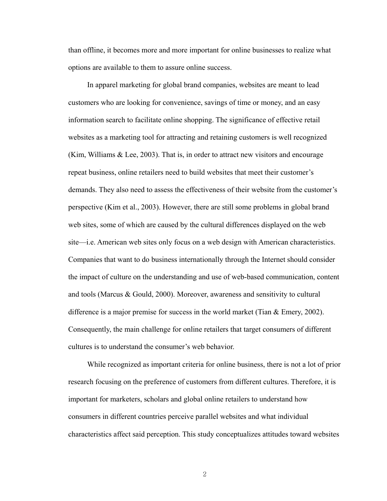than offline, it becomes more and more important for online businesses to realize what options are available to them to assure online success.

In apparel marketing for global brand companies, websites are meant to lead customers who are looking for convenience, savings of time or money, and an easy information search to facilitate online shopping. The significance of effective retail websites as a marketing tool for attracting and retaining customers is well recognized (Kim, Williams & Lee, 2003). That is, in order to attract new visitors and encourage repeat business, online retailers need to build websites that meet their customer's demands. They also need to assess the effectiveness of their website from the customer's perspective (Kim et al., 2003). However, there are still some problems in global brand web sites, some of which are caused by the cultural differences displayed on the web site—i.e. American web sites only focus on a web design with American characteristics. Companies that want to do business internationally through the Internet should consider the impact of culture on the understanding and use of web-based communication, content and tools (Marcus & Gould, 2000). Moreover, awareness and sensitivity to cultural difference is a major premise for success in the world market (Tian  $\&$  Emery, 2002). Consequently, the main challenge for online retailers that target consumers of different cultures is to understand the consumer's web behavior.

While recognized as important criteria for online business, there is not a lot of prior research focusing on the preference of customers from different cultures. Therefore, it is important for marketers, scholars and global online retailers to understand how consumers in different countries perceive parallel websites and what individual characteristics affect said perception. This study conceptualizes attitudes toward websites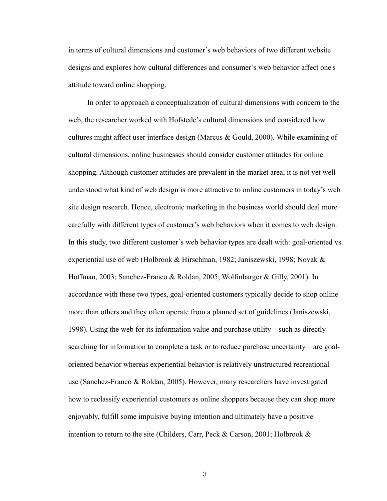in terms of cultural dimensions and customer's web behaviors of two different website designs and explores how cultural differences and consumer's web behavior affect one's attitude toward online shopping.

In order to approach a conceptualization of cultural dimensions with concern to the web, the researcher worked with Hofstede's cultural dimensions and considered how cultures might affect user interface design (Marcus & Gould, 2000). While examining of cultural dimensions, online businesses should consider customer attitudes for online shopping. Although customer attitudes are prevalent in the market area, it is not yet well understood what kind of web design is more attractive to online customers in today's web site design research. Hence, electronic marketing in the business world should deal more carefully with different types of customer's web behaviors when it comes to web design. In this study, two different customer's web behavior types are dealt with: goal-oriented vs. experiential use of web (Holbrook & Hirschman, 1982; Janiszewski, 1998; Novak & Hoffman, 2003; Sanchez-Franco & Roldan, 2005; Wolfinbarger & Gilly, 2001). In accordance with these two types, goal-oriented customers typically decide to shop online more than others and they often operate from a planned set of guidelines (Janiszewski, 1998). Using the web for its information value and purchase utility—such as directly searching for information to complete a task or to reduce purchase uncertainty—are goaloriented behavior whereas experiential behavior is relatively unstructured recreational use (Sanchez-Franco & Roldan, 2005). However, many researchers have investigated how to reclassify experiential customers as online shoppers because they can shop more enjoyably, fulfill some impulsive buying intention and ultimately have a positive intention to return to the site (Childers, Carr, Peck & Carson, 2001; Holbrook  $\&$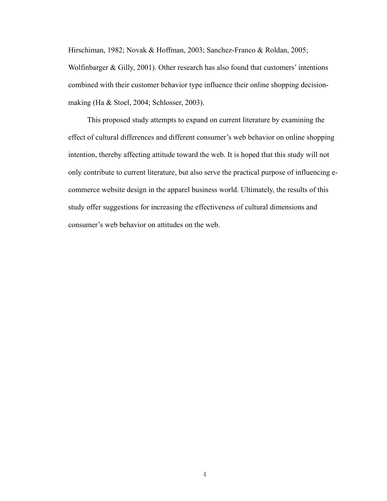Hirschiman, 1982; Novak & Hoffman, 2003; Sanchez-Franco & Roldan, 2005; Wolfinbarger & Gilly, 2001). Other research has also found that customers' intentions combined with their customer behavior type influence their online shopping decisionmaking (Ha & Stoel, 2004; Schlosser, 2003).

This proposed study attempts to expand on current literature by examining the effect of cultural differences and different consumer's web behavior on online shopping intention, thereby affecting attitude toward the web. It is hoped that this study will not only contribute to current literature, but also serve the practical purpose of influencing ecommerce website design in the apparel business world. Ultimately, the results of this study offer suggestions for increasing the effectiveness of cultural dimensions and consumer's web behavior on attitudes on the web.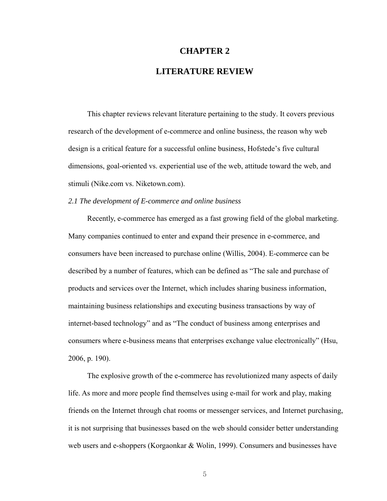#### **CHAPTER 2**

### **LITERATURE REVIEW**

This chapter reviews relevant literature pertaining to the study. It covers previous research of the development of e-commerce and online business, the reason why web design is a critical feature for a successful online business, Hofstede's five cultural dimensions, goal-oriented vs. experiential use of the web, attitude toward the web, and stimuli (Nike.com vs. Niketown.com).

#### *2.1 The development of E-commerce and online business*

Recently, e-commerce has emerged as a fast growing field of the global marketing. Many companies continued to enter and expand their presence in e-commerce, and consumers have been increased to purchase online (Willis, 2004). E-commerce can be described by a number of features, which can be defined as "The sale and purchase of products and services over the Internet, which includes sharing business information, maintaining business relationships and executing business transactions by way of internet-based technology" and as "The conduct of business among enterprises and consumers where e-business means that enterprises exchange value electronically" (Hsu, 2006, p. 190).

The explosive growth of the e-commerce has revolutionized many aspects of daily life. As more and more people find themselves using e-mail for work and play, making friends on the Internet through chat rooms or messenger services, and Internet purchasing, it is not surprising that businesses based on the web should consider better understanding web users and e-shoppers (Korgaonkar & Wolin, 1999). Consumers and businesses have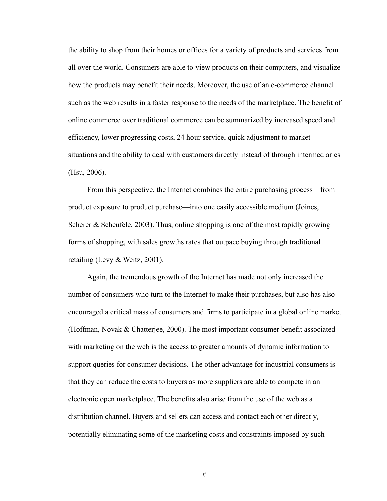the ability to shop from their homes or offices for a variety of products and services from all over the world. Consumers are able to view products on their computers, and visualize how the products may benefit their needs. Moreover, the use of an e-commerce channel such as the web results in a faster response to the needs of the marketplace. The benefit of online commerce over traditional commerce can be summarized by increased speed and efficiency, lower progressing costs, 24 hour service, quick adjustment to market situations and the ability to deal with customers directly instead of through intermediaries (Hsu, 2006).

From this perspective, the Internet combines the entire purchasing process—from product exposure to product purchase—into one easily accessible medium (Joines, Scherer & Scheufele, 2003). Thus, online shopping is one of the most rapidly growing forms of shopping, with sales growths rates that outpace buying through traditional retailing (Levy & Weitz, 2001).

Again, the tremendous growth of the Internet has made not only increased the number of consumers who turn to the Internet to make their purchases, but also has also encouraged a critical mass of consumers and firms to participate in a global online market (Hoffman, Novak & Chatterjee, 2000). The most important consumer benefit associated with marketing on the web is the access to greater amounts of dynamic information to support queries for consumer decisions. The other advantage for industrial consumers is that they can reduce the costs to buyers as more suppliers are able to compete in an electronic open marketplace. The benefits also arise from the use of the web as a distribution channel. Buyers and sellers can access and contact each other directly, potentially eliminating some of the marketing costs and constraints imposed by such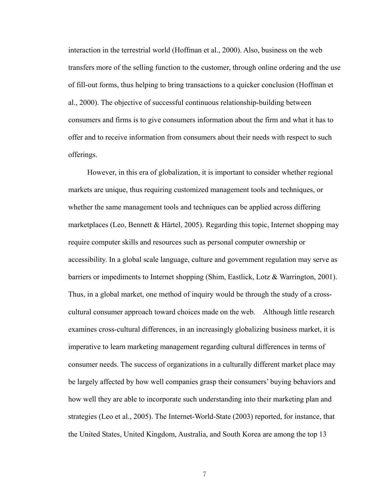interaction in the terrestrial world (Hoffman et al., 2000). Also, business on the web transfers more of the selling function to the customer, through online ordering and the use of fill-out forms, thus helping to bring transactions to a quicker conclusion (Hoffman et al., 2000). The objective of successful continuous relationship-building between consumers and firms is to give consumers information about the firm and what it has to offer and to receive information from consumers about their needs with respect to such offerings.

However, in this era of globalization, it is important to consider whether regional markets are unique, thus requiring customized management tools and techniques, or whether the same management tools and techniques can be applied across differing marketplaces (Leo, Bennett & Härtel, 2005). Regarding this topic, Internet shopping may require computer skills and resources such as personal computer ownership or accessibility. In a global scale language, culture and government regulation may serve as barriers or impediments to Internet shopping (Shim, Eastlick, Lotz & Warrington, 2001). Thus, in a global market, one method of inquiry would be through the study of a crosscultural consumer approach toward choices made on the web. Although little research examines cross-cultural differences, in an increasingly globalizing business market, it is imperative to learn marketing management regarding cultural differences in terms of consumer needs. The success of organizations in a culturally different market place may be largely affected by how well companies grasp their consumers' buying behaviors and how well they are able to incorporate such understanding into their marketing plan and strategies (Leo et al., 2005). The Internet-World-State (2003) reported, for instance, that the United States, United Kingdom, Australia, and South Korea are among the top 13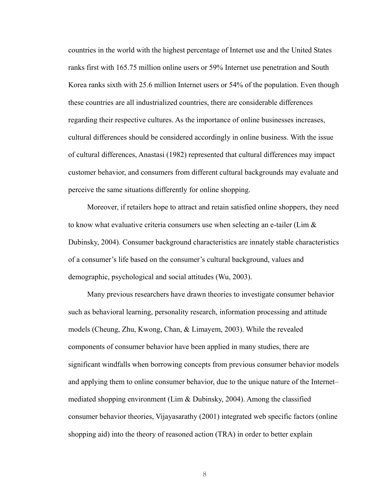countries in the world with the highest percentage of Internet use and the United States ranks first with 165.75 million online users or 59% Internet use penetration and South Korea ranks sixth with 25.6 million Internet users or 54% of the population. Even though these countries are all industrialized countries, there are considerable differences regarding their respective cultures. As the importance of online businesses increases, cultural differences should be considered accordingly in online business. With the issue of cultural differences, Anastasi (1982) represented that cultural differences may impact customer behavior, and consumers from different cultural backgrounds may evaluate and perceive the same situations differently for online shopping.

Moreover, if retailers hope to attract and retain satisfied online shoppers, they need to know what evaluative criteria consumers use when selecting an e-tailer (Lim  $\&$ Dubinsky, 2004). Consumer background characteristics are innately stable characteristics of a consumer's life based on the consumer's cultural background, values and demographic, psychological and social attitudes (Wu, 2003).

Many previous researchers have drawn theories to investigate consumer behavior such as behavioral learning, personality research, information processing and attitude models (Cheung, Zhu, Kwong, Chan, & Limayem, 2003). While the revealed components of consumer behavior have been applied in many studies, there are significant windfalls when borrowing concepts from previous consumer behavior models and applying them to online consumer behavior, due to the unique nature of the Internet– mediated shopping environment (Lim  $\&$  Dubinsky, 2004). Among the classified consumer behavior theories, Vijayasarathy (2001) integrated web specific factors (online shopping aid) into the theory of reasoned action (TRA) in order to better explain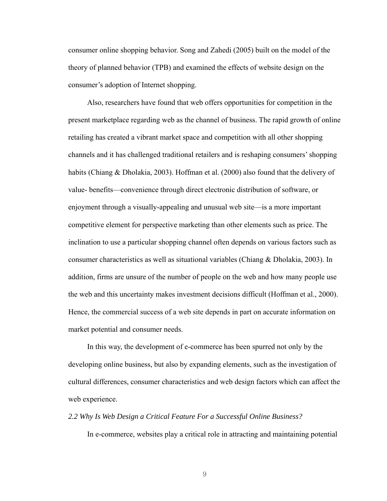consumer online shopping behavior. Song and Zahedi (2005) built on the model of the theory of planned behavior (TPB) and examined the effects of website design on the consumer's adoption of Internet shopping.

Also, researchers have found that web offers opportunities for competition in the present marketplace regarding web as the channel of business. The rapid growth of online retailing has created a vibrant market space and competition with all other shopping channels and it has challenged traditional retailers and is reshaping consumers' shopping habits (Chiang & Dholakia, 2003). Hoffman et al. (2000) also found that the delivery of value- benefits—convenience through direct electronic distribution of software, or enjoyment through a visually-appealing and unusual web site—is a more important competitive element for perspective marketing than other elements such as price. The inclination to use a particular shopping channel often depends on various factors such as consumer characteristics as well as situational variables (Chiang & Dholakia, 2003). In addition, firms are unsure of the number of people on the web and how many people use the web and this uncertainty makes investment decisions difficult (Hoffman et al., 2000). Hence, the commercial success of a web site depends in part on accurate information on market potential and consumer needs.

In this way, the development of e-commerce has been spurred not only by the developing online business, but also by expanding elements, such as the investigation of cultural differences, consumer characteristics and web design factors which can affect the web experience.

#### *2.2 Why Is Web Design a Critical Feature For a Successful Online Business?*

In e-commerce, websites play a critical role in attracting and maintaining potential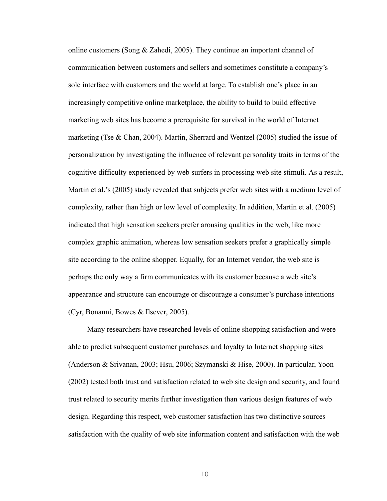online customers (Song & Zahedi, 2005). They continue an important channel of communication between customers and sellers and sometimes constitute a company's sole interface with customers and the world at large. To establish one's place in an increasingly competitive online marketplace, the ability to build to build effective marketing web sites has become a prerequisite for survival in the world of Internet marketing (Tse  $\&$  Chan, 2004). Martin, Sherrard and Wentzel (2005) studied the issue of personalization by investigating the influence of relevant personality traits in terms of the cognitive difficulty experienced by web surfers in processing web site stimuli. As a result, Martin et al.'s (2005) study revealed that subjects prefer web sites with a medium level of complexity, rather than high or low level of complexity. In addition, Martin et al. (2005) indicated that high sensation seekers prefer arousing qualities in the web, like more complex graphic animation, whereas low sensation seekers prefer a graphically simple site according to the online shopper. Equally, for an Internet vendor, the web site is perhaps the only way a firm communicates with its customer because a web site's appearance and structure can encourage or discourage a consumer's purchase intentions (Cyr, Bonanni, Bowes & Ilsever, 2005).

Many researchers have researched levels of online shopping satisfaction and were able to predict subsequent customer purchases and loyalty to Internet shopping sites (Anderson & Srivanan, 2003; Hsu, 2006; Szymanski & Hise, 2000). In particular, Yoon (2002) tested both trust and satisfaction related to web site design and security, and found trust related to security merits further investigation than various design features of web design. Regarding this respect, web customer satisfaction has two distinctive sources satisfaction with the quality of web site information content and satisfaction with the web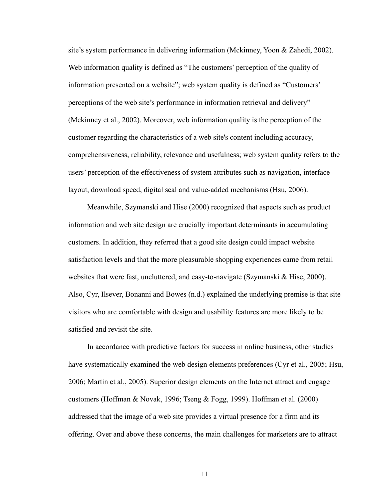site's system performance in delivering information (Mckinney, Yoon & Zahedi, 2002). Web information quality is defined as "The customers' perception of the quality of information presented on a website"; web system quality is defined as "Customers' perceptions of the web site's performance in information retrieval and delivery" (Mckinney et al., 2002). Moreover, web information quality is the perception of the customer regarding the characteristics of a web site's content including accuracy, comprehensiveness, reliability, relevance and usefulness; web system quality refers to the users' perception of the effectiveness of system attributes such as navigation, interface layout, download speed, digital seal and value-added mechanisms (Hsu, 2006).

Meanwhile, Szymanski and Hise (2000) recognized that aspects such as product information and web site design are crucially important determinants in accumulating customers. In addition, they referred that a good site design could impact website satisfaction levels and that the more pleasurable shopping experiences came from retail websites that were fast, uncluttered, and easy-to-navigate (Szymanski & Hise, 2000). Also, Cyr, Ilsever, Bonanni and Bowes (n.d.) explained the underlying premise is that site visitors who are comfortable with design and usability features are more likely to be satisfied and revisit the site.

In accordance with predictive factors for success in online business, other studies have systematically examined the web design elements preferences (Cyr et al., 2005; Hsu, 2006; Martin et al., 2005). Superior design elements on the Internet attract and engage customers (Hoffman & Novak, 1996; Tseng & Fogg, 1999). Hoffman et al. (2000) addressed that the image of a web site provides a virtual presence for a firm and its offering. Over and above these concerns, the main challenges for marketers are to attract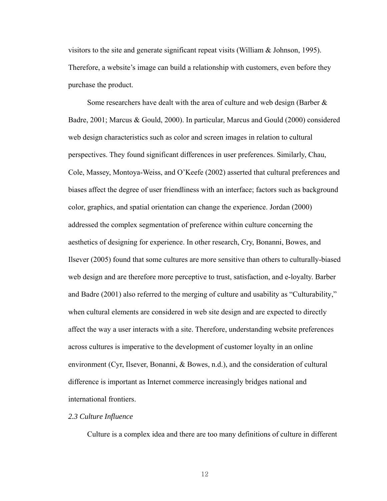visitors to the site and generate significant repeat visits (William & Johnson, 1995). Therefore, a website's image can build a relationship with customers, even before they purchase the product.

Some researchers have dealt with the area of culture and web design (Barber  $\&$ Badre, 2001; Marcus & Gould, 2000). In particular, Marcus and Gould (2000) considered web design characteristics such as color and screen images in relation to cultural perspectives. They found significant differences in user preferences. Similarly, Chau, Cole, Massey, Montoya-Weiss, and O'Keefe (2002) asserted that cultural preferences and biases affect the degree of user friendliness with an interface; factors such as background color, graphics, and spatial orientation can change the experience. Jordan (2000) addressed the complex segmentation of preference within culture concerning the aesthetics of designing for experience. In other research, Cry, Bonanni, Bowes, and Ilsever (2005) found that some cultures are more sensitive than others to culturally-biased web design and are therefore more perceptive to trust, satisfaction, and e-loyalty. Barber and Badre (2001) also referred to the merging of culture and usability as "Culturability," when cultural elements are considered in web site design and are expected to directly affect the way a user interacts with a site. Therefore, understanding website preferences across cultures is imperative to the development of customer loyalty in an online environment (Cyr, Ilsever, Bonanni, & Bowes, n.d.), and the consideration of cultural difference is important as Internet commerce increasingly bridges national and international frontiers.

#### *2.3 Culture Influence*

Culture is a complex idea and there are too many definitions of culture in different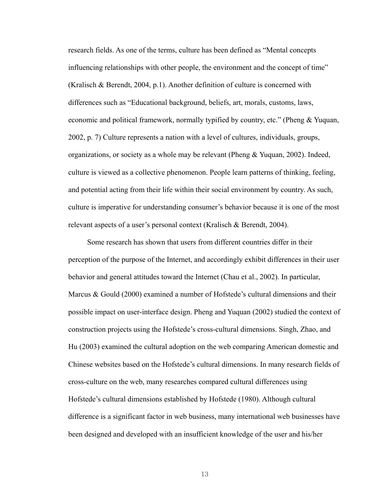research fields. As one of the terms, culture has been defined as "Mental concepts influencing relationships with other people, the environment and the concept of time" (Kralisch & Berendt, 2004, p.1). Another definition of culture is concerned with differences such as "Educational background, beliefs, art, morals, customs, laws, economic and political framework, normally typified by country, etc." (Pheng & Yuquan, 2002, p. 7) Culture represents a nation with a level of cultures, individuals, groups, organizations, or society as a whole may be relevant (Pheng & Yuquan, 2002). Indeed, culture is viewed as a collective phenomenon. People learn patterns of thinking, feeling, and potential acting from their life within their social environment by country. As such, culture is imperative for understanding consumer's behavior because it is one of the most relevant aspects of a user's personal context (Kralisch & Berendt, 2004).

Some research has shown that users from different countries differ in their perception of the purpose of the Internet, and accordingly exhibit differences in their user behavior and general attitudes toward the Internet (Chau et al., 2002). In particular, Marcus  $\&$  Gould (2000) examined a number of Hofstede's cultural dimensions and their possible impact on user-interface design. Pheng and Yuquan (2002) studied the context of construction projects using the Hofstede's cross-cultural dimensions. Singh, Zhao, and Hu (2003) examined the cultural adoption on the web comparing American domestic and Chinese websites based on the Hofstede's cultural dimensions. In many research fields of cross-culture on the web, many researches compared cultural differences using Hofstede's cultural dimensions established by Hofstede (1980). Although cultural difference is a significant factor in web business, many international web businesses have been designed and developed with an insufficient knowledge of the user and his/her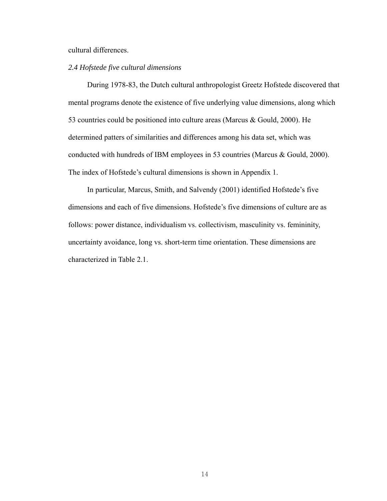#### cultural differences.

#### *2.4 Hofstede five cultural dimensions*

During 1978-83, the Dutch cultural anthropologist Greetz Hofstede discovered that mental programs denote the existence of five underlying value dimensions, along which 53 countries could be positioned into culture areas (Marcus & Gould, 2000). He determined patters of similarities and differences among his data set, which was conducted with hundreds of IBM employees in 53 countries (Marcus & Gould, 2000). The index of Hofstede's cultural dimensions is shown in Appendix 1.

In particular, Marcus, Smith, and Salvendy (2001) identified Hofstede's five dimensions and each of five dimensions. Hofstede's five dimensions of culture are as follows: power distance, individualism vs. collectivism, masculinity vs. femininity, uncertainty avoidance, long vs. short-term time orientation. These dimensions are characterized in Table 2.1.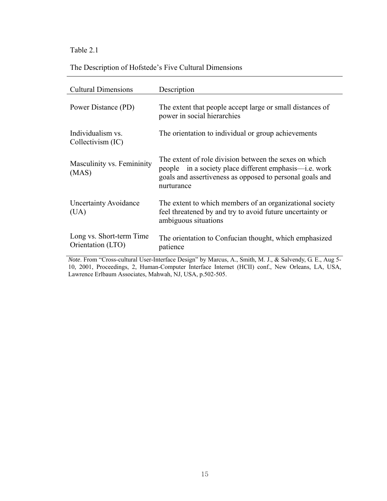# Table 2.1

## The Description of Hofstede's Five Cultural Dimensions

| <b>Cultural Dimensions</b>                                                                               | Description                                                                                                                                                                                |  |  |  |  |  |
|----------------------------------------------------------------------------------------------------------|--------------------------------------------------------------------------------------------------------------------------------------------------------------------------------------------|--|--|--|--|--|
| Power Distance (PD)                                                                                      | The extent that people accept large or small distances of<br>power in social hierarchies                                                                                                   |  |  |  |  |  |
| Individualism vs.<br>Collectivism (IC)                                                                   | The orientation to individual or group achievements                                                                                                                                        |  |  |  |  |  |
| Masculinity vs. Femininity<br>(MAS)                                                                      | The extent of role division between the sexes on which<br>people in a society place different emphasis—i.e. work<br>goals and assertiveness as opposed to personal goals and<br>nurturance |  |  |  |  |  |
| <b>Uncertainty Avoidance</b><br>(UA)                                                                     | The extent to which members of an organizational society<br>feel threatened by and try to avoid future uncertainty or<br>ambiguous situations                                              |  |  |  |  |  |
| Long vs. Short-term Time<br>Orientation (LTO)                                                            | The orientation to Confucian thought, which emphasized<br>patience                                                                                                                         |  |  |  |  |  |
| <i>Note</i> From "Cross-cultural User-Interface Design" by Marcus A, Smith M, J. & Salvendy G, F. Aug 5- |                                                                                                                                                                                            |  |  |  |  |  |

*Note*. From "Cross-cultural User-Interface Design" by Marcus, A., Smith, M. J., & Salvendy, G. E., Aug 5- 10, 2001, Proceedings, 2, Human-Computer Interface Internet (HCII) conf., New Orleans, LA, USA, Lawrence Erlbaum Associates, Mahwah, NJ, USA, p.502-505.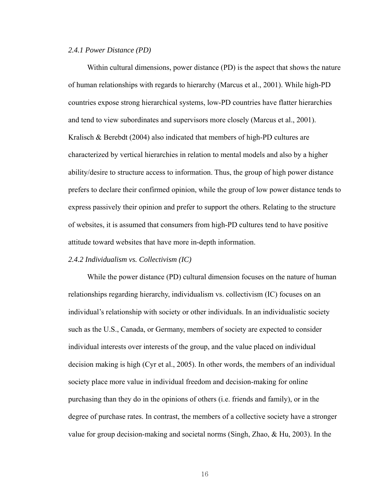#### *2.4.1 Power Distance (PD)*

Within cultural dimensions, power distance (PD) is the aspect that shows the nature of human relationships with regards to hierarchy (Marcus et al., 2001). While high-PD countries expose strong hierarchical systems, low-PD countries have flatter hierarchies and tend to view subordinates and supervisors more closely (Marcus et al., 2001). Kralisch & Berebdt (2004) also indicated that members of high-PD cultures are characterized by vertical hierarchies in relation to mental models and also by a higher ability/desire to structure access to information. Thus, the group of high power distance prefers to declare their confirmed opinion, while the group of low power distance tends to express passively their opinion and prefer to support the others. Relating to the structure of websites, it is assumed that consumers from high-PD cultures tend to have positive attitude toward websites that have more in-depth information.

#### *2.4.2 Individualism vs. Collectivism (IC)*

While the power distance (PD) cultural dimension focuses on the nature of human relationships regarding hierarchy, individualism vs. collectivism (IC) focuses on an individual's relationship with society or other individuals. In an individualistic society such as the U.S., Canada, or Germany, members of society are expected to consider individual interests over interests of the group, and the value placed on individual decision making is high (Cyr et al., 2005). In other words, the members of an individual society place more value in individual freedom and decision-making for online purchasing than they do in the opinions of others (i.e. friends and family), or in the degree of purchase rates. In contrast, the members of a collective society have a stronger value for group decision-making and societal norms (Singh, Zhao, & Hu, 2003). In the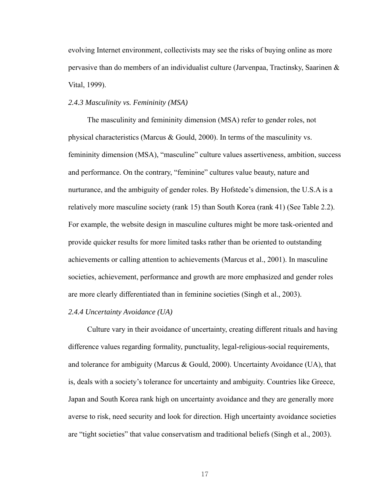evolving Internet environment, collectivists may see the risks of buying online as more pervasive than do members of an individualist culture (Jarvenpaa, Tractinsky, Saarinen & Vital, 1999).

#### *2.4.3 Masculinity vs. Femininity (MSA)*

The masculinity and femininity dimension (MSA) refer to gender roles, not physical characteristics (Marcus & Gould, 2000). In terms of the masculinity vs. femininity dimension (MSA), "masculine" culture values assertiveness, ambition, success and performance. On the contrary, "feminine" cultures value beauty, nature and nurturance, and the ambiguity of gender roles. By Hofstede's dimension, the U.S.A is a relatively more masculine society (rank 15) than South Korea (rank 41) (See Table 2.2). For example, the website design in masculine cultures might be more task-oriented and provide quicker results for more limited tasks rather than be oriented to outstanding achievements or calling attention to achievements (Marcus et al., 2001). In masculine societies, achievement, performance and growth are more emphasized and gender roles are more clearly differentiated than in feminine societies (Singh et al., 2003).

#### *2.4.4 Uncertainty Avoidance (UA)*

Culture vary in their avoidance of uncertainty, creating different rituals and having difference values regarding formality, punctuality, legal-religious-social requirements, and tolerance for ambiguity (Marcus & Gould, 2000). Uncertainty Avoidance (UA), that is, deals with a society's tolerance for uncertainty and ambiguity. Countries like Greece, Japan and South Korea rank high on uncertainty avoidance and they are generally more averse to risk, need security and look for direction. High uncertainty avoidance societies are "tight societies" that value conservatism and traditional beliefs (Singh et al., 2003).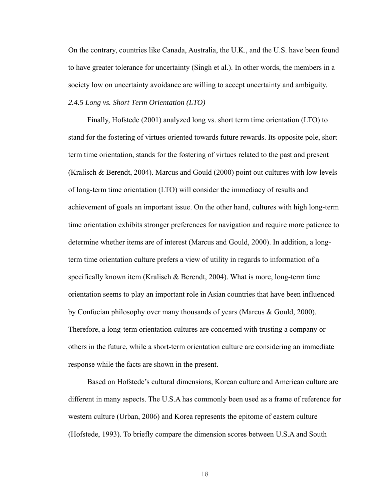On the contrary, countries like Canada, Australia, the U.K., and the U.S. have been found to have greater tolerance for uncertainty (Singh et al.). In other words, the members in a society low on uncertainty avoidance are willing to accept uncertainty and ambiguity. *2.4.5 Long vs. Short Term Orientation (LTO)* 

Finally, Hofstede (2001) analyzed long vs. short term time orientation (LTO) to stand for the fostering of virtues oriented towards future rewards. Its opposite pole, short term time orientation, stands for the fostering of virtues related to the past and present (Kralisch & Berendt, 2004). Marcus and Gould (2000) point out cultures with low levels of long-term time orientation (LTO) will consider the immediacy of results and achievement of goals an important issue. On the other hand, cultures with high long-term time orientation exhibits stronger preferences for navigation and require more patience to determine whether items are of interest (Marcus and Gould, 2000). In addition, a longterm time orientation culture prefers a view of utility in regards to information of a specifically known item (Kralisch & Berendt, 2004). What is more, long-term time orientation seems to play an important role in Asian countries that have been influenced by Confucian philosophy over many thousands of years (Marcus & Gould, 2000). Therefore, a long-term orientation cultures are concerned with trusting a company or others in the future, while a short-term orientation culture are considering an immediate response while the facts are shown in the present.

Based on Hofstede's cultural dimensions, Korean culture and American culture are different in many aspects. The U.S.A has commonly been used as a frame of reference for western culture (Urban, 2006) and Korea represents the epitome of eastern culture (Hofstede, 1993). To briefly compare the dimension scores between U.S.A and South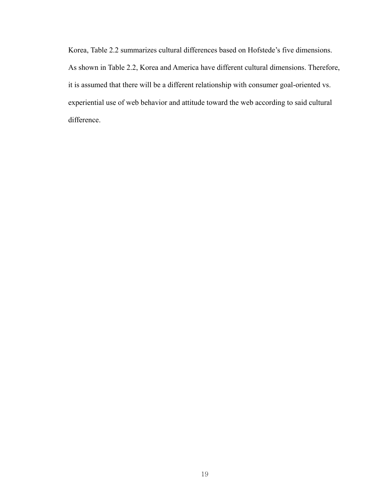Korea, Table 2.2 summarizes cultural differences based on Hofstede's five dimensions. As shown in Table 2.2, Korea and America have different cultural dimensions. Therefore, it is assumed that there will be a different relationship with consumer goal-oriented vs. experiential use of web behavior and attitude toward the web according to said cultural difference.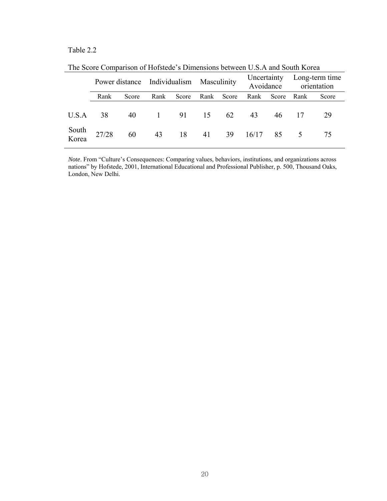### Table 2.2

| The Decity Companion of Holdway a Dimensional certifical C.D.I I and Dough Iveres |       |       |                                          |       |      |       |                          |       |                               |       |  |
|-----------------------------------------------------------------------------------|-------|-------|------------------------------------------|-------|------|-------|--------------------------|-------|-------------------------------|-------|--|
|                                                                                   |       |       | Power distance Individualism Masculinity |       |      |       | Uncertainty<br>Avoidance |       | Long-term time<br>orientation |       |  |
|                                                                                   | Rank  | Score | Rank                                     | Score | Rank | Score | Rank                     | Score | Rank                          | Score |  |
| U.S.A                                                                             | 38    | 40    | $\begin{array}{c} 1 \end{array}$         | 91    | 15   | 62    | 43                       | 46    |                               | 29    |  |
| South<br>Korea                                                                    | 27/28 | 60    | 43                                       | 18    | 41   | - 39  | 16/17                    | 85    | $\overline{5}$                | 75    |  |

The Score Comparison of Hofstede's Dimensions between U.S.A and South Korea

*Note*. From "Culture's Consequences: Comparing values, behaviors, institutions, and organizations across nations" by Hofstede, 2001, International Educational and Professional Publisher, p. 500, Thousand Oaks, London, New Delhi.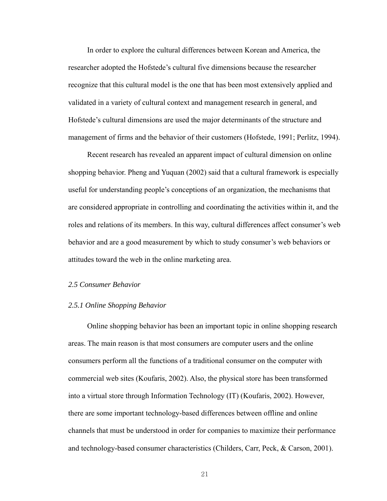In order to explore the cultural differences between Korean and America, the researcher adopted the Hofstede's cultural five dimensions because the researcher recognize that this cultural model is the one that has been most extensively applied and validated in a variety of cultural context and management research in general, and Hofstede's cultural dimensions are used the major determinants of the structure and management of firms and the behavior of their customers (Hofstede, 1991; Perlitz, 1994).

Recent research has revealed an apparent impact of cultural dimension on online shopping behavior. Pheng and Yuquan (2002) said that a cultural framework is especially useful for understanding people's conceptions of an organization, the mechanisms that are considered appropriate in controlling and coordinating the activities within it, and the roles and relations of its members. In this way, cultural differences affect consumer's web behavior and are a good measurement by which to study consumer's web behaviors or attitudes toward the web in the online marketing area.

#### *2.5 Consumer Behavior*

#### *2.5.1 Online Shopping Behavior*

Online shopping behavior has been an important topic in online shopping research areas. The main reason is that most consumers are computer users and the online consumers perform all the functions of a traditional consumer on the computer with commercial web sites (Koufaris, 2002). Also, the physical store has been transformed into a virtual store through Information Technology (IT) (Koufaris, 2002). However, there are some important technology-based differences between offline and online channels that must be understood in order for companies to maximize their performance and technology-based consumer characteristics (Childers, Carr, Peck, & Carson, 2001).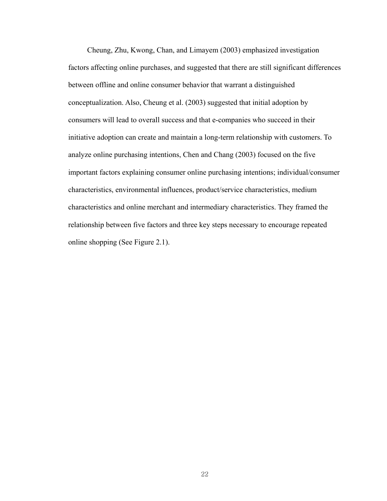Cheung, Zhu, Kwong, Chan, and Limayem (2003) emphasized investigation factors affecting online purchases, and suggested that there are still significant differences between offline and online consumer behavior that warrant a distinguished conceptualization. Also, Cheung et al. (2003) suggested that initial adoption by consumers will lead to overall success and that e-companies who succeed in their initiative adoption can create and maintain a long-term relationship with customers. To analyze online purchasing intentions, Chen and Chang (2003) focused on the five important factors explaining consumer online purchasing intentions; individual/consumer characteristics, environmental influences, product/service characteristics, medium characteristics and online merchant and intermediary characteristics. They framed the relationship between five factors and three key steps necessary to encourage repeated online shopping (See Figure 2.1).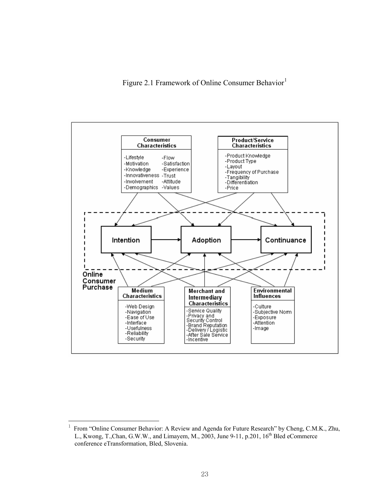Figure 2.[1](#page-33-0) Framework of Online Consumer Behavior<sup>1</sup>



l

<span id="page-33-0"></span><sup>&</sup>lt;sup>1</sup> From "Online Consumer Behavior: A Review and Agenda for Future Research" by Cheng, C.M.K., Zhu, L., Kwong, T.,Chan, G.W.W., and Limayem, M., 2003, June 9-11, p.201,  $16<sup>th</sup>$  Bled eCommerce conference eTransformation, Bled, Slovenia.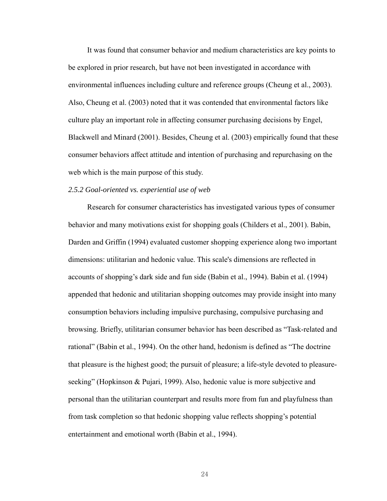It was found that consumer behavior and medium characteristics are key points to be explored in prior research, but have not been investigated in accordance with environmental influences including culture and reference groups (Cheung et al., 2003). Also, Cheung et al. (2003) noted that it was contended that environmental factors like culture play an important role in affecting consumer purchasing decisions by Engel, Blackwell and Minard (2001). Besides, Cheung et al. (2003) empirically found that these consumer behaviors affect attitude and intention of purchasing and repurchasing on the web which is the main purpose of this study.

#### *2.5.2 Goal-oriented vs. experiential use of web*

Research for consumer characteristics has investigated various types of consumer behavior and many motivations exist for shopping goals (Childers et al., 2001). Babin, Darden and Griffin (1994) evaluated customer shopping experience along two important dimensions: utilitarian and hedonic value. This scale's dimensions are reflected in accounts of shopping's dark side and fun side (Babin et al., 1994). Babin et al. (1994) appended that hedonic and utilitarian shopping outcomes may provide insight into many consumption behaviors including impulsive purchasing, compulsive purchasing and browsing. Briefly, utilitarian consumer behavior has been described as "Task-related and rational" (Babin et al., 1994). On the other hand, hedonism is defined as "The doctrine that pleasure is the highest good; the pursuit of pleasure; a life-style devoted to pleasureseeking" (Hopkinson & Pujari, 1999). Also, hedonic value is more subjective and personal than the utilitarian counterpart and results more from fun and playfulness than from task completion so that hedonic shopping value reflects shopping's potential entertainment and emotional worth (Babin et al., 1994).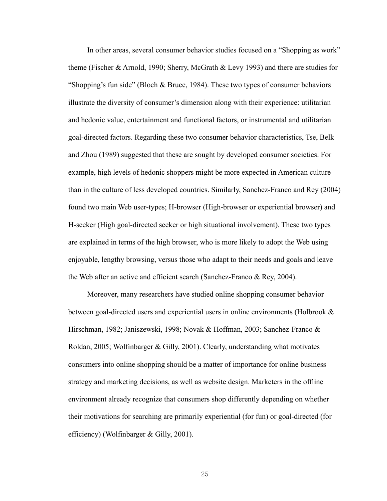In other areas, several consumer behavior studies focused on a "Shopping as work" theme (Fischer & Arnold, 1990; Sherry, McGrath & Levy 1993) and there are studies for "Shopping's fun side" (Bloch & Bruce, 1984). These two types of consumer behaviors illustrate the diversity of consumer's dimension along with their experience: utilitarian and hedonic value, entertainment and functional factors, or instrumental and utilitarian goal-directed factors. Regarding these two consumer behavior characteristics, Tse, Belk and Zhou (1989) suggested that these are sought by developed consumer societies. For example, high levels of hedonic shoppers might be more expected in American culture than in the culture of less developed countries. Similarly, Sanchez-Franco and Rey (2004) found two main Web user-types; H-browser (High-browser or experiential browser) and H-seeker (High goal-directed seeker or high situational involvement). These two types are explained in terms of the high browser, who is more likely to adopt the Web using enjoyable, lengthy browsing, versus those who adapt to their needs and goals and leave the Web after an active and efficient search (Sanchez-Franco & Rey, 2004).

Moreover, many researchers have studied online shopping consumer behavior between goal-directed users and experiential users in online environments (Holbrook & Hirschman, 1982; Janiszewski, 1998; Novak & Hoffman, 2003; Sanchez-Franco & Roldan, 2005; Wolfinbarger & Gilly, 2001). Clearly, understanding what motivates consumers into online shopping should be a matter of importance for online business strategy and marketing decisions, as well as website design. Marketers in the offline environment already recognize that consumers shop differently depending on whether their motivations for searching are primarily experiential (for fun) or goal-directed (for efficiency) (Wolfinbarger & Gilly, 2001).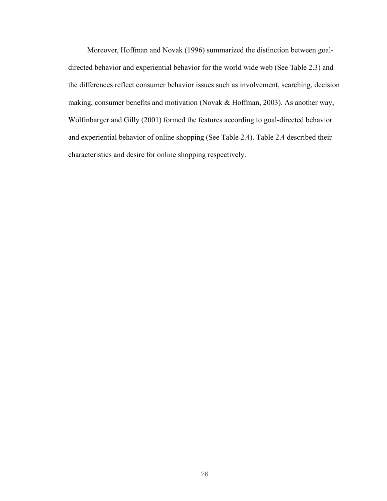Moreover, Hoffman and Novak (1996) summarized the distinction between goaldirected behavior and experiential behavior for the world wide web (See Table 2.3) and the differences reflect consumer behavior issues such as involvement, searching, decision making, consumer benefits and motivation (Novak & Hoffman, 2003). As another way, Wolfinbarger and Gilly (2001) formed the features according to goal-directed behavior and experiential behavior of online shopping (See Table 2.4). Table 2.4 described their characteristics and desire for online shopping respectively.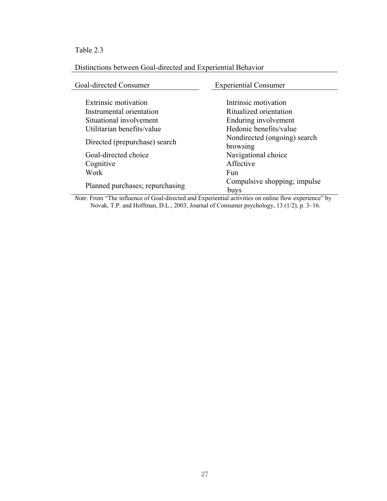# Table 2.3

# Distinctions between Goal-directed and Experiential Behavior

| Goal-directed Consumer          | <b>Experiential Consumer</b> |  |
|---------------------------------|------------------------------|--|
|                                 |                              |  |
| Extrinsic motivation            | Intrinsic motivation         |  |
| Instrumental orientation        | Ritualized orientation       |  |
| Situational involvement         | Enduring involvement         |  |
| Utilitarian benefits/value      | Hedonic benefits/value       |  |
| Directed (prepurchase) search   | Nondirected (ongoing) search |  |
|                                 | browsing                     |  |
| Goal-directed choice            | Navigational choice          |  |
| Cognitive                       | Affective                    |  |
| Work                            | <b>Fun</b>                   |  |
| Planned purchases; repurchasing | Compulsive shopping; impulse |  |
|                                 | buys                         |  |

*Note*. From "The influence of Goal-directed and Experiential activities on online flow experience" by Novak, T.P. and Hoffman, D.L., 2003, Journal of Consumer psychology, 13 (1/2), p. 3–16.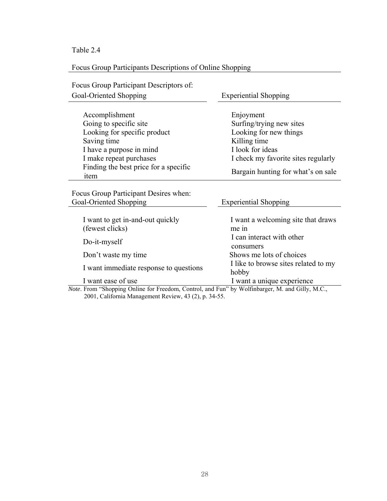Table 2.4

Focus Group Participants Descriptions of Online Shopping

| Focus Group Participant Descriptors of:                                                                                                                                                                                                                                                                                                                                                                                                       |                                                                                                                                                                                  |  |  |
|-----------------------------------------------------------------------------------------------------------------------------------------------------------------------------------------------------------------------------------------------------------------------------------------------------------------------------------------------------------------------------------------------------------------------------------------------|----------------------------------------------------------------------------------------------------------------------------------------------------------------------------------|--|--|
| Goal-Oriented Shopping                                                                                                                                                                                                                                                                                                                                                                                                                        | <b>Experiential Shopping</b>                                                                                                                                                     |  |  |
| Accomplishment<br>Going to specific site<br>Looking for specific product<br>Saving time<br>I have a purpose in mind<br>I make repeat purchases<br>Finding the best price for a specific<br>item                                                                                                                                                                                                                                               | Enjoyment<br>Surfing/trying new sites<br>Looking for new things<br>Killing time<br>I look for ideas<br>I check my favorite sites regularly<br>Bargain hunting for what's on sale |  |  |
| Focus Group Participant Desires when:<br>Goal-Oriented Shopping                                                                                                                                                                                                                                                                                                                                                                               | <b>Experiential Shopping</b>                                                                                                                                                     |  |  |
| I want to get in-and-out quickly<br>(fewest clicks)<br>Do-it-myself                                                                                                                                                                                                                                                                                                                                                                           | I want a welcoming site that draws<br>me in<br>I can interact with other                                                                                                         |  |  |
| Don't waste my time                                                                                                                                                                                                                                                                                                                                                                                                                           | consumers<br>Shows me lots of choices                                                                                                                                            |  |  |
| I want immediate response to questions                                                                                                                                                                                                                                                                                                                                                                                                        | I like to browse sites related to my<br>hobby                                                                                                                                    |  |  |
| I want ease of use<br>$\bigcap$ $\bigcap$ $\bigcap$ $\bigcap$ $\bigcap$ $\bigcap$ $\bigcap$ $\bigcap$ $\bigcap$ $\bigcap$ $\bigcap$ $\bigcap$ $\bigcap$ $\bigcap$ $\bigcap$ $\bigcap$ $\bigcap$ $\bigcap$ $\bigcap$ $\bigcap$ $\bigcap$ $\bigcap$ $\bigcap$ $\bigcap$ $\bigcap$ $\bigcap$ $\bigcap$ $\bigcap$ $\bigcap$ $\bigcap$ $\bigcap$ $\bigcap$ $\bigcap$ $\bigcap$ $\bigcap$ $\bigcap$ $\bigcap$<br>$\sim$ $\sim$ $\sim$ $\sim$ $\sim$ | I want a unique experience<br>1 <sub>1</sub>                                                                                                                                     |  |  |

*Note*. From "Shopping Online for Freedom, Control, and Fun" by Wolfinbarger, M. and Gilly, M.C., 2001, California Management Review, 43 (2), p. 34-55.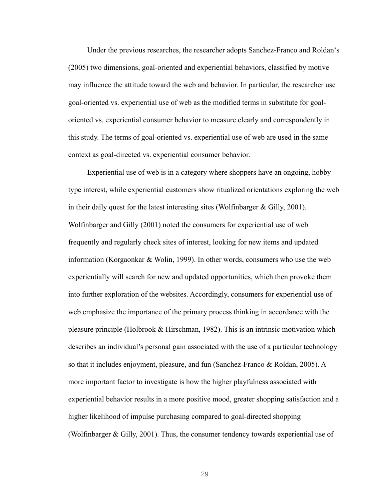Under the previous researches, the researcher adopts Sanchez-Franco and Roldan's (2005) two dimensions, goal-oriented and experiential behaviors, classified by motive may influence the attitude toward the web and behavior. In particular, the researcher use goal-oriented vs. experiential use of web as the modified terms in substitute for goaloriented vs. experiential consumer behavior to measure clearly and correspondently in this study. The terms of goal-oriented vs. experiential use of web are used in the same context as goal-directed vs. experiential consumer behavior.

Experiential use of web is in a category where shoppers have an ongoing, hobby type interest, while experiential customers show ritualized orientations exploring the web in their daily quest for the latest interesting sites (Wolfinbarger & Gilly, 2001). Wolfinbarger and Gilly (2001) noted the consumers for experiential use of web frequently and regularly check sites of interest, looking for new items and updated information (Korgaonkar & Wolin, 1999). In other words, consumers who use the web experientially will search for new and updated opportunities, which then provoke them into further exploration of the websites. Accordingly, consumers for experiential use of web emphasize the importance of the primary process thinking in accordance with the pleasure principle (Holbrook & Hirschman, 1982). This is an intrinsic motivation which describes an individual's personal gain associated with the use of a particular technology so that it includes enjoyment, pleasure, and fun (Sanchez-Franco & Roldan, 2005). A more important factor to investigate is how the higher playfulness associated with experiential behavior results in a more positive mood, greater shopping satisfaction and a higher likelihood of impulse purchasing compared to goal-directed shopping (Wolfinbarger & Gilly, 2001). Thus, the consumer tendency towards experiential use of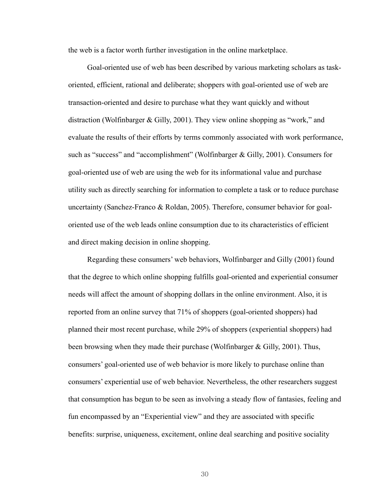the web is a factor worth further investigation in the online marketplace.

Goal-oriented use of web has been described by various marketing scholars as taskoriented, efficient, rational and deliberate; shoppers with goal-oriented use of web are transaction-oriented and desire to purchase what they want quickly and without distraction (Wolfinbarger & Gilly, 2001). They view online shopping as "work," and evaluate the results of their efforts by terms commonly associated with work performance, such as "success" and "accomplishment" (Wolfinbarger & Gilly, 2001). Consumers for goal-oriented use of web are using the web for its informational value and purchase utility such as directly searching for information to complete a task or to reduce purchase uncertainty (Sanchez-Franco & Roldan, 2005). Therefore, consumer behavior for goaloriented use of the web leads online consumption due to its characteristics of efficient and direct making decision in online shopping.

Regarding these consumers' web behaviors, Wolfinbarger and Gilly (2001) found that the degree to which online shopping fulfills goal-oriented and experiential consumer needs will affect the amount of shopping dollars in the online environment. Also, it is reported from an online survey that 71% of shoppers (goal-oriented shoppers) had planned their most recent purchase, while 29% of shoppers (experiential shoppers) had been browsing when they made their purchase (Wolfinbarger & Gilly, 2001). Thus, consumers' goal-oriented use of web behavior is more likely to purchase online than consumers' experiential use of web behavior. Nevertheless, the other researchers suggest that consumption has begun to be seen as involving a steady flow of fantasies, feeling and fun encompassed by an "Experiential view" and they are associated with specific benefits: surprise, uniqueness, excitement, online deal searching and positive sociality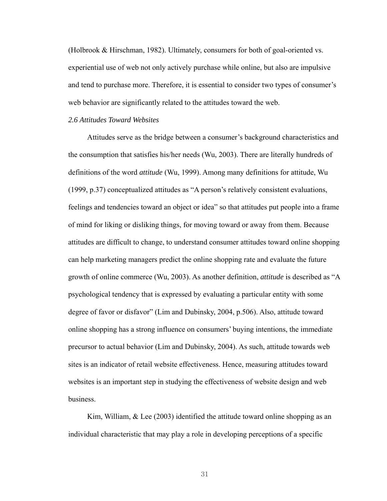(Holbrook & Hirschman, 1982). Ultimately, consumers for both of goal-oriented vs. experiential use of web not only actively purchase while online, but also are impulsive and tend to purchase more. Therefore, it is essential to consider two types of consumer's web behavior are significantly related to the attitudes toward the web.

## *2.6 Attitudes Toward Websites*

Attitudes serve as the bridge between a consumer's background characteristics and the consumption that satisfies his/her needs (Wu, 2003). There are literally hundreds of definitions of the word *attitude* (Wu, 1999). Among many definitions for attitude, Wu (1999, p.37) conceptualized attitudes as "A person's relatively consistent evaluations, feelings and tendencies toward an object or idea" so that attitudes put people into a frame of mind for liking or disliking things, for moving toward or away from them. Because attitudes are difficult to change, to understand consumer attitudes toward online shopping can help marketing managers predict the online shopping rate and evaluate the future growth of online commerce (Wu, 2003). As another definition, *attitude* is described as "A psychological tendency that is expressed by evaluating a particular entity with some degree of favor or disfavor" (Lim and Dubinsky, 2004, p.506). Also, attitude toward online shopping has a strong influence on consumers' buying intentions, the immediate precursor to actual behavior (Lim and Dubinsky, 2004). As such, attitude towards web sites is an indicator of retail website effectiveness. Hence, measuring attitudes toward websites is an important step in studying the effectiveness of website design and web business.

Kim, William,  $\&$  Lee (2003) identified the attitude toward online shopping as an individual characteristic that may play a role in developing perceptions of a specific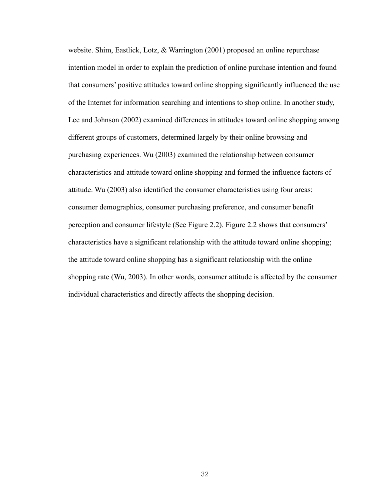website. Shim, Eastlick, Lotz, & Warrington (2001) proposed an online repurchase intention model in order to explain the prediction of online purchase intention and found that consumers' positive attitudes toward online shopping significantly influenced the use of the Internet for information searching and intentions to shop online. In another study, Lee and Johnson (2002) examined differences in attitudes toward online shopping among different groups of customers, determined largely by their online browsing and purchasing experiences. Wu (2003) examined the relationship between consumer characteristics and attitude toward online shopping and formed the influence factors of attitude. Wu (2003) also identified the consumer characteristics using four areas: consumer demographics, consumer purchasing preference, and consumer benefit perception and consumer lifestyle (See Figure 2.2). Figure 2.2 shows that consumers' characteristics have a significant relationship with the attitude toward online shopping; the attitude toward online shopping has a significant relationship with the online shopping rate (Wu, 2003). In other words, consumer attitude is affected by the consumer individual characteristics and directly affects the shopping decision.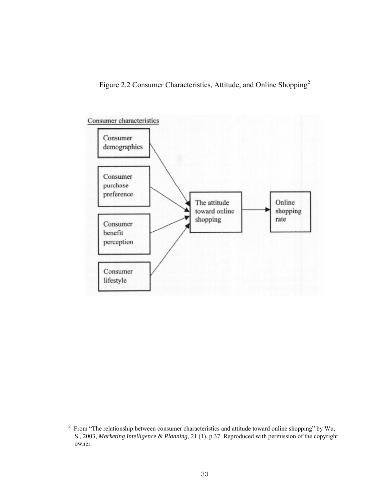Figure 2.2 Consumer Characteristics, Attitude, and Online Shopping[2](#page-43-0)



l

<span id="page-43-0"></span> $2\degree$  From "The relationship between consumer characteristics and attitude toward online shopping" by Wu, S., 2003, *Marketing Intelligence & Planning*, 21 (1), p.37. Reproduced with permission of the copyright owner.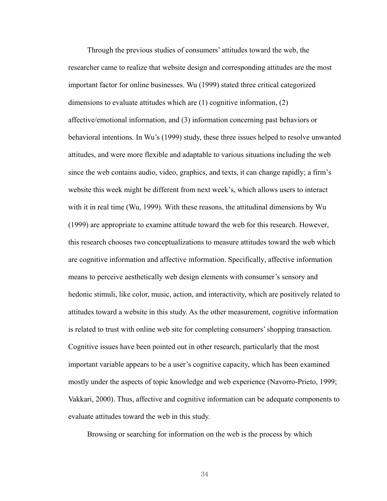Through the previous studies of consumers' attitudes toward the web, the researcher came to realize that website design and corresponding attitudes are the most important factor for online businesses. Wu (1999) stated three critical categorized dimensions to evaluate attitudes which are (1) cognitive information, (2) affective/emotional information, and (3) information concerning past behaviors or behavioral intentions. In Wu's (1999) study, these three issues helped to resolve unwanted attitudes, and were more flexible and adaptable to various situations including the web since the web contains audio, video, graphics, and texts, it can change rapidly; a firm's website this week might be different from next week's, which allows users to interact with it in real time (Wu, 1999). With these reasons, the attitudinal dimensions by Wu (1999) are appropriate to examine attitude toward the web for this research. However, this research chooses two conceptualizations to measure attitudes toward the web which are cognitive information and affective information. Specifically, affective information means to perceive aesthetically web design elements with consumer's sensory and hedonic stimuli, like color, music, action, and interactivity, which are positively related to attitudes toward a website in this study. As the other measurement, cognitive information is related to trust with online web site for completing consumers' shopping transaction. Cognitive issues have been pointed out in other research, particularly that the most important variable appears to be a user's cognitive capacity, which has been examined mostly under the aspects of topic knowledge and web experience (Navorro-Prieto, 1999; Vakkari, 2000). Thus, affective and cognitive information can be adequate components to evaluate attitudes toward the web in this study.

Browsing or searching for information on the web is the process by which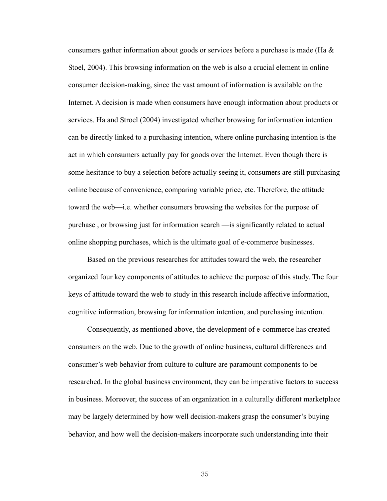consumers gather information about goods or services before a purchase is made (Ha & Stoel, 2004). This browsing information on the web is also a crucial element in online consumer decision-making, since the vast amount of information is available on the Internet. A decision is made when consumers have enough information about products or services. Ha and Stroel (2004) investigated whether browsing for information intention can be directly linked to a purchasing intention, where online purchasing intention is the act in which consumers actually pay for goods over the Internet. Even though there is some hesitance to buy a selection before actually seeing it, consumers are still purchasing online because of convenience, comparing variable price, etc. Therefore, the attitude toward the web—i.e. whether consumers browsing the websites for the purpose of purchase , or browsing just for information search —is significantly related to actual online shopping purchases, which is the ultimate goal of e-commerce businesses.

Based on the previous researches for attitudes toward the web, the researcher organized four key components of attitudes to achieve the purpose of this study. The four keys of attitude toward the web to study in this research include affective information, cognitive information, browsing for information intention, and purchasing intention.

Consequently, as mentioned above, the development of e-commerce has created consumers on the web. Due to the growth of online business, cultural differences and consumer's web behavior from culture to culture are paramount components to be researched. In the global business environment, they can be imperative factors to success in business. Moreover, the success of an organization in a culturally different marketplace may be largely determined by how well decision-makers grasp the consumer's buying behavior, and how well the decision-makers incorporate such understanding into their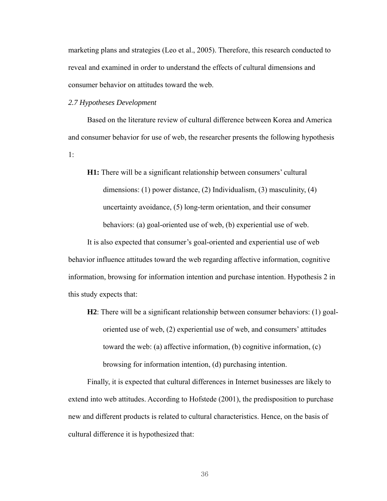marketing plans and strategies (Leo et al., 2005). Therefore, this research conducted to reveal and examined in order to understand the effects of cultural dimensions and consumer behavior on attitudes toward the web.

*2.7 Hypotheses Development* 

Based on the literature review of cultural difference between Korea and America and consumer behavior for use of web, the researcher presents the following hypothesis 1:

**H1:** There will be a significant relationship between consumers' cultural dimensions: (1) power distance, (2) Individualism, (3) masculinity, (4) uncertainty avoidance, (5) long-term orientation, and their consumer behaviors: (a) goal-oriented use of web, (b) experiential use of web.

It is also expected that consumer's goal-oriented and experiential use of web behavior influence attitudes toward the web regarding affective information, cognitive information, browsing for information intention and purchase intention. Hypothesis 2 in this study expects that:

**H2**: There will be a significant relationship between consumer behaviors: (1) goaloriented use of web, (2) experiential use of web, and consumers' attitudes toward the web: (a) affective information, (b) cognitive information, (c) browsing for information intention, (d) purchasing intention.

Finally, it is expected that cultural differences in Internet businesses are likely to extend into web attitudes. According to Hofstede (2001), the predisposition to purchase new and different products is related to cultural characteristics. Hence, on the basis of cultural difference it is hypothesized that: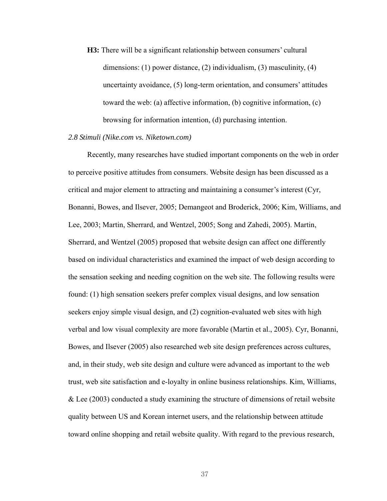**H3:** There will be a significant relationship between consumers' cultural dimensions: (1) power distance, (2) individualism, (3) masculinity, (4) uncertainty avoidance, (5) long-term orientation, and consumers' attitudes toward the web: (a) affective information, (b) cognitive information, (c) browsing for information intention, (d) purchasing intention.

### *2.8 Stimuli (Nike.com vs. Niketown.com)*

Recently, many researches have studied important components on the web in order to perceive positive attitudes from consumers. Website design has been discussed as a critical and major element to attracting and maintaining a consumer's interest (Cyr, Bonanni, Bowes, and Ilsever, 2005; Demangeot and Broderick, 2006; Kim, Williams, and Lee, 2003; Martin, Sherrard, and Wentzel, 2005; Song and Zahedi, 2005). Martin, Sherrard, and Wentzel (2005) proposed that website design can affect one differently based on individual characteristics and examined the impact of web design according to the sensation seeking and needing cognition on the web site. The following results were found: (1) high sensation seekers prefer complex visual designs, and low sensation seekers enjoy simple visual design, and (2) cognition-evaluated web sites with high verbal and low visual complexity are more favorable (Martin et al., 2005). Cyr, Bonanni, Bowes, and Ilsever (2005) also researched web site design preferences across cultures, and, in their study, web site design and culture were advanced as important to the web trust, web site satisfaction and e-loyalty in online business relationships. Kim, Williams, & Lee (2003) conducted a study examining the structure of dimensions of retail website quality between US and Korean internet users, and the relationship between attitude toward online shopping and retail website quality. With regard to the previous research,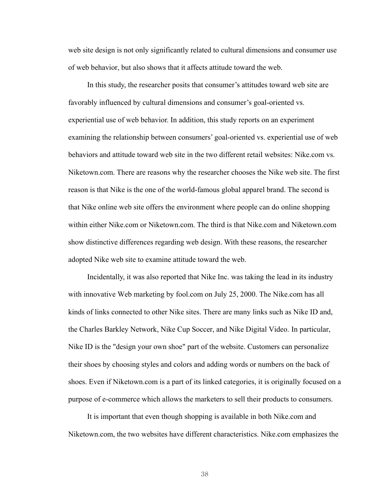web site design is not only significantly related to cultural dimensions and consumer use of web behavior, but also shows that it affects attitude toward the web.

In this study, the researcher posits that consumer's attitudes toward web site are favorably influenced by cultural dimensions and consumer's goal-oriented vs. experiential use of web behavior. In addition, this study reports on an experiment examining the relationship between consumers' goal-oriented vs. experiential use of web behaviors and attitude toward web site in the two different retail websites: Nike.com vs. Niketown.com. There are reasons why the researcher chooses the Nike web site. The first reason is that Nike is the one of the world-famous global apparel brand. The second is that Nike online web site offers the environment where people can do online shopping within either Nike.com or Niketown.com. The third is that Nike.com and Niketown.com show distinctive differences regarding web design. With these reasons, the researcher adopted Nike web site to examine attitude toward the web.

Incidentally, it was also reported that Nike Inc. was taking the lead in its industry with innovative Web marketing by fool.com on July 25, 2000. The Nike.com has all kinds of links connected to other Nike sites. There are many links such as Nike ID and, the Charles Barkley Network, Nike Cup Soccer, and Nike Digital Video. In particular, Nike ID is the "design your own shoe" part of the website. Customers can personalize their shoes by choosing styles and colors and adding words or numbers on the back of shoes. Even if Niketown.com is a part of its linked categories, it is originally focused on a purpose of e-commerce which allows the marketers to sell their products to consumers.

It is important that even though shopping is available in both Nike.com and Niketown.com, the two websites have different characteristics. Nike.com emphasizes the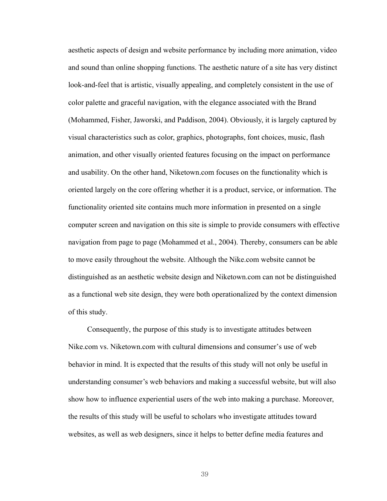aesthetic aspects of design and website performance by including more animation, video and sound than online shopping functions. The aesthetic nature of a site has very distinct look-and-feel that is artistic, visually appealing, and completely consistent in the use of color palette and graceful navigation, with the elegance associated with the Brand (Mohammed, Fisher, Jaworski, and Paddison, 2004). Obviously, it is largely captured by visual characteristics such as color, graphics, photographs, font choices, music, flash animation, and other visually oriented features focusing on the impact on performance and usability. On the other hand, Niketown.com focuses on the functionality which is oriented largely on the core offering whether it is a product, service, or information. The functionality oriented site contains much more information in presented on a single computer screen and navigation on this site is simple to provide consumers with effective navigation from page to page (Mohammed et al., 2004). Thereby, consumers can be able to move easily throughout the website. Although the Nike.com website cannot be distinguished as an aesthetic website design and Niketown.com can not be distinguished as a functional web site design, they were both operationalized by the context dimension of this study.

Consequently, the purpose of this study is to investigate attitudes between Nike.com vs. Niketown.com with cultural dimensions and consumer's use of web behavior in mind. It is expected that the results of this study will not only be useful in understanding consumer's web behaviors and making a successful website, but will also show how to influence experiential users of the web into making a purchase. Moreover, the results of this study will be useful to scholars who investigate attitudes toward websites, as well as web designers, since it helps to better define media features and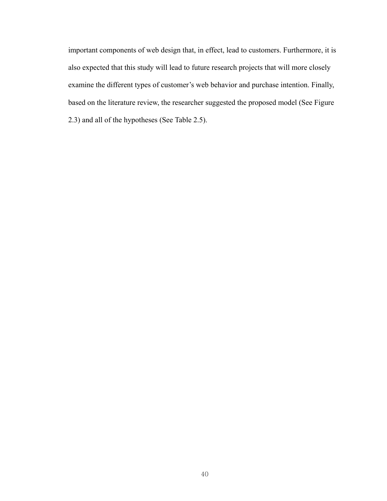important components of web design that, in effect, lead to customers. Furthermore, it is also expected that this study will lead to future research projects that will more closely examine the different types of customer's web behavior and purchase intention. Finally, based on the literature review, the researcher suggested the proposed model (See Figure 2.3) and all of the hypotheses (See Table 2.5).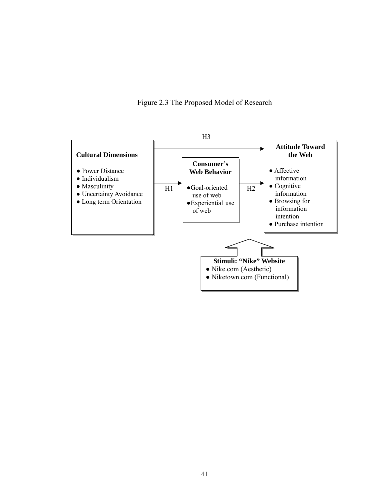Figure 2.3 The Proposed Model of Research

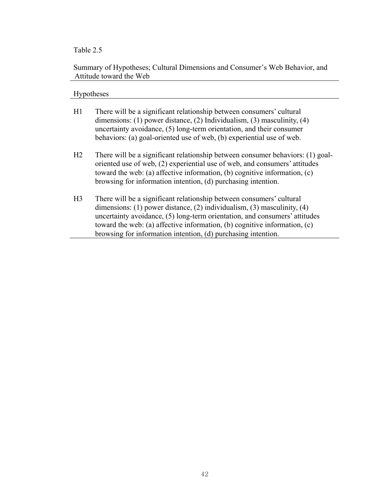# Table 2.5

# Summary of Hypotheses; Cultural Dimensions and Consumer's Web Behavior, and Attitude toward the Web

# Hypotheses

| H1             | There will be a significant relationship between consumers' cultural<br>dimensions: (1) power distance, (2) Individualism, (3) masculinity, (4)<br>uncertainty avoidance, (5) long-term orientation, and their consumer<br>behaviors: (a) goal-oriented use of web, (b) experiential use of web.                                                                              |
|----------------|-------------------------------------------------------------------------------------------------------------------------------------------------------------------------------------------------------------------------------------------------------------------------------------------------------------------------------------------------------------------------------|
| H2             | There will be a significant relationship between consumer behaviors: (1) goal-<br>oriented use of web, (2) experiential use of web, and consumers' attitudes<br>toward the web: (a) affective information, (b) cognitive information, $(c)$<br>browsing for information intention, (d) purchasing intention.                                                                  |
| H <sub>3</sub> | There will be a significant relationship between consumers' cultural<br>dimensions: (1) power distance, (2) individualism, (3) masculinity, (4)<br>uncertainty avoidance, (5) long-term orientation, and consumers' attitudes<br>toward the web: (a) affective information, (b) cognitive information, $(c)$<br>browsing for information intention, (d) purchasing intention. |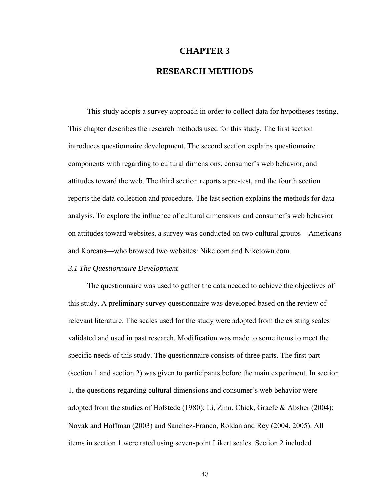# **CHAPTER 3 RESEARCH METHODS**

This study adopts a survey approach in order to collect data for hypotheses testing. This chapter describes the research methods used for this study. The first section introduces questionnaire development. The second section explains questionnaire components with regarding to cultural dimensions, consumer's web behavior, and attitudes toward the web. The third section reports a pre-test, and the fourth section reports the data collection and procedure. The last section explains the methods for data analysis. To explore the influence of cultural dimensions and consumer's web behavior on attitudes toward websites, a survey was conducted on two cultural groups—Americans and Koreans—who browsed two websites: Nike.com and Niketown.com.

## *3.1 The Questionnaire Development*

The questionnaire was used to gather the data needed to achieve the objectives of this study. A preliminary survey questionnaire was developed based on the review of relevant literature. The scales used for the study were adopted from the existing scales validated and used in past research. Modification was made to some items to meet the specific needs of this study. The questionnaire consists of three parts. The first part (section 1 and section 2) was given to participants before the main experiment. In section 1, the questions regarding cultural dimensions and consumer's web behavior were adopted from the studies of Hofstede (1980); Li, Zinn, Chick, Graefe & Absher (2004); Novak and Hoffman (2003) and Sanchez-Franco, Roldan and Rey (2004, 2005). All items in section 1 were rated using seven-point Likert scales. Section 2 included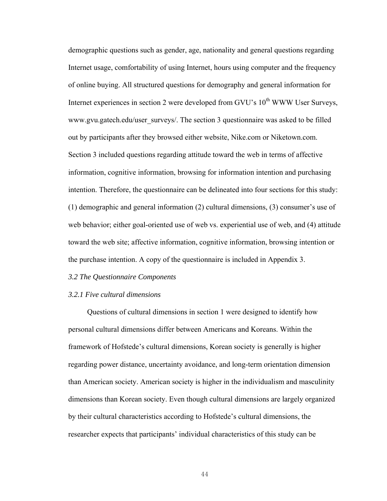demographic questions such as gender, age, nationality and general questions regarding Internet usage, comfortability of using Internet, hours using computer and the frequency of online buying. All structured questions for demography and general information for Internet experiences in section 2 were developed from GVU's  $10<sup>th</sup>$  WWW User Surveys, www.gvu.gatech.edu/user\_surveys/. The section 3 questionnaire was asked to be filled out by participants after they browsed either website, Nike.com or Niketown.com. Section 3 included questions regarding attitude toward the web in terms of affective information, cognitive information, browsing for information intention and purchasing intention. Therefore, the questionnaire can be delineated into four sections for this study: (1) demographic and general information (2) cultural dimensions, (3) consumer's use of web behavior; either goal-oriented use of web vs. experiential use of web, and (4) attitude toward the web site; affective information, cognitive information, browsing intention or the purchase intention. A copy of the questionnaire is included in Appendix 3.

#### *3.2 The Questionnaire Components*

### *3.2.1 Five cultural dimensions*

Questions of cultural dimensions in section 1 were designed to identify how personal cultural dimensions differ between Americans and Koreans. Within the framework of Hofstede's cultural dimensions, Korean society is generally is higher regarding power distance, uncertainty avoidance, and long-term orientation dimension than American society. American society is higher in the individualism and masculinity dimensions than Korean society. Even though cultural dimensions are largely organized by their cultural characteristics according to Hofstede's cultural dimensions, the researcher expects that participants' individual characteristics of this study can be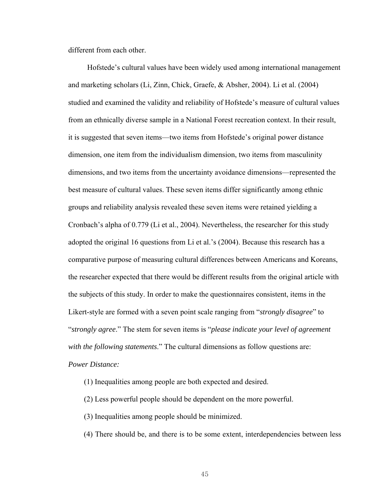different from each other.

Hofstede's cultural values have been widely used among international management and marketing scholars (Li, Zinn, Chick, Graefe, & Absher, 2004). Li et al. (2004) studied and examined the validity and reliability of Hofstede's measure of cultural values from an ethnically diverse sample in a National Forest recreation context. In their result, it is suggested that seven items—two items from Hofstede's original power distance dimension, one item from the individualism dimension, two items from masculinity dimensions, and two items from the uncertainty avoidance dimensions—represented the best measure of cultural values. These seven items differ significantly among ethnic groups and reliability analysis revealed these seven items were retained yielding a Cronbach's alpha of 0.779 (Li et al., 2004). Nevertheless, the researcher for this study adopted the original 16 questions from Li et al.'s (2004). Because this research has a comparative purpose of measuring cultural differences between Americans and Koreans, the researcher expected that there would be different results from the original article with the subjects of this study. In order to make the questionnaires consistent, items in the Likert-style are formed with a seven point scale ranging from "*strongly disagree*" to "*strongly agree*." The stem for seven items is "*please indicate your level of agreement with the following statements*." The cultural dimensions as follow questions are: *Power Distance:*

- (1) Inequalities among people are both expected and desired.
- (2) Less powerful people should be dependent on the more powerful.
- (3) Inequalities among people should be minimized.
- (4) There should be, and there is to be some extent, interdependencies between less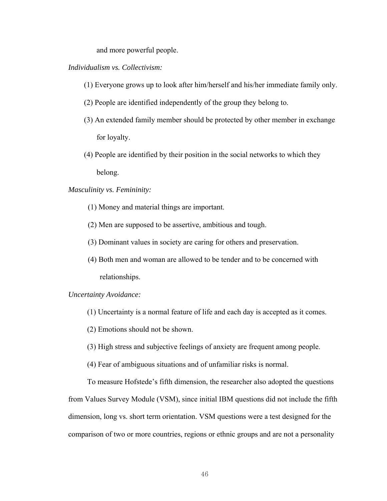and more powerful people.

## *Individualism vs. Collectivism:*

- (1) Everyone grows up to look after him/herself and his/her immediate family only.
- (2) People are identified independently of the group they belong to.
- (3) An extended family member should be protected by other member in exchange for loyalty.
- (4) People are identified by their position in the social networks to which they belong.

# *Masculinity vs. Femininity:*

- (1) Money and material things are important.
- (2) Men are supposed to be assertive, ambitious and tough.
- (3) Dominant values in society are caring for others and preservation.
- (4) Both men and woman are allowed to be tender and to be concerned with relationships.

## *Uncertainty Avoidance:*

- (1) Uncertainty is a normal feature of life and each day is accepted as it comes.
- (2) Emotions should not be shown.
- (3) High stress and subjective feelings of anxiety are frequent among people.
- (4) Fear of ambiguous situations and of unfamiliar risks is normal.

To measure Hofstede's fifth dimension, the researcher also adopted the questions from Values Survey Module (VSM), since initial IBM questions did not include the fifth dimension, long vs. short term orientation. VSM questions were a test designed for the comparison of two or more countries, regions or ethnic groups and are not a personality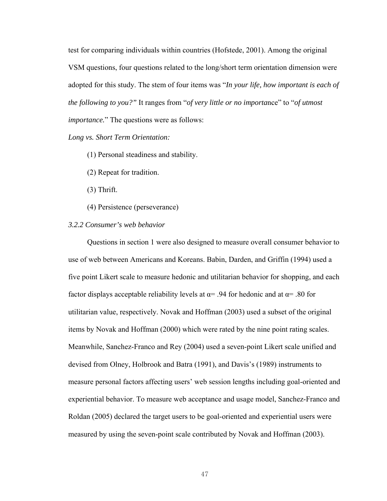test for comparing individuals within countries (Hofstede, 2001). Among the original VSM questions, four questions related to the long/short term orientation dimension were adopted for this study. The stem of four items was "*In your life, how important is each of the following to you?"* It ranges from "*of very little or no importa*nce" to "*of utmost importance.*" The questions were as follows:

## *Long vs. Short Term Orientation:*

- (1) Personal steadiness and stability.
- (2) Repeat for tradition.
- (3) Thrift.
- (4) Persistence (perseverance)

## *3.2.2 Consumer's web behavior*

Questions in section 1 were also designed to measure overall consumer behavior to use of web between Americans and Koreans. Babin, Darden, and Griffin (1994) used a five point Likert scale to measure hedonic and utilitarian behavior for shopping, and each factor displays acceptable reliability levels at  $\alpha$ = .94 for hedonic and at  $\alpha$ = .80 for utilitarian value, respectively. Novak and Hoffman (2003) used a subset of the original items by Novak and Hoffman (2000) which were rated by the nine point rating scales. Meanwhile, Sanchez-Franco and Rey (2004) used a seven-point Likert scale unified and devised from Olney, Holbrook and Batra (1991), and Davis's (1989) instruments to measure personal factors affecting users' web session lengths including goal-oriented and experiential behavior. To measure web acceptance and usage model, Sanchez-Franco and Roldan (2005) declared the target users to be goal-oriented and experiential users were measured by using the seven-point scale contributed by Novak and Hoffman (2003).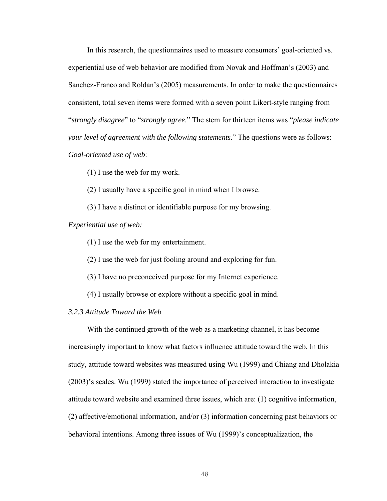In this research, the questionnaires used to measure consumers' goal-oriented vs. experiential use of web behavior are modified from Novak and Hoffman's (2003) and Sanchez-Franco and Roldan's (2005) measurements. In order to make the questionnaires consistent, total seven items were formed with a seven point Likert-style ranging from "*strongly disagree*" to "*strongly agree*." The stem for thirteen items was "*please indicate your level of agreement with the following statements*." The questions were as follows: *Goal-oriented use of web*:

(1) I use the web for my work.

(2) I usually have a specific goal in mind when I browse.

(3) I have a distinct or identifiable purpose for my browsing.

### *Experiential use of web:*

(1) I use the web for my entertainment.

(2) I use the web for just fooling around and exploring for fun.

(3) I have no preconceived purpose for my Internet experience.

(4) I usually browse or explore without a specific goal in mind.

*3.2.3 Attitude Toward the Web* 

With the continued growth of the web as a marketing channel, it has become increasingly important to know what factors influence attitude toward the web. In this study, attitude toward websites was measured using Wu (1999) and Chiang and Dholakia (2003)'s scales. Wu (1999) stated the importance of perceived interaction to investigate attitude toward website and examined three issues, which are: (1) cognitive information, (2) affective/emotional information, and/or (3) information concerning past behaviors or behavioral intentions. Among three issues of Wu (1999)'s conceptualization, the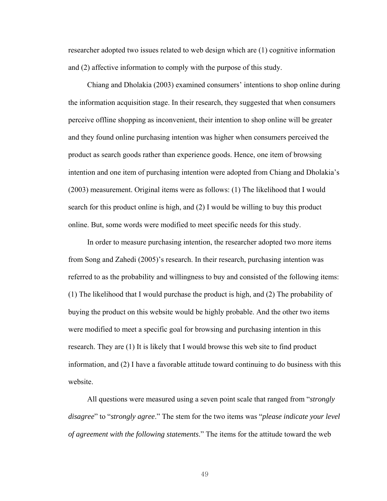researcher adopted two issues related to web design which are (1) cognitive information and (2) affective information to comply with the purpose of this study.

Chiang and Dholakia (2003) examined consumers' intentions to shop online during the information acquisition stage. In their research, they suggested that when consumers perceive offline shopping as inconvenient, their intention to shop online will be greater and they found online purchasing intention was higher when consumers perceived the product as search goods rather than experience goods. Hence, one item of browsing intention and one item of purchasing intention were adopted from Chiang and Dholakia's (2003) measurement. Original items were as follows: (1) The likelihood that I would search for this product online is high, and (2) I would be willing to buy this product online. But, some words were modified to meet specific needs for this study.

In order to measure purchasing intention, the researcher adopted two more items from Song and Zahedi (2005)'s research. In their research, purchasing intention was referred to as the probability and willingness to buy and consisted of the following items: (1) The likelihood that I would purchase the product is high, and (2) The probability of buying the product on this website would be highly probable. And the other two items were modified to meet a specific goal for browsing and purchasing intention in this research. They are (1) It is likely that I would browse this web site to find product information, and (2) I have a favorable attitude toward continuing to do business with this website.

All questions were measured using a seven point scale that ranged from "*strongly disagree*" to "*strongly agree*." The stem for the two items was "*please indicate your level of agreement with the following statements*." The items for the attitude toward the web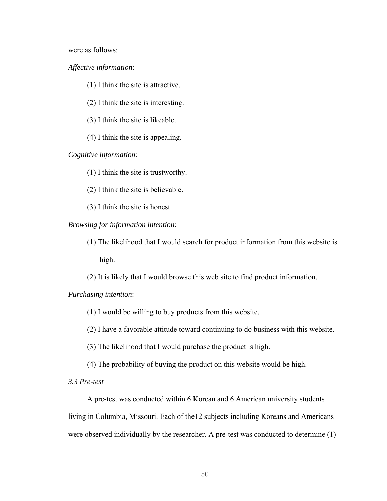were as follows:

*Affective information:*

(1) I think the site is attractive.

(2) I think the site is interesting.

(3) I think the site is likeable.

(4) I think the site is appealing.

*Cognitive information*:

(1) I think the site is trustworthy.

(2) I think the site is believable.

(3) I think the site is honest.

*Browsing for information intention*:

(1) The likelihood that I would search for product information from this website is high.

(2) It is likely that I would browse this web site to find product information.

*Purchasing intention*:

(1) I would be willing to buy products from this website.

(2) I have a favorable attitude toward continuing to do business with this website.

(3) The likelihood that I would purchase the product is high.

(4) The probability of buying the product on this website would be high.

*3.3 Pre-test* 

A pre-test was conducted within 6 Korean and 6 American university students living in Columbia, Missouri. Each of the12 subjects including Koreans and Americans were observed individually by the researcher. A pre-test was conducted to determine (1)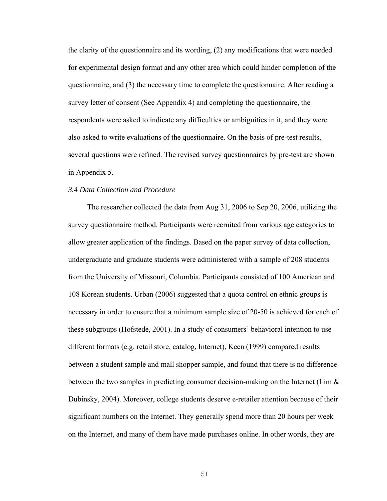the clarity of the questionnaire and its wording, (2) any modifications that were needed for experimental design format and any other area which could hinder completion of the questionnaire, and (3) the necessary time to complete the questionnaire. After reading a survey letter of consent (See Appendix 4) and completing the questionnaire, the respondents were asked to indicate any difficulties or ambiguities in it, and they were also asked to write evaluations of the questionnaire. On the basis of pre-test results, several questions were refined. The revised survey questionnaires by pre-test are shown in Appendix 5.

# *3.4 Data Collection and Procedure*

The researcher collected the data from Aug 31, 2006 to Sep 20, 2006, utilizing the survey questionnaire method. Participants were recruited from various age categories to allow greater application of the findings. Based on the paper survey of data collection, undergraduate and graduate students were administered with a sample of 208 students from the University of Missouri, Columbia. Participants consisted of 100 American and 108 Korean students. Urban (2006) suggested that a quota control on ethnic groups is necessary in order to ensure that a minimum sample size of 20-50 is achieved for each of these subgroups (Hofstede, 2001). In a study of consumers' behavioral intention to use different formats (e.g. retail store, catalog, Internet), Keen (1999) compared results between a student sample and mall shopper sample, and found that there is no difference between the two samples in predicting consumer decision-making on the Internet (Lim  $\&$ Dubinsky, 2004). Moreover, college students deserve e-retailer attention because of their significant numbers on the Internet. They generally spend more than 20 hours per week on the Internet, and many of them have made purchases online. In other words, they are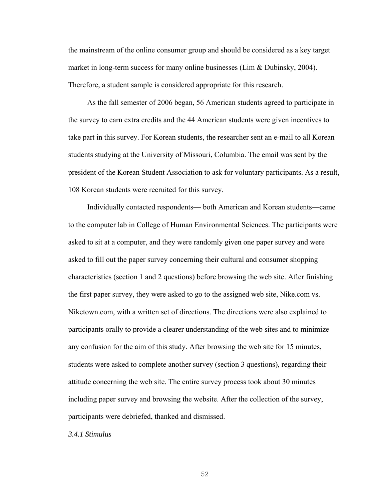the mainstream of the online consumer group and should be considered as a key target market in long-term success for many online businesses (Lim & Dubinsky, 2004). Therefore, a student sample is considered appropriate for this research.

As the fall semester of 2006 began, 56 American students agreed to participate in the survey to earn extra credits and the 44 American students were given incentives to take part in this survey. For Korean students, the researcher sent an e-mail to all Korean students studying at the University of Missouri, Columbia. The email was sent by the president of the Korean Student Association to ask for voluntary participants. As a result, 108 Korean students were recruited for this survey.

Individually contacted respondents— both American and Korean students—came to the computer lab in College of Human Environmental Sciences. The participants were asked to sit at a computer, and they were randomly given one paper survey and were asked to fill out the paper survey concerning their cultural and consumer shopping characteristics (section 1 and 2 questions) before browsing the web site. After finishing the first paper survey, they were asked to go to the assigned web site, Nike.com vs. Niketown.com, with a written set of directions. The directions were also explained to participants orally to provide a clearer understanding of the web sites and to minimize any confusion for the aim of this study. After browsing the web site for 15 minutes, students were asked to complete another survey (section 3 questions), regarding their attitude concerning the web site. The entire survey process took about 30 minutes including paper survey and browsing the website. After the collection of the survey, participants were debriefed, thanked and dismissed.

*3.4.1 Stimulus*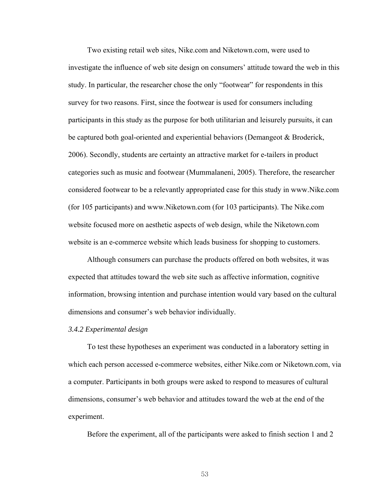Two existing retail web sites, Nike.com and Niketown.com, were used to investigate the influence of web site design on consumers' attitude toward the web in this study. In particular, the researcher chose the only "footwear" for respondents in this survey for two reasons. First, since the footwear is used for consumers including participants in this study as the purpose for both utilitarian and leisurely pursuits, it can be captured both goal-oriented and experiential behaviors (Demangeot & Broderick, 2006). Secondly, students are certainty an attractive market for e-tailers in product categories such as music and footwear (Mummalaneni, 2005). Therefore, the researcher considered footwear to be a relevantly appropriated case for this study in www.Nike.com (for 105 participants) and www.Niketown.com (for 103 participants). The Nike.com website focused more on aesthetic aspects of web design, while the Niketown.com website is an e-commerce website which leads business for shopping to customers.

Although consumers can purchase the products offered on both websites, it was expected that attitudes toward the web site such as affective information, cognitive information, browsing intention and purchase intention would vary based on the cultural dimensions and consumer's web behavior individually.

## *3.4.2 Experimental design*

To test these hypotheses an experiment was conducted in a laboratory setting in which each person accessed e-commerce websites, either Nike.com or Niketown.com, via a computer. Participants in both groups were asked to respond to measures of cultural dimensions, consumer's web behavior and attitudes toward the web at the end of the experiment.

Before the experiment, all of the participants were asked to finish section 1 and 2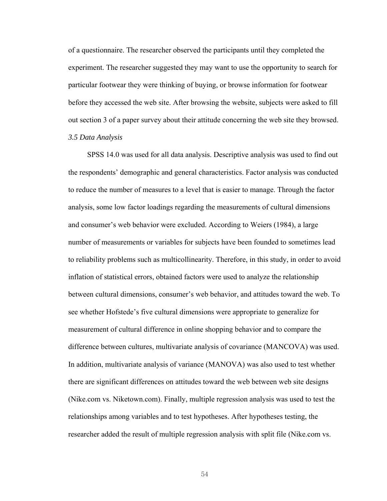of a questionnaire. The researcher observed the participants until they completed the experiment. The researcher suggested they may want to use the opportunity to search for particular footwear they were thinking of buying, or browse information for footwear before they accessed the web site. After browsing the website, subjects were asked to fill out section 3 of a paper survey about their attitude concerning the web site they browsed. *3.5 Data Analysis* 

SPSS 14.0 was used for all data analysis. Descriptive analysis was used to find out the respondents' demographic and general characteristics. Factor analysis was conducted to reduce the number of measures to a level that is easier to manage. Through the factor analysis, some low factor loadings regarding the measurements of cultural dimensions and consumer's web behavior were excluded. According to Weiers (1984), a large number of measurements or variables for subjects have been founded to sometimes lead to reliability problems such as multicollinearity. Therefore, in this study, in order to avoid inflation of statistical errors, obtained factors were used to analyze the relationship between cultural dimensions, consumer's web behavior, and attitudes toward the web. To see whether Hofstede's five cultural dimensions were appropriate to generalize for measurement of cultural difference in online shopping behavior and to compare the difference between cultures, multivariate analysis of covariance (MANCOVA) was used. In addition, multivariate analysis of variance (MANOVA) was also used to test whether there are significant differences on attitudes toward the web between web site designs (Nike.com vs. Niketown.com). Finally, multiple regression analysis was used to test the relationships among variables and to test hypotheses. After hypotheses testing, the researcher added the result of multiple regression analysis with split file (Nike.com vs.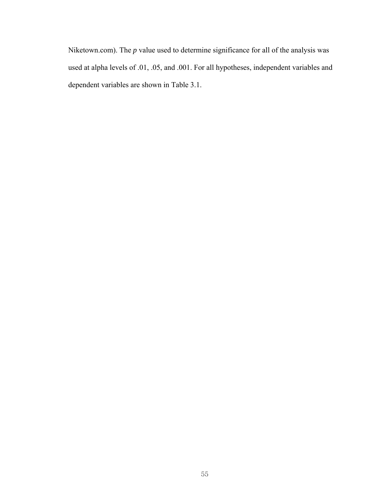Niketown.com). The *p* value used to determine significance for all of the analysis was used at alpha levels of .01, .05, and .001. For all hypotheses, independent variables and dependent variables are shown in Table 3.1.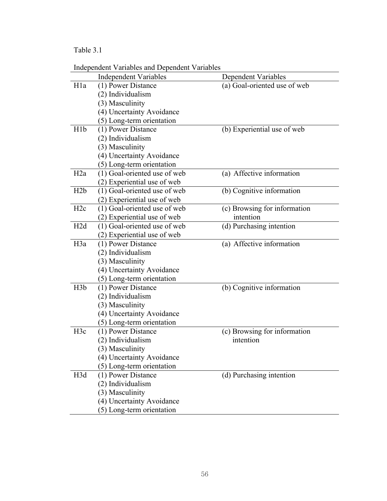# Table 3.1

|                  | <b>Independent Variables and Dependent Variables</b> |                              |
|------------------|------------------------------------------------------|------------------------------|
|                  | <b>Independent Variables</b>                         | Dependent Variables          |
| H <sub>1</sub> a | (1) Power Distance                                   | (a) Goal-oriented use of web |
|                  | (2) Individualism                                    |                              |
|                  | (3) Masculinity                                      |                              |
|                  | (4) Uncertainty Avoidance                            |                              |
|                  | (5) Long-term orientation                            |                              |
| H <sub>1</sub> b | (1) Power Distance                                   | (b) Experiential use of web  |
|                  | (2) Individualism                                    |                              |
|                  | (3) Masculinity                                      |                              |
|                  | (4) Uncertainty Avoidance                            |                              |
|                  | (5) Long-term orientation                            |                              |
| H2a              | (1) Goal-oriented use of web                         | (a) Affective information    |
|                  | (2) Experiential use of web                          |                              |
| H2b              | (1) Goal-oriented use of web                         | (b) Cognitive information    |
|                  | (2) Experiential use of web                          |                              |
| H2c              | (1) Goal-oriented use of web                         | (c) Browsing for information |
|                  | (2) Experiential use of web                          | intention                    |
| H <sub>2</sub> d | (1) Goal-oriented use of web                         | (d) Purchasing intention     |
|                  | (2) Experiential use of web                          |                              |
| H <sub>3</sub> a | (1) Power Distance                                   | (a) Affective information    |
|                  | (2) Individualism                                    |                              |
|                  | (3) Masculinity                                      |                              |
|                  | (4) Uncertainty Avoidance                            |                              |
|                  | (5) Long-term orientation                            |                              |
| H <sub>3</sub> b | (1) Power Distance                                   | (b) Cognitive information    |
|                  | (2) Individualism                                    |                              |
|                  | (3) Masculinity                                      |                              |
|                  | (4) Uncertainty Avoidance                            |                              |
|                  | (5) Long-term orientation                            |                              |
| H <sub>3c</sub>  | (1) Power Distance                                   | (c) Browsing for information |
|                  | (2) Individualism                                    | intention                    |
|                  | (3) Masculinity                                      |                              |
|                  | (4) Uncertainty Avoidance                            |                              |
|                  | (5) Long-term orientation                            |                              |
| H3d              | (1) Power Distance                                   | (d) Purchasing intention     |
|                  | (2) Individualism                                    |                              |
|                  | (3) Masculinity                                      |                              |
|                  | (4) Uncertainty Avoidance                            |                              |
|                  | (5) Long-term orientation                            |                              |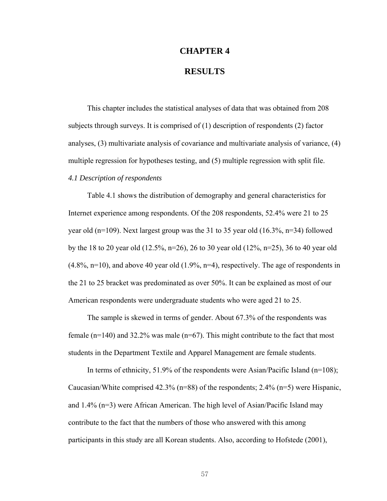# **CHAPTER 4**

# **RESULTS**

This chapter includes the statistical analyses of data that was obtained from 208 subjects through surveys. It is comprised of (1) description of respondents (2) factor analyses, (3) multivariate analysis of covariance and multivariate analysis of variance, (4) multiple regression for hypotheses testing, and (5) multiple regression with split file.

# *4.1 Description of respondents*

Table 4.1 shows the distribution of demography and general characteristics for Internet experience among respondents. Of the 208 respondents, 52.4% were 21 to 25 year old (n=109). Next largest group was the 31 to 35 year old (16.3%, n=34) followed by the 18 to 20 year old (12.5%, n=26), 26 to 30 year old (12%, n=25), 36 to 40 year old  $(4.8\%, n=10)$ , and above 40 year old  $(1.9\%, n=4)$ , respectively. The age of respondents in the 21 to 25 bracket was predominated as over 50%. It can be explained as most of our American respondents were undergraduate students who were aged 21 to 25.

The sample is skewed in terms of gender. About 67.3% of the respondents was female  $(n=140)$  and 32.2% was male  $(n=67)$ . This might contribute to the fact that most students in the Department Textile and Apparel Management are female students.

In terms of ethnicity, 51.9% of the respondents were Asian/Pacific Island (n=108); Caucasian/White comprised 42.3% (n=88) of the respondents; 2.4% (n=5) were Hispanic, and 1.4% (n=3) were African American. The high level of Asian/Pacific Island may contribute to the fact that the numbers of those who answered with this among participants in this study are all Korean students. Also, according to Hofstede (2001),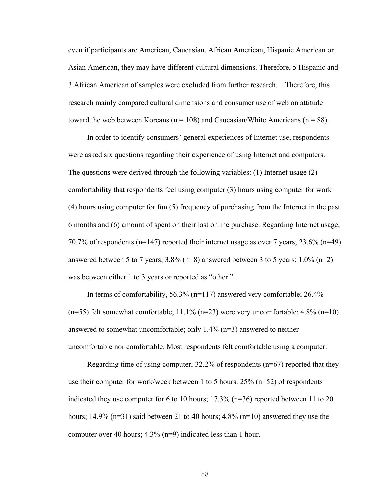even if participants are American, Caucasian, African American, Hispanic American or Asian American, they may have different cultural dimensions. Therefore, 5 Hispanic and 3 African American of samples were excluded from further research. Therefore, this research mainly compared cultural dimensions and consumer use of web on attitude toward the web between Koreans ( $n = 108$ ) and Caucasian/White Americans ( $n = 88$ ).

In order to identify consumers' general experiences of Internet use, respondents were asked six questions regarding their experience of using Internet and computers. The questions were derived through the following variables: (1) Internet usage (2) comfortability that respondents feel using computer (3) hours using computer for work (4) hours using computer for fun (5) frequency of purchasing from the Internet in the past 6 months and (6) amount of spent on their last online purchase. Regarding Internet usage, 70.7% of respondents ( $n=147$ ) reported their internet usage as over 7 years; 23.6% ( $n=49$ ) answered between 5 to 7 years;  $3.8\%$  (n=8) answered between 3 to 5 years;  $1.0\%$  (n=2) was between either 1 to 3 years or reported as "other."

In terms of comfortability, 56.3% (n=117) answered very comfortable; 26.4%  $(n=55)$  felt somewhat comfortable; 11.1%  $(n=23)$  were very uncomfortable; 4.8%  $(n=10)$ answered to somewhat uncomfortable; only 1.4% (n=3) answered to neither uncomfortable nor comfortable. Most respondents felt comfortable using a computer.

Regarding time of using computer, 32.2% of respondents (n=67) reported that they use their computer for work/week between 1 to 5 hours.  $25\%$  (n=52) of respondents indicated they use computer for 6 to 10 hours; 17.3% (n=36) reported between 11 to 20 hours; 14.9% ( $n=31$ ) said between 21 to 40 hours; 4.8% ( $n=10$ ) answered they use the computer over 40 hours; 4.3% (n=9) indicated less than 1 hour.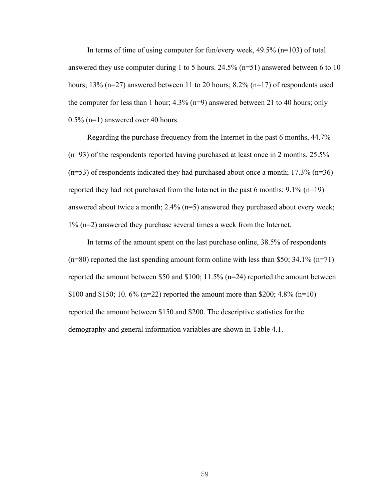In terms of time of using computer for fun/every week, 49.5% (n=103) of total answered they use computer during 1 to 5 hours. 24.5% (n=51) answered between 6 to 10 hours; 13% (n=27) answered between 11 to 20 hours; 8.2% (n=17) of respondents used the computer for less than 1 hour; 4.3% (n=9) answered between 21 to 40 hours; only 0.5% (n=1) answered over 40 hours.

Regarding the purchase frequency from the Internet in the past 6 months, 44.7% (n=93) of the respondents reported having purchased at least once in 2 months. 25.5%  $(n=53)$  of respondents indicated they had purchased about once a month; 17.3%  $(n=36)$ reported they had not purchased from the Internet in the past 6 months; 9.1% (n=19) answered about twice a month; 2.4% (n=5) answered they purchased about every week; 1% (n=2) answered they purchase several times a week from the Internet.

In terms of the amount spent on the last purchase online, 38.5% of respondents  $(n=80)$  reported the last spending amount form online with less than \$50; 34.1%  $(n=71)$ reported the amount between \$50 and \$100; 11.5% (n=24) reported the amount between \$100 and \$150; 10. 6% (n=22) reported the amount more than \$200; 4.8% (n=10) reported the amount between \$150 and \$200. The descriptive statistics for the demography and general information variables are shown in Table 4.1.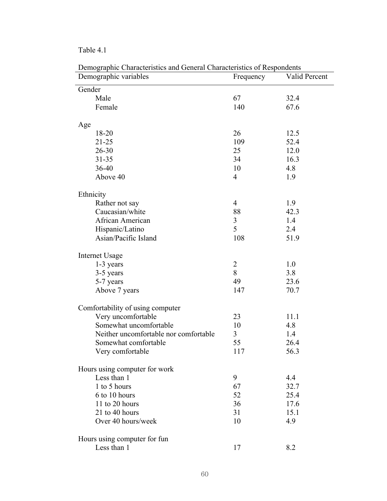Table 4.1

| Demographie Characteristics and General Characteristics of Respondents<br>Demographic variables | Frequency      | Valid Percent |
|-------------------------------------------------------------------------------------------------|----------------|---------------|
| Gender                                                                                          |                |               |
| Male                                                                                            | 67             | 32.4          |
| Female                                                                                          | 140            | 67.6          |
| Age                                                                                             |                |               |
| 18-20                                                                                           | 26             | 12.5          |
| $21 - 25$                                                                                       | 109            | 52.4          |
| $26 - 30$                                                                                       | 25             | 12.0          |
| $31 - 35$                                                                                       | 34             | 16.3          |
| 36-40                                                                                           | 10             | 4.8           |
| Above 40                                                                                        | $\overline{4}$ | 1.9           |
| Ethnicity                                                                                       |                |               |
| Rather not say                                                                                  | $\overline{4}$ | 1.9           |
| Caucasian/white                                                                                 | 88             | 42.3          |
| African American                                                                                | 3              | 1.4           |
| Hispanic/Latino                                                                                 | 5              | 2.4           |
| Asian/Pacific Island                                                                            | 108            | 51.9          |
| Internet Usage                                                                                  |                |               |
| 1-3 years                                                                                       | $\overline{2}$ | 1.0           |
| 3-5 years                                                                                       | 8              | 3.8           |
| 5-7 years                                                                                       | 49             | 23.6          |
| Above 7 years                                                                                   | 147            | 70.7          |
| Comfortability of using computer                                                                |                |               |
| Very uncomfortable                                                                              | 23             | 11.1          |
| Somewhat uncomfortable                                                                          | 10             | 4.8           |
| Neither uncomfortable nor comfortable                                                           | $\overline{3}$ | 1.4           |
| Somewhat comfortable                                                                            | 55             | 26.4          |
| Very comfortable                                                                                | 117            | 56.3          |
| Hours using computer for work                                                                   |                |               |
| Less than 1                                                                                     | 9              | 4.4           |
| 1 to 5 hours                                                                                    | 67             | 32.7          |
| 6 to 10 hours                                                                                   | 52             | 25.4          |
| 11 to 20 hours                                                                                  | 36             | 17.6          |
| 21 to 40 hours                                                                                  | 31             | 15.1          |
| Over 40 hours/week                                                                              | 10             | 4.9           |
| Hours using computer for fun                                                                    |                |               |
| Less than 1                                                                                     | 17             | 8.2           |

Demographic Characteristics and General Characteristics of Respondents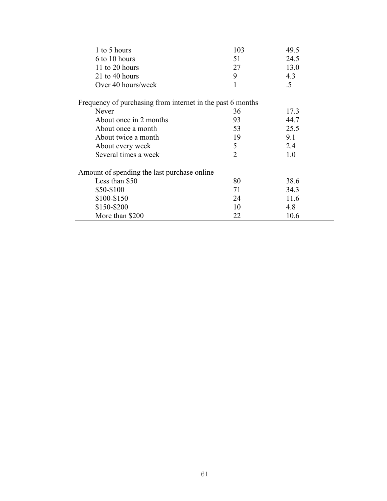| 1 to 5 hours                                               | 103            | 49.5   |  |
|------------------------------------------------------------|----------------|--------|--|
| 6 to 10 hours                                              | 51             | 24.5   |  |
| 11 to 20 hours                                             | 27             | 13.0   |  |
| 21 to 40 hours                                             | 9              | 4.3    |  |
| Over 40 hours/week                                         | 1              | $.5\,$ |  |
| Frequency of purchasing from internet in the past 6 months |                |        |  |
| Never                                                      | 36             | 17.3   |  |
| About once in 2 months                                     | 93             | 44.7   |  |
| About once a month                                         | 53             | 25.5   |  |
| About twice a month                                        | 19             | 9.1    |  |
| About every week                                           | 5              | 2.4    |  |
| Several times a week                                       | $\overline{2}$ | 1.0    |  |
| Amount of spending the last purchase online                |                |        |  |
| Less than \$50                                             | 80             | 38.6   |  |
| \$50-\$100                                                 | 71             | 34.3   |  |
| \$100-\$150                                                | 24             | 11.6   |  |
| \$150-\$200                                                | 10             | 4.8    |  |
| More than \$200                                            | 22             | 10.6   |  |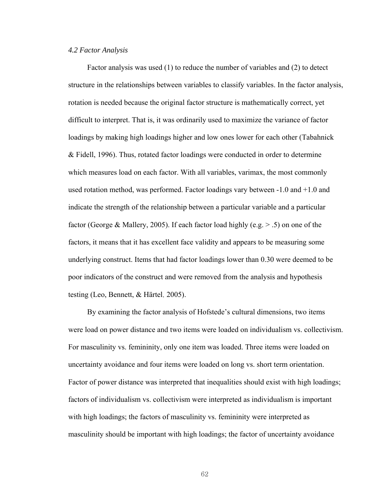#### *4.2 Factor Analysis*

Factor analysis was used (1) to reduce the number of variables and (2) to detect structure in the relationships between variables to classify variables. In the factor analysis, rotation is needed because the original factor structure is mathematically correct, yet difficult to interpret. That is, it was ordinarily used to maximize the variance of factor loadings by making high loadings higher and low ones lower for each other (Tabahnick & Fidell, 1996). Thus, rotated factor loadings were conducted in order to determine which measures load on each factor. With all variables, varimax, the most commonly used rotation method, was performed. Factor loadings vary between -1.0 and +1.0 and indicate the strength of the relationship between a particular variable and a particular factor (George & Mallery, 2005). If each factor load highly (e.g. > .5) on one of the factors, it means that it has excellent face validity and appears to be measuring some underlying construct. Items that had factor loadings lower than 0.30 were deemed to be poor indicators of the construct and were removed from the analysis and hypothesis testing (Leo, Bennett, & Härtel, 2005).

By examining the factor analysis of Hofstede's cultural dimensions, two items were load on power distance and two items were loaded on individualism vs. collectivism. For masculinity vs. femininity, only one item was loaded. Three items were loaded on uncertainty avoidance and four items were loaded on long vs. short term orientation. Factor of power distance was interpreted that inequalities should exist with high loadings; factors of individualism vs. collectivism were interpreted as individualism is important with high loadings; the factors of masculinity vs. femininity were interpreted as masculinity should be important with high loadings; the factor of uncertainty avoidance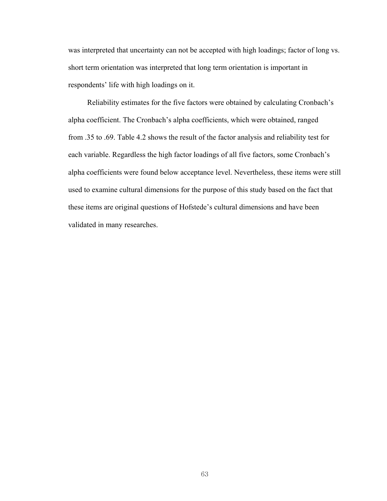was interpreted that uncertainty can not be accepted with high loadings; factor of long vs. short term orientation was interpreted that long term orientation is important in respondents' life with high loadings on it.

Reliability estimates for the five factors were obtained by calculating Cronbach's alpha coefficient. The Cronbach's alpha coefficients, which were obtained, ranged from .35 to .69. Table 4.2 shows the result of the factor analysis and reliability test for each variable. Regardless the high factor loadings of all five factors, some Cronbach's alpha coefficients were found below acceptance level. Nevertheless, these items were still used to examine cultural dimensions for the purpose of this study based on the fact that these items are original questions of Hofstede's cultural dimensions and have been validated in many researches.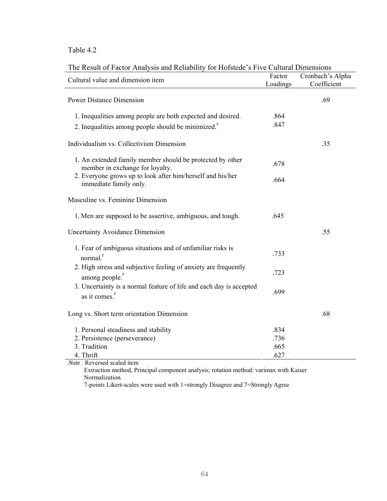| The Result of Factor Analysis and Reliability for Hofstede's Five Cultural Dimensions |
|---------------------------------------------------------------------------------------|
|---------------------------------------------------------------------------------------|

| Cultural value and dimension item                                                                | Factor   | Cronbach's Alpha |
|--------------------------------------------------------------------------------------------------|----------|------------------|
|                                                                                                  | Loadings | Coefficient      |
| <b>Power Distance Dimension</b>                                                                  |          | .69              |
| 1. Inequalities among people are both expected and desired.                                      | .864     |                  |
| 2. Inequalities among people should be minimized. <sup>1</sup>                                   | .847     |                  |
| Individualism vs. Collectivism Dimension                                                         |          | .35              |
| 1. An extended family member should be protected by other<br>member in exchange for loyalty.     | .678     |                  |
| 2. Everyone grows up to look after him/herself and his/her<br>immediate family only.             | .664     |                  |
| Masculine vs. Feminine Dimension                                                                 |          |                  |
| 1. Men are supposed to be assertive, ambiguous, and tough.                                       | .645     |                  |
| <b>Uncertainty Avoidance Dimension</b>                                                           |          | .55              |
| 1. Fear of ambiguous situations and of unfamiliar risks is<br>normal. <sup>r</sup>               | .733     |                  |
| 2. High stress and subjective feeling of anxiety are frequently<br>among people. <sup>r</sup>    | .723     |                  |
| 3. Uncertainty is a normal feature of life and each day is accepted<br>as it comes. <sup>r</sup> | .699     |                  |
| Long vs. Short term orientation Dimension                                                        |          | .68              |
| 1. Personal steadiness and stability                                                             | .834     |                  |
| 2. Persistence (perseverance)                                                                    | .736     |                  |
| 3. Tradition                                                                                     | .665     |                  |
| 4. Thrift                                                                                        | .627     |                  |
| <i>Note</i> Reversed scaled item                                                                 |          |                  |

*Note* . Reversed scaled item

 Extraction method, Principal component analysis; rotation method: varimax with Kaiser Normalization.

7-points Likert-scales were used with 1=strongly Disagree and 7=Strongly Agree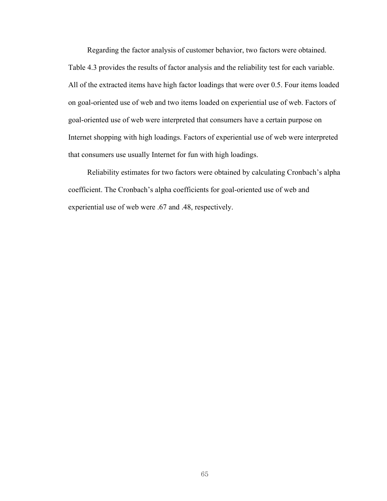Regarding the factor analysis of customer behavior, two factors were obtained. Table 4.3 provides the results of factor analysis and the reliability test for each variable. All of the extracted items have high factor loadings that were over 0.5. Four items loaded on goal-oriented use of web and two items loaded on experiential use of web. Factors of goal-oriented use of web were interpreted that consumers have a certain purpose on Internet shopping with high loadings. Factors of experiential use of web were interpreted that consumers use usually Internet for fun with high loadings.

Reliability estimates for two factors were obtained by calculating Cronbach's alpha coefficient. The Cronbach's alpha coefficients for goal-oriented use of web and experiential use of web were .67 and .48, respectively.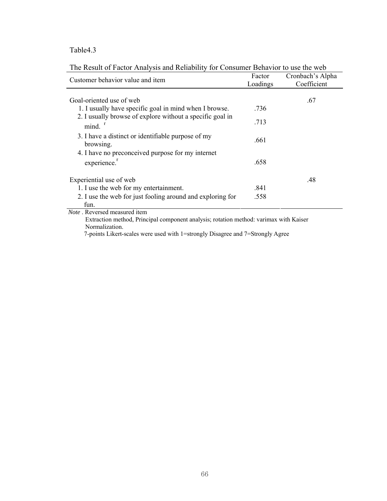| Customer behavior value and item                                                      | Factor<br>Loadings | Cronbach's Alpha<br>Coefficient |
|---------------------------------------------------------------------------------------|--------------------|---------------------------------|
| Goal-oriented use of web                                                              |                    | .67                             |
| 1. I usually have specific goal in mind when I browse.                                | .736               |                                 |
| 2. I usually browse of explore without a specific goal in<br>$mind.$ <sup>r</sup>     | .713               |                                 |
| 3. I have a distinct or identifiable purpose of my<br>browsing.                       | .661               |                                 |
| 4. I have no preconceived purpose for my internet<br>experience. <sup>1</sup>         | .658               |                                 |
| Experiential use of web                                                               |                    | .48                             |
| 1. I use the web for my entertainment.                                                | .841               |                                 |
| 2. I use the web for just fooling around and exploring for<br>fun.                    | .558               |                                 |
| <i>Note</i> . Reversed measured item                                                  |                    |                                 |
| Extraction method, Principal component analysis; rotation method: varimax with Kaiser |                    |                                 |

The Result of Factor Analysis and Reliability for Consumer Behavior to use the web

Normalization.

7-points Likert-scales were used with 1=strongly Disagree and 7=Strongly Agree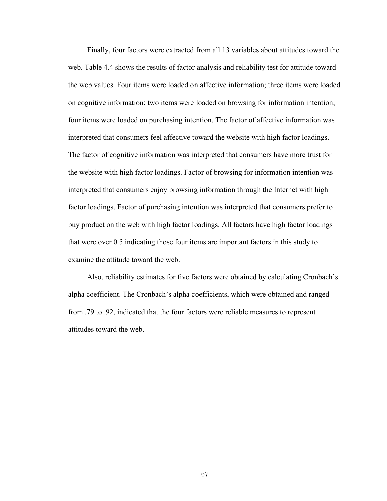Finally, four factors were extracted from all 13 variables about attitudes toward the web. Table 4.4 shows the results of factor analysis and reliability test for attitude toward the web values. Four items were loaded on affective information; three items were loaded on cognitive information; two items were loaded on browsing for information intention; four items were loaded on purchasing intention. The factor of affective information was interpreted that consumers feel affective toward the website with high factor loadings. The factor of cognitive information was interpreted that consumers have more trust for the website with high factor loadings. Factor of browsing for information intention was interpreted that consumers enjoy browsing information through the Internet with high factor loadings. Factor of purchasing intention was interpreted that consumers prefer to buy product on the web with high factor loadings. All factors have high factor loadings that were over 0.5 indicating those four items are important factors in this study to examine the attitude toward the web.

Also, reliability estimates for five factors were obtained by calculating Cronbach's alpha coefficient. The Cronbach's alpha coefficients, which were obtained and ranged from .79 to .92, indicated that the four factors were reliable measures to represent attitudes toward the web.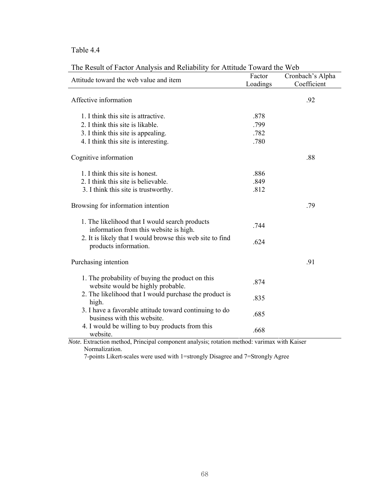| The icesuit of Factor Friarysis and icenability for Frimade Foward the Web               | Factor   | Cronbach's Alpha |
|------------------------------------------------------------------------------------------|----------|------------------|
| Attitude toward the web value and item                                                   | Loadings | Coefficient      |
|                                                                                          |          |                  |
| Affective information                                                                    |          | .92              |
|                                                                                          |          |                  |
| 1. I think this site is attractive.                                                      | .878     |                  |
| 2. I think this site is likable.                                                         | .799     |                  |
| 3. I think this site is appealing.                                                       | .782     |                  |
| 4. I think this site is interesting.                                                     | .780     |                  |
| Cognitive information                                                                    |          | .88              |
|                                                                                          |          |                  |
| 1. I think this site is honest.                                                          | .886     |                  |
| 2. I think this site is believable.                                                      | .849     |                  |
| 3. I think this site is trustworthy.                                                     | .812     |                  |
| Browsing for information intention                                                       |          | .79              |
| 1. The likelihood that I would search products<br>information from this website is high. | .744     |                  |
| 2. It is likely that I would browse this web site to find<br>products information.       | .624     |                  |
| Purchasing intention                                                                     |          | .91              |
| 1. The probability of buying the product on this<br>website would be highly probable.    | .874     |                  |
| 2. The likelihood that I would purchase the product is<br>high.                          | .835     |                  |
| 3. I have a favorable attitude toward continuing to do<br>business with this website.    | .685     |                  |
| 4. I would be willing to buy products from this<br>website.                              | .668     |                  |

The Result of Factor Analysis and Reliability for Attitude Toward the Web

*Note.* Extraction method, Principal component analysis; rotation method: varimax with Kaiser Normalization.

7-points Likert-scales were used with 1=strongly Disagree and 7=Strongly Agree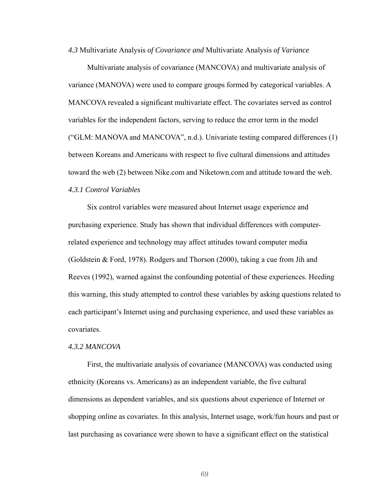*4.3* Multivariate Analysis *of Covariance and* Multivariate Analysis *of Variance*

Multivariate analysis of covariance (MANCOVA) and multivariate analysis of variance (MANOVA) were used to compare groups formed by categorical variables. A MANCOVA revealed a significant multivariate effect. The covariates served as control variables for the independent factors, serving to reduce the error term in the model ("GLM: MANOVA and MANCOVA", n.d.). Univariate testing compared differences (1) between Koreans and Americans with respect to five cultural dimensions and attitudes toward the web (2) between Nike.com and Niketown.com and attitude toward the web.

*4.3.1 Control Variables* 

Six control variables were measured about Internet usage experience and purchasing experience. Study has shown that individual differences with computerrelated experience and technology may affect attitudes toward computer media (Goldstein & Ford, 1978). Rodgers and Thorson (2000), taking a cue from Jih and Reeves (1992), warned against the confounding potential of these experiences. Heeding this warning, this study attempted to control these variables by asking questions related to each participant's Internet using and purchasing experience, and used these variables as covariates.

#### *4.3.2 MANCOVA*

First, the multivariate analysis of covariance (MANCOVA) was conducted using ethnicity (Koreans vs. Americans) as an independent variable, the five cultural dimensions as dependent variables, and six questions about experience of Internet or shopping online as covariates. In this analysis, Internet usage, work/fun hours and past or last purchasing as covariance were shown to have a significant effect on the statistical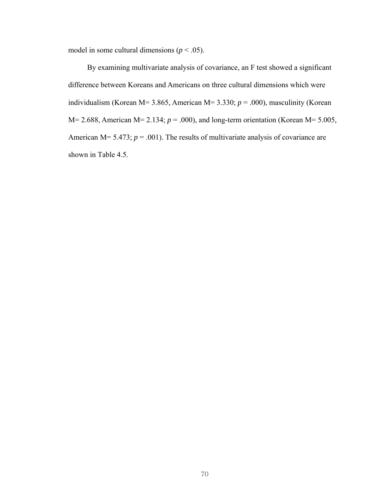model in some cultural dimensions ( $p < .05$ ).

By examining multivariate analysis of covariance, an F test showed a significant difference between Koreans and Americans on three cultural dimensions which were individualism (Korean M= 3.865, American M= 3.330;  $p = .000$ ), masculinity (Korean M= 2.688, American M= 2.134; *p* = .000), and long-term orientation (Korean M= 5.005, American M=  $5.473$ ;  $p = .001$ ). The results of multivariate analysis of covariance are shown in Table 4.5.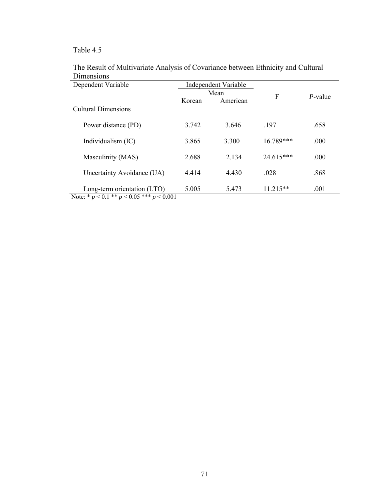| Dependent Variable                                                             |        | <b>Independent Variable</b> |             |         |
|--------------------------------------------------------------------------------|--------|-----------------------------|-------------|---------|
|                                                                                |        | Mean                        | F           | P-value |
|                                                                                | Korean | American                    |             |         |
| <b>Cultural Dimensions</b>                                                     |        |                             |             |         |
| Power distance (PD)                                                            | 3.742  | 3.646                       | .197        | .658    |
| Individualism (IC)                                                             | 3.865  | 3.300                       | $16.789***$ | .000    |
| Masculinity (MAS)                                                              | 2.688  | 2.134                       | 24.615***   | .000    |
| Uncertainty Avoidance (UA)                                                     | 4.414  | 4.430                       | .028        | .868    |
| Long-term orientation (LTO)<br>Note: * $p < 0.1$ ** $p < 0.05$ *** $p < 0.001$ | 5.005  | 5.473                       | $11.215**$  | .001    |

### The Result of Multivariate Analysis of Covariance between Ethnicity and Cultural Dimensions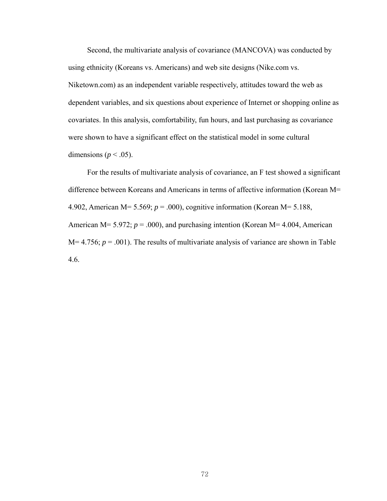Second, the multivariate analysis of covariance (MANCOVA) was conducted by using ethnicity (Koreans vs. Americans) and web site designs (Nike.com vs. Niketown.com) as an independent variable respectively, attitudes toward the web as dependent variables, and six questions about experience of Internet or shopping online as covariates. In this analysis, comfortability, fun hours, and last purchasing as covariance were shown to have a significant effect on the statistical model in some cultural dimensions ( $p < .05$ ).

For the results of multivariate analysis of covariance, an F test showed a significant difference between Koreans and Americans in terms of affective information (Korean M= 4.902, American M= 5.569; *p* = .000), cognitive information (Korean M= 5.188, American M= 5.972;  $p = .000$ ), and purchasing intention (Korean M= 4.004, American  $M=4.756$ ;  $p=.001$ ). The results of multivariate analysis of variance are shown in Table 4.6.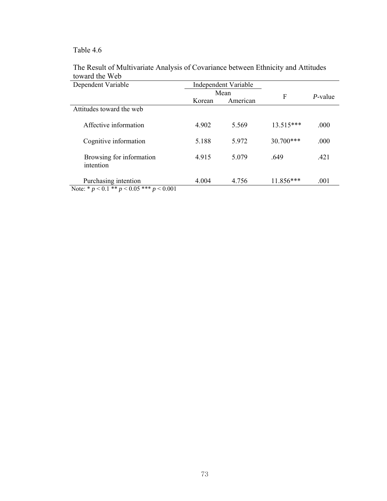| Dependent Variable                                               | <b>Independent Variable</b> |       |             |         |
|------------------------------------------------------------------|-----------------------------|-------|-------------|---------|
|                                                                  | Mean                        |       | F           | P-value |
|                                                                  | Korean<br>American          |       |             |         |
| Attitudes toward the web                                         |                             |       |             |         |
| Affective information                                            | 4.902                       | 5.569 | $13.515***$ | .000    |
| Cognitive information                                            | 5.188                       | 5.972 | $30.700***$ | .000    |
| Browsing for information<br>intention                            | 4.915                       | 5.079 | .649        | .421    |
| Purchasing intention<br>Note: $* n < 0.1** n < 0.05** n < 0.001$ | 4.004                       | 4.756 | 11.856***   | .001    |

### The Result of Multivariate Analysis of Covariance between Ethnicity and Attitudes toward the Web

Note: \* *p* < 0.1 \*\* *p* < 0.05 \*\*\* *p* < 0.001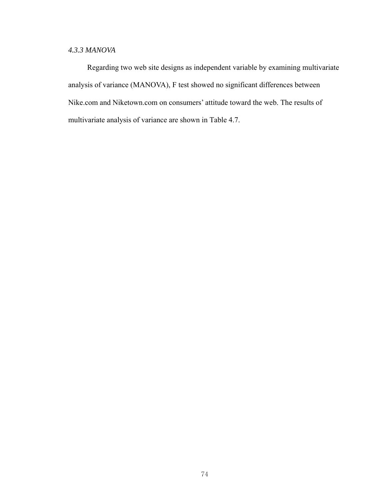## *4.3.3 MANOVA*

Regarding two web site designs as independent variable by examining multivariate analysis of variance (MANOVA), F test showed no significant differences between Nike.com and Niketown.com on consumers' attitude toward the web. The results of multivariate analysis of variance are shown in Table 4.7.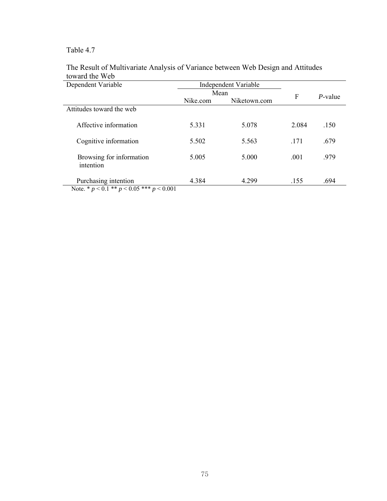| Dependent Variable                                               |          | Independent Variable |       |         |
|------------------------------------------------------------------|----------|----------------------|-------|---------|
|                                                                  | Mean     |                      |       |         |
|                                                                  | Nike.com | Niketown.com         | F     | P-value |
| Attitudes toward the web                                         |          |                      |       |         |
| Affective information                                            | 5.331    | 5.078                | 2.084 | .150    |
| Cognitive information                                            | 5.502    | 5.563                | .171  | .679    |
| Browsing for information<br>intention                            | 5.005    | 5.000                | .001  | .979    |
| Purchasing intention<br>Note $* n < 0.1** n < 0.05*** n < 0.001$ | 4.384    | 4.299                | .155  | .694    |

### The Result of Multivariate Analysis of Variance between Web Design and Attitudes toward the Web

Note. \* *p* < 0.1 \*\* *p* < 0.05 \*\*\* *p* < 0.001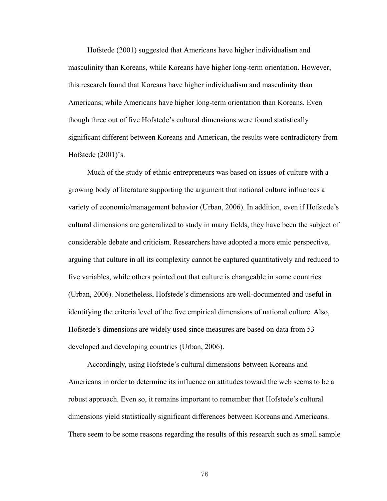Hofstede (2001) suggested that Americans have higher individualism and masculinity than Koreans, while Koreans have higher long-term orientation. However, this research found that Koreans have higher individualism and masculinity than Americans; while Americans have higher long-term orientation than Koreans. Even though three out of five Hofstede's cultural dimensions were found statistically significant different between Koreans and American, the results were contradictory from Hofstede (2001)'s.

Much of the study of ethnic entrepreneurs was based on issues of culture with a growing body of literature supporting the argument that national culture influences a variety of economic/management behavior (Urban, 2006). In addition, even if Hofstede's cultural dimensions are generalized to study in many fields, they have been the subject of considerable debate and criticism. Researchers have adopted a more emic perspective, arguing that culture in all its complexity cannot be captured quantitatively and reduced to five variables, while others pointed out that culture is changeable in some countries (Urban, 2006). Nonetheless, Hofstede's dimensions are well-documented and useful in identifying the criteria level of the five empirical dimensions of national culture. Also, Hofstede's dimensions are widely used since measures are based on data from 53 developed and developing countries (Urban, 2006).

Accordingly, using Hofstede's cultural dimensions between Koreans and Americans in order to determine its influence on attitudes toward the web seems to be a robust approach. Even so, it remains important to remember that Hofstede's cultural dimensions yield statistically significant differences between Koreans and Americans. There seem to be some reasons regarding the results of this research such as small sample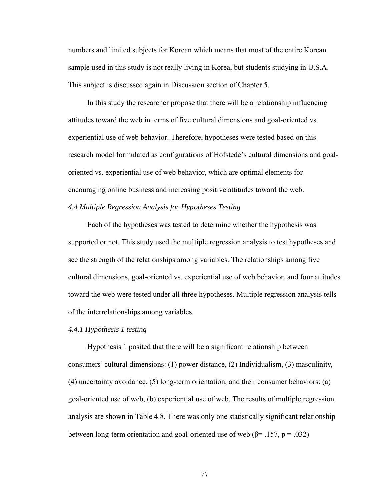numbers and limited subjects for Korean which means that most of the entire Korean sample used in this study is not really living in Korea, but students studying in U.S.A. This subject is discussed again in Discussion section of Chapter 5.

In this study the researcher propose that there will be a relationship influencing attitudes toward the web in terms of five cultural dimensions and goal-oriented vs. experiential use of web behavior. Therefore, hypotheses were tested based on this research model formulated as configurations of Hofstede's cultural dimensions and goaloriented vs. experiential use of web behavior, which are optimal elements for encouraging online business and increasing positive attitudes toward the web.

### *4.4 Multiple Regression Analysis for Hypotheses Testing*

Each of the hypotheses was tested to determine whether the hypothesis was supported or not. This study used the multiple regression analysis to test hypotheses and see the strength of the relationships among variables. The relationships among five cultural dimensions, goal-oriented vs. experiential use of web behavior, and four attitudes toward the web were tested under all three hypotheses. Multiple regression analysis tells of the interrelationships among variables.

#### *4.4.1 Hypothesis 1 testing*

Hypothesis 1 posited that there will be a significant relationship between consumers' cultural dimensions: (1) power distance, (2) Individualism, (3) masculinity, (4) uncertainty avoidance, (5) long-term orientation, and their consumer behaviors: (a) goal-oriented use of web, (b) experiential use of web. The results of multiple regression analysis are shown in Table 4.8. There was only one statistically significant relationship between long-term orientation and goal-oriented use of web ( $\beta$ = .157, p = .032)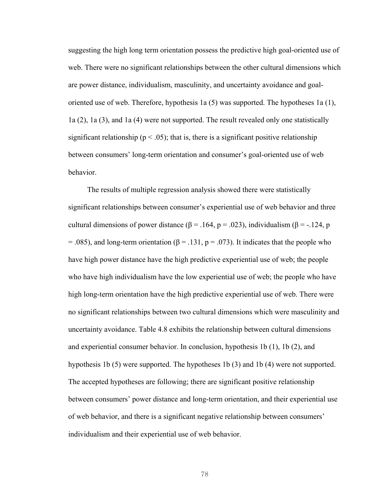suggesting the high long term orientation possess the predictive high goal-oriented use of web. There were no significant relationships between the other cultural dimensions which are power distance, individualism, masculinity, and uncertainty avoidance and goaloriented use of web. Therefore, hypothesis 1a (5) was supported. The hypotheses 1a (1), 1a (2), 1a (3), and 1a (4) were not supported. The result revealed only one statistically significant relationship ( $p < .05$ ); that is, there is a significant positive relationship between consumers' long-term orientation and consumer's goal-oriented use of web behavior.

The results of multiple regression analysis showed there were statistically significant relationships between consumer's experiential use of web behavior and three cultural dimensions of power distance ( $β = .164$ ,  $p = .023$ ), individualism ( $β = -.124$ , p = .085), and long-term orientation ( $\beta$  = .131, p = .073). It indicates that the people who have high power distance have the high predictive experiential use of web; the people who have high individualism have the low experiential use of web; the people who have high long-term orientation have the high predictive experiential use of web. There were no significant relationships between two cultural dimensions which were masculinity and uncertainty avoidance. Table 4.8 exhibits the relationship between cultural dimensions and experiential consumer behavior. In conclusion, hypothesis 1b (1), 1b (2), and hypothesis 1b (5) were supported. The hypotheses 1b (3) and 1b (4) were not supported. The accepted hypotheses are following; there are significant positive relationship between consumers' power distance and long-term orientation, and their experiential use of web behavior, and there is a significant negative relationship between consumers' individualism and their experiential use of web behavior.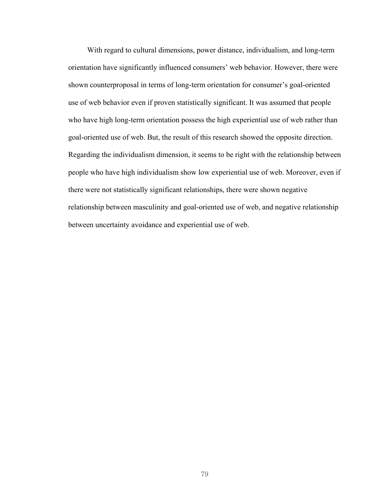With regard to cultural dimensions, power distance, individualism, and long-term orientation have significantly influenced consumers' web behavior. However, there were shown counterproposal in terms of long-term orientation for consumer's goal-oriented use of web behavior even if proven statistically significant. It was assumed that people who have high long-term orientation possess the high experiential use of web rather than goal-oriented use of web. But, the result of this research showed the opposite direction. Regarding the individualism dimension, it seems to be right with the relationship between people who have high individualism show low experiential use of web. Moreover, even if there were not statistically significant relationships, there were shown negative relationship between masculinity and goal-oriented use of web, and negative relationship between uncertainty avoidance and experiential use of web.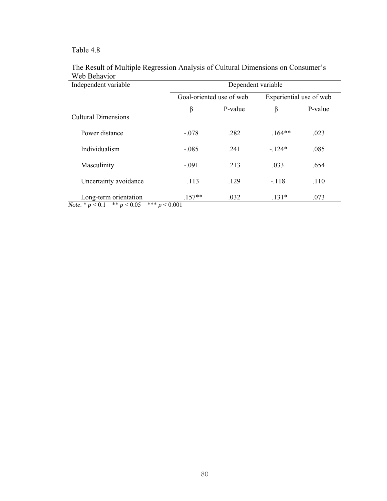| Independent variable                                             | Dependent variable          |                          |                         |         |  |  |
|------------------------------------------------------------------|-----------------------------|--------------------------|-------------------------|---------|--|--|
|                                                                  |                             | Goal-oriented use of web | Experiential use of web |         |  |  |
|                                                                  |                             | P-value                  |                         | P-value |  |  |
| <b>Cultural Dimensions</b>                                       |                             |                          |                         |         |  |  |
| Power distance                                                   | $-.078$                     | .282                     | $.164**$                | .023    |  |  |
| Individualism                                                    | $-.085$                     | .241                     | $-124*$                 | .085    |  |  |
| Masculinity                                                      | $-.091$                     | .213                     | .033                    | .654    |  |  |
| Uncertainty avoidance                                            | .113                        | .129                     | $-118$                  | .110    |  |  |
| Long-term orientation<br><i>Note</i> . * $p < 0.1$ ** $p < 0.05$ | $.157**$<br>*** $p < 0.001$ | .032                     | $.131*$                 | .073    |  |  |

### The Result of Multiple Regression Analysis of Cultural Dimensions on Consumer's Web Behavior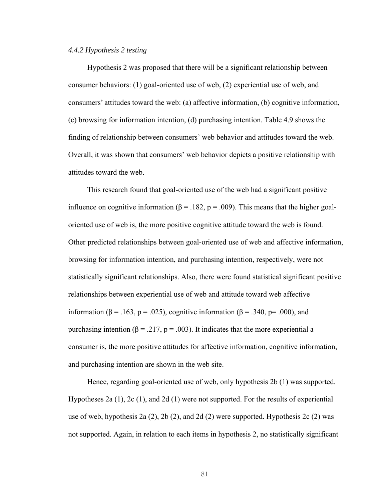#### *4.4.2 Hypothesis 2 testing*

Hypothesis 2 was proposed that there will be a significant relationship between consumer behaviors: (1) goal-oriented use of web, (2) experiential use of web, and consumers' attitudes toward the web: (a) affective information, (b) cognitive information, (c) browsing for information intention, (d) purchasing intention. Table 4.9 shows the finding of relationship between consumers' web behavior and attitudes toward the web. Overall, it was shown that consumers' web behavior depicts a positive relationship with attitudes toward the web.

This research found that goal-oriented use of the web had a significant positive influence on cognitive information ( $\beta$  = .182, p = .009). This means that the higher goaloriented use of web is, the more positive cognitive attitude toward the web is found. Other predicted relationships between goal-oriented use of web and affective information, browsing for information intention, and purchasing intention, respectively, were not statistically significant relationships. Also, there were found statistical significant positive relationships between experiential use of web and attitude toward web affective information ( $\beta$  = .163, p = .025), cognitive information ( $\beta$  = .340, p= .000), and purchasing intention (β = .217, p = .003). It indicates that the more experiential a consumer is, the more positive attitudes for affective information, cognitive information, and purchasing intention are shown in the web site.

Hence, regarding goal-oriented use of web, only hypothesis 2b (1) was supported. Hypotheses 2a (1), 2c (1), and 2d (1) were not supported. For the results of experiential use of web, hypothesis 2a (2), 2b (2), and 2d (2) were supported. Hypothesis 2c (2) was not supported. Again, in relation to each items in hypothesis 2, no statistically significant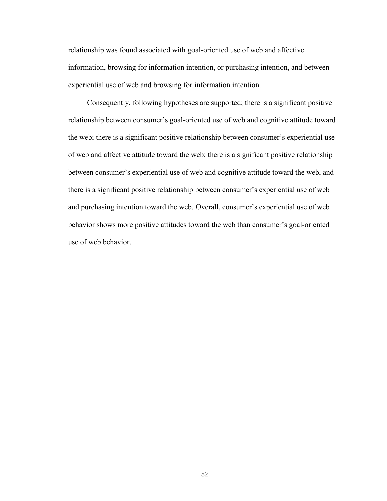relationship was found associated with goal-oriented use of web and affective information, browsing for information intention, or purchasing intention, and between experiential use of web and browsing for information intention.

Consequently, following hypotheses are supported; there is a significant positive relationship between consumer's goal-oriented use of web and cognitive attitude toward the web; there is a significant positive relationship between consumer's experiential use of web and affective attitude toward the web; there is a significant positive relationship between consumer's experiential use of web and cognitive attitude toward the web, and there is a significant positive relationship between consumer's experiential use of web and purchasing intention toward the web. Overall, consumer's experiential use of web behavior shows more positive attitudes toward the web than consumer's goal-oriented use of web behavior.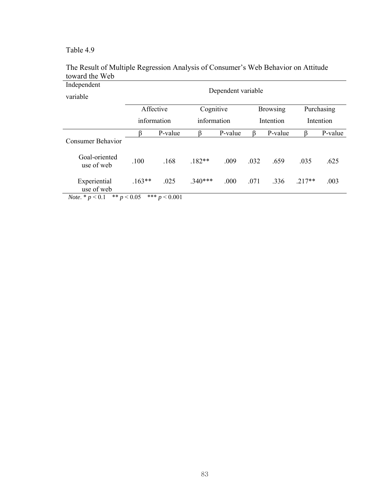| Independent                                | Dependent variable         |                 |           |           |                 |           |            |         |  |  |
|--------------------------------------------|----------------------------|-----------------|-----------|-----------|-----------------|-----------|------------|---------|--|--|
| variable                                   |                            |                 |           |           |                 |           |            |         |  |  |
|                                            | Affective                  |                 | Cognitive |           | <b>Browsing</b> |           | Purchasing |         |  |  |
|                                            | information<br>information |                 |           | Intention |                 | Intention |            |         |  |  |
|                                            |                            | P-value         |           | P-value   | ß               | P-value   | ß          | P-value |  |  |
| <b>Consumer Behavior</b>                   |                            |                 |           |           |                 |           |            |         |  |  |
| Goal-oriented<br>use of web                | .100                       | .168            | $.182**$  | .009      | .032            | .659      | .035       | .625    |  |  |
| Experiential<br>use of web                 | $.163**$                   | .025            | $.340***$ | .000      | .071            | .336      | $.217**$   | .003    |  |  |
| ** $p < 0.05$<br><i>Note</i> . $* p < 0.1$ |                            | *** $p < 0.001$ |           |           |                 |           |            |         |  |  |

### The Result of Multiple Regression Analysis of Consumer's Web Behavior on Attitude toward the Web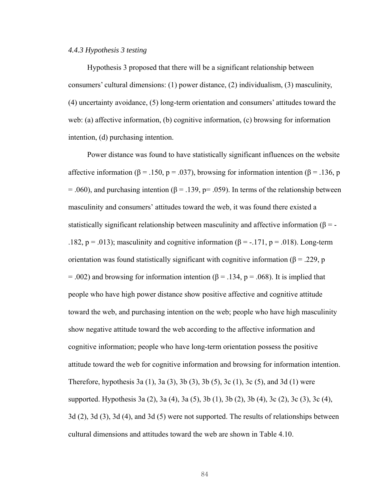#### *4.4.3 Hypothesis 3 testing*

Hypothesis 3 proposed that there will be a significant relationship between consumers' cultural dimensions: (1) power distance, (2) individualism, (3) masculinity, (4) uncertainty avoidance, (5) long-term orientation and consumers' attitudes toward the web: (a) affective information, (b) cognitive information, (c) browsing for information intention, (d) purchasing intention.

Power distance was found to have statistically significant influences on the website affective information (β = .150, p = .037), browsing for information intention (β = .136, p  $= .060$ ), and purchasing intention ( $\beta = .139$ ,  $p = .059$ ). In terms of the relationship between masculinity and consumers' attitudes toward the web, it was found there existed a statistically significant relationship between masculinity and affective information ( $\beta = -$ .182,  $p = .013$ ; masculinity and cognitive information ( $\beta = -.171$ ,  $p = .018$ ). Long-term orientation was found statistically significant with cognitive information ( $\beta$  = .229, p  $= .002$ ) and browsing for information intention ( $\beta = .134$ ,  $p = .068$ ). It is implied that people who have high power distance show positive affective and cognitive attitude toward the web, and purchasing intention on the web; people who have high masculinity show negative attitude toward the web according to the affective information and cognitive information; people who have long-term orientation possess the positive attitude toward the web for cognitive information and browsing for information intention. Therefore, hypothesis 3a (1), 3a (3), 3b (3), 3b (5), 3c (1), 3c (5), and 3d (1) were supported. Hypothesis 3a (2), 3a (4), 3a (5), 3b (1), 3b (2), 3b (4), 3c (2), 3c (3), 3c (4), 3d (2), 3d (3), 3d (4), and 3d (5) were not supported. The results of relationships between cultural dimensions and attitudes toward the web are shown in Table 4.10.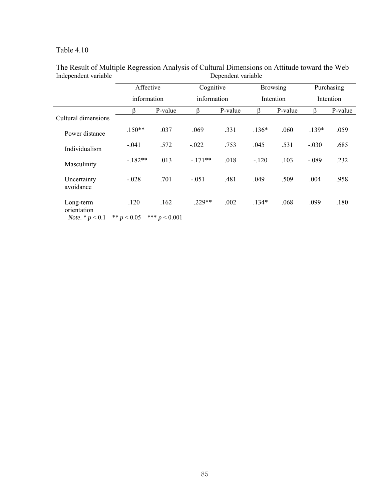| Independent variable                                         | Dependent variable     |                            |           |           |           |                 |         |            |  |
|--------------------------------------------------------------|------------------------|----------------------------|-----------|-----------|-----------|-----------------|---------|------------|--|
|                                                              |                        | Affective                  |           | Cognitive |           | <b>Browsing</b> |         | Purchasing |  |
|                                                              |                        | information<br>information |           |           | Intention | Intention       |         |            |  |
|                                                              | R                      | P-value                    | ß         | P-value   | ß         | P-value         | ß       | P-value    |  |
| Cultural dimensions                                          |                        |                            |           |           |           |                 |         |            |  |
| Power distance                                               | $.150**$               | .037                       | .069      | .331      | $.136*$   | .060            | $.139*$ | .059       |  |
| Individualism                                                | $-.041$                | .572                       | $-.022$   | .753      | .045      | .531            | $-.030$ | .685       |  |
| Masculinity                                                  | $-.182**$              | .013                       | $-.171**$ | .018      | $-.120$   | .103            | $-.089$ | .232       |  |
| Uncertainty<br>avoidance                                     | $-.028$                | .701                       | $-.051$   | .481      | .049      | .509            | .004    | .958       |  |
| Long-term<br>orientation<br>$N_{\text{obs}}$ * $\approx$ 0.1 | .120<br>** $\sim$ 0.05 | .162<br>*** $\sim$ 0.001   | $.229**$  | .002      | $.134*$   | .068            | .099    | .180       |  |

### The Result of Multiple Regression Analysis of Cultural Dimensions on Attitude toward the Web Independent variable Dependent variable

*Note*. \* *p* < 0.1 \*\* *p* < 0.05 \*\*\* *p* < 0.001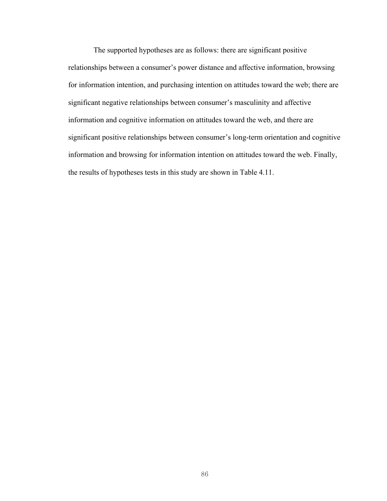The supported hypotheses are as follows: there are significant positive relationships between a consumer's power distance and affective information, browsing for information intention, and purchasing intention on attitudes toward the web; there are significant negative relationships between consumer's masculinity and affective information and cognitive information on attitudes toward the web, and there are significant positive relationships between consumer's long-term orientation and cognitive information and browsing for information intention on attitudes toward the web. Finally, the results of hypotheses tests in this study are shown in Table 4.11.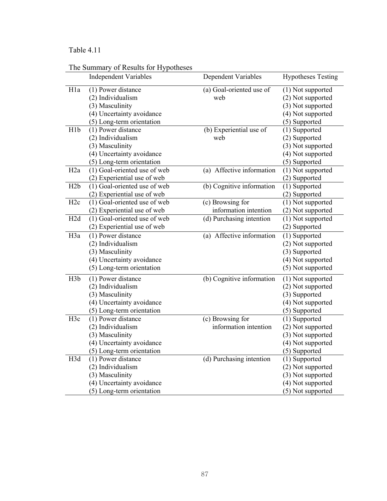|                  | The Summary of Results for Hypotheses     |                            |                            |
|------------------|-------------------------------------------|----------------------------|----------------------------|
|                  | <b>Independent Variables</b>              | <b>Dependent Variables</b> | <b>Hypotheses Testing</b>  |
| H <sub>1</sub> a | (1) Power distance                        | (a) Goal-oriented use of   | (1) Not supported          |
|                  | (2) Individualism                         | web                        | (2) Not supported          |
|                  | (3) Masculinity                           |                            | (3) Not supported          |
|                  | (4) Uncertainty avoidance                 |                            | (4) Not supported          |
|                  | (5) Long-term orientation                 |                            | (5) Supported              |
| H <sub>1</sub> b | (1) Power distance                        | (b) Experiential use of    | (1) Supported              |
|                  | (2) Individualism                         | web                        | (2) Supported              |
|                  | (3) Masculinity                           |                            | (3) Not supported          |
|                  | (4) Uncertainty avoidance                 |                            | (4) Not supported          |
|                  | (5) Long-term orientation                 |                            | (5) Supported              |
| H <sub>2</sub> a | (1) Goal-oriented use of web              | (a) Affective information  | (1) Not supported          |
|                  | (2) Experiential use of web               |                            | (2) Supported              |
| H2b              | $\overline{(1)}$ Goal-oriented use of web | (b) Cognitive information  | (1) Supported              |
|                  | (2) Experiential use of web               |                            | (2) Supported              |
| H <sub>2c</sub>  | (1) Goal-oriented use of web              | (c) Browsing for           | (1) Not supported          |
|                  | (2) Experiential use of web               | information intention      | (2) Not supported          |
| H <sub>2d</sub>  | (1) Goal-oriented use of web              | (d) Purchasing intention   | (1) Not supported          |
|                  | (2) Experiential use of web               |                            | (2) Supported              |
| H3a              | (1) Power distance                        | (a) Affective information  | $\overline{(1)}$ Supported |
|                  | (2) Individualism                         |                            | (2) Not supported          |
|                  | (3) Masculinity                           |                            | (3) Supported              |
|                  | (4) Uncertainty avoidance                 |                            | (4) Not supported          |
|                  | (5) Long-term orientation                 |                            | (5) Not supported          |
| H <sub>3</sub> b | (1) Power distance                        | (b) Cognitive information  | (1) Not supported          |
|                  | (2) Individualism                         |                            | (2) Not supported          |
|                  | (3) Masculinity                           |                            | (3) Supported              |
|                  | (4) Uncertainty avoidance                 |                            | (4) Not supported          |
|                  | (5) Long-term orientation                 |                            | (5) Supported              |
| H <sub>3c</sub>  | (1) Power distance                        | (c) Browsing for           | (1) Supported              |
|                  | (2) Individualism                         | information intention      | (2) Not supported          |
|                  | (3) Masculinity                           |                            | (3) Not supported          |
|                  | (4) Uncertainty avoidance                 |                            | (4) Not supported          |
|                  | (5) Long-term orientation                 |                            | (5) Supported              |
| H3d              | (1) Power distance                        | (d) Purchasing intention   | (1) Supported              |
|                  | (2) Individualism                         |                            | (2) Not supported          |
|                  | (3) Masculinity                           |                            | (3) Not supported          |
|                  | (4) Uncertainty avoidance                 |                            | (4) Not supported          |
|                  | (5) Long-term orientation                 |                            | (5) Not supported          |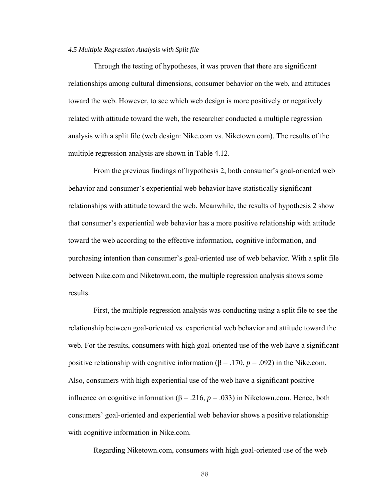#### *4.5 Multiple Regression Analysis with Split file*

Through the testing of hypotheses, it was proven that there are significant relationships among cultural dimensions, consumer behavior on the web, and attitudes toward the web. However, to see which web design is more positively or negatively related with attitude toward the web, the researcher conducted a multiple regression analysis with a split file (web design: Nike.com vs. Niketown.com). The results of the multiple regression analysis are shown in Table 4.12.

From the previous findings of hypothesis 2, both consumer's goal-oriented web behavior and consumer's experiential web behavior have statistically significant relationships with attitude toward the web. Meanwhile, the results of hypothesis 2 show that consumer's experiential web behavior has a more positive relationship with attitude toward the web according to the effective information, cognitive information, and purchasing intention than consumer's goal-oriented use of web behavior. With a split file between Nike.com and Niketown.com, the multiple regression analysis shows some results.

First, the multiple regression analysis was conducting using a split file to see the relationship between goal-oriented vs. experiential web behavior and attitude toward the web. For the results, consumers with high goal-oriented use of the web have a significant positive relationship with cognitive information ( $\beta$  = .170,  $p$  = .092) in the Nike.com. Also, consumers with high experiential use of the web have a significant positive influence on cognitive information ( $\beta$  = .216,  $p$  = .033) in Niketown.com. Hence, both consumers' goal-oriented and experiential web behavior shows a positive relationship with cognitive information in Nike.com.

Regarding Niketown.com, consumers with high goal-oriented use of the web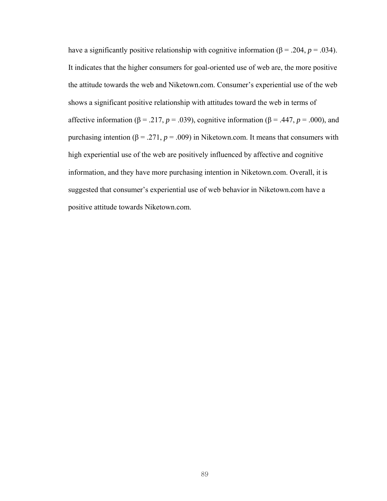have a significantly positive relationship with cognitive information ( $\beta$  = .204, *p* = .034). It indicates that the higher consumers for goal-oriented use of web are, the more positive the attitude towards the web and Niketown.com. Consumer's experiential use of the web shows a significant positive relationship with attitudes toward the web in terms of affective information ( $\beta$  = .217, *p* = .039), cognitive information ( $\beta$  = .447, *p* = .000), and purchasing intention (β = .271,  $p = .009$ ) in Niketown.com. It means that consumers with high experiential use of the web are positively influenced by affective and cognitive information, and they have more purchasing intention in Niketown.com. Overall, it is suggested that consumer's experiential use of web behavior in Niketown.com have a positive attitude towards Niketown.com.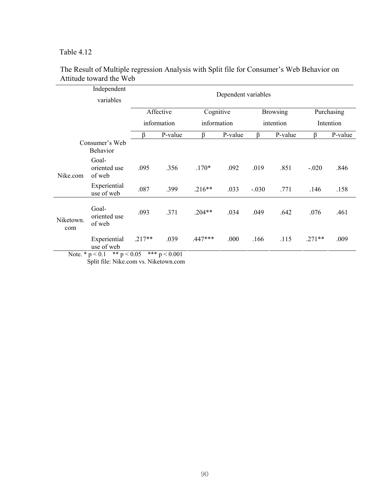|                  | Independent<br>variables                                        |          |                         |             | Dependent variables |         |                 |          |            |
|------------------|-----------------------------------------------------------------|----------|-------------------------|-------------|---------------------|---------|-----------------|----------|------------|
|                  |                                                                 |          | Affective               | Cognitive   |                     |         | <b>Browsing</b> |          | Purchasing |
|                  |                                                                 |          | information             | information |                     |         | intention       |          | Intention  |
|                  |                                                                 | ß        | P-value                 | ß           | P-value             | ß       | P-value         | ß        | P-value    |
|                  | Consumer's Web<br>Behavior                                      |          |                         |             |                     |         |                 |          |            |
| Nike.com         | Goal-<br>oriented use<br>of web                                 | .095     | .356                    | $.170*$     | .092                | .019    | .851            | $-.020$  | .846       |
|                  | Experiential<br>use of web                                      | .087     | .399                    | $.216**$    | .033                | $-.030$ | .771            | .146     | .158       |
| Niketown.<br>com | Goal-<br>oriented use<br>of web                                 | .093     | .371                    | $.204**$    | .034                | .049    | .642            | .076     | .461       |
|                  | Experiential<br>use of web<br>Note $* n < 0.1$<br>** $n < 0.05$ | $.217**$ | .039<br>*** $p < 0.001$ | $.447***$   | .000                | .166    | .115            | $.271**$ | .009       |

#### The Result of Multiple regression Analysis with Split file for Consumer's Web Behavior on Attitude toward the Web

Note. \*  $p < 0.1$  \*\*  $p < 0.05$  \*\*\*  $p < 0.001$ Split file: Nike.com vs. Niketown.com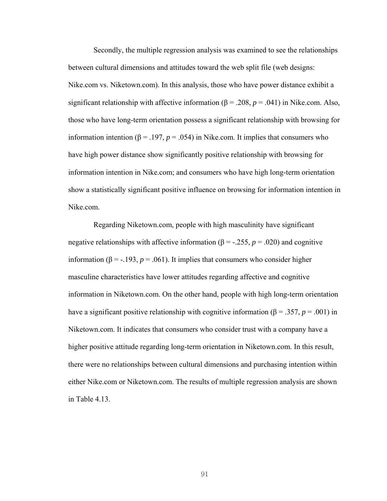Secondly, the multiple regression analysis was examined to see the relationships between cultural dimensions and attitudes toward the web split file (web designs: Nike.com vs. Niketown.com). In this analysis, those who have power distance exhibit a significant relationship with affective information ( $\beta$  = .208,  $p$  = .041) in Nike.com. Also, those who have long-term orientation possess a significant relationship with browsing for information intention (β = .197,  $p = .054$ ) in Nike.com. It implies that consumers who have high power distance show significantly positive relationship with browsing for information intention in Nike.com; and consumers who have high long-term orientation show a statistically significant positive influence on browsing for information intention in Nike.com.

Regarding Niketown.com, people with high masculinity have significant negative relationships with affective information ( $\beta$  = -.255,  $p$  = .020) and cognitive information (β = -.193,  $p = .061$ ). It implies that consumers who consider higher masculine characteristics have lower attitudes regarding affective and cognitive information in Niketown.com. On the other hand, people with high long-term orientation have a significant positive relationship with cognitive information ( $\beta$  = .357, *p* = .001) in Niketown.com. It indicates that consumers who consider trust with a company have a higher positive attitude regarding long-term orientation in Niketown.com. In this result, there were no relationships between cultural dimensions and purchasing intention within either Nike.com or Niketown.com. The results of multiple regression analysis are shown in Table 4.13.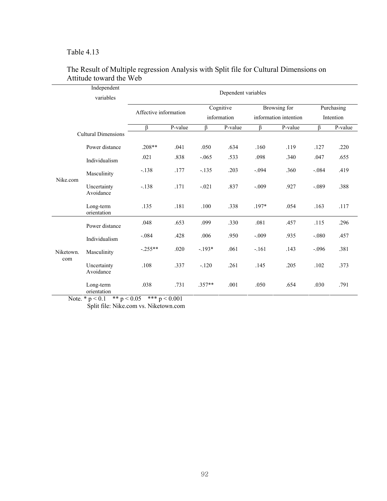$\overline{a}$ 

| Independent<br>variables |                            | Dependent variables   |         |             |         |                       |         |            |         |
|--------------------------|----------------------------|-----------------------|---------|-------------|---------|-----------------------|---------|------------|---------|
|                          |                            | Affective information |         | Cognitive   |         | Browsing for          |         | Purchasing |         |
|                          |                            |                       |         | information |         | information intention |         | Intention  |         |
|                          |                            | ß                     | P-value | ß           | P-value | $\beta$               | P-value | $\beta$    | P-value |
|                          | <b>Cultural Dimensions</b> |                       |         |             |         |                       |         |            |         |
| Nike.com                 | Power distance             | $.208**$              | .041    | .050        | .634    | .160                  | .119    | .127       | .220    |
|                          | Individualism              | .021                  | .838    | $-.065$     | .533    | .098                  | .340    | .047       | .655    |
|                          | Masculinity                | $-.138$               | .177    | $-.135$     | .203    | $-.094$               | .360    | $-.084$    | .419    |
|                          | Uncertainty<br>Avoidance   | $-.138$               | .171    | $-.021$     | .837    | $-.009$               | .927    | $-.089$    | .388    |
|                          | Long-term<br>orientation   | .135                  | .181    | .100        | .338    | $.197*$               | .054    | .163       | .117    |
| Niketown.<br>com         | Power distance             | .048                  | .653    | .099        | .330    | .081                  | .457    | .115       | .296    |
|                          | Individualism              | $-.084$               | .428    | .006        | .950    | $-.009$               | .935    | $-.080$    | .457    |
|                          | Masculinity                | $-.255**$             | .020    | $-193*$     | .061    | $-.161$               | .143    | $-.096$    | .381    |
|                          | Uncertainty<br>Avoidance   | .108                  | .337    | $-.120$     | .261    | .145                  | .205    | .102       | .373    |
|                          | Long-term<br>orientation   | .038<br>$\cdots$      | .731    | $.357**$    | .001    | .050                  | .654    | .030       | .791    |

### The Result of Multiple regression Analysis with Split file for Cultural Dimensions on Attitude toward the Web

Note. \*  $p < 0.1$  \*\*  $p < 0.05$  \*\*\*  $p < 0.001$ Split file: Nike.com vs. Niketown.com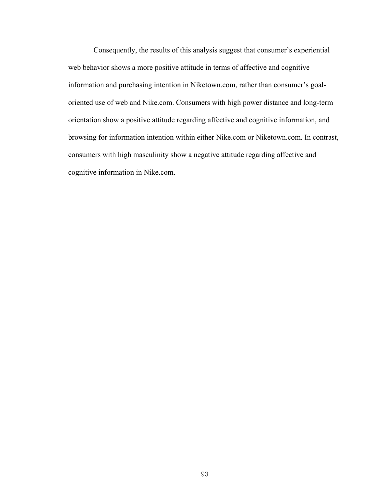Consequently, the results of this analysis suggest that consumer's experiential web behavior shows a more positive attitude in terms of affective and cognitive information and purchasing intention in Niketown.com, rather than consumer's goaloriented use of web and Nike.com. Consumers with high power distance and long-term orientation show a positive attitude regarding affective and cognitive information, and browsing for information intention within either Nike.com or Niketown.com. In contrast, consumers with high masculinity show a negative attitude regarding affective and cognitive information in Nike.com.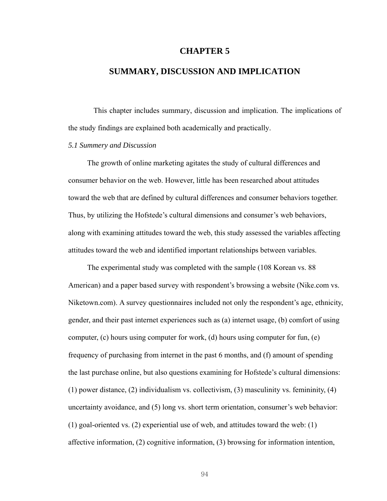#### **CHAPTER 5**

### **SUMMARY, DISCUSSION AND IMPLICATION**

This chapter includes summary, discussion and implication. The implications of the study findings are explained both academically and practically.

#### *5.1 Summery and Discussion*

The growth of online marketing agitates the study of cultural differences and consumer behavior on the web. However, little has been researched about attitudes toward the web that are defined by cultural differences and consumer behaviors together. Thus, by utilizing the Hofstede's cultural dimensions and consumer's web behaviors, along with examining attitudes toward the web, this study assessed the variables affecting attitudes toward the web and identified important relationships between variables.

The experimental study was completed with the sample (108 Korean vs. 88 American) and a paper based survey with respondent's browsing a website (Nike.com vs. Niketown.com). A survey questionnaires included not only the respondent's age, ethnicity, gender, and their past internet experiences such as (a) internet usage, (b) comfort of using computer, (c) hours using computer for work, (d) hours using computer for fun, (e) frequency of purchasing from internet in the past 6 months, and (f) amount of spending the last purchase online, but also questions examining for Hofstede's cultural dimensions: (1) power distance, (2) individualism vs. collectivism, (3) masculinity vs. femininity, (4) uncertainty avoidance, and (5) long vs. short term orientation, consumer's web behavior: (1) goal-oriented vs. (2) experiential use of web, and attitudes toward the web: (1) affective information, (2) cognitive information, (3) browsing for information intention,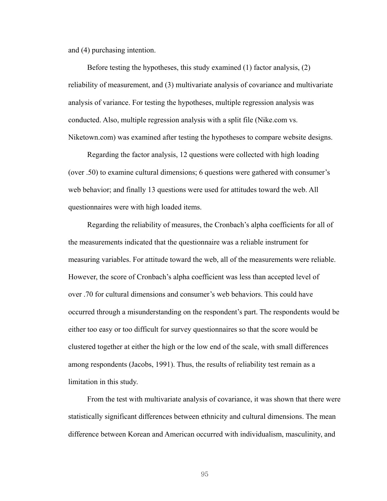and (4) purchasing intention.

Before testing the hypotheses, this study examined (1) factor analysis, (2) reliability of measurement, and (3) multivariate analysis of covariance and multivariate analysis of variance. For testing the hypotheses, multiple regression analysis was conducted. Also, multiple regression analysis with a split file (Nike.com vs. Niketown.com) was examined after testing the hypotheses to compare website designs.

Regarding the factor analysis, 12 questions were collected with high loading (over .50) to examine cultural dimensions; 6 questions were gathered with consumer's web behavior; and finally 13 questions were used for attitudes toward the web. All questionnaires were with high loaded items.

Regarding the reliability of measures, the Cronbach's alpha coefficients for all of the measurements indicated that the questionnaire was a reliable instrument for measuring variables. For attitude toward the web, all of the measurements were reliable. However, the score of Cronbach's alpha coefficient was less than accepted level of over .70 for cultural dimensions and consumer's web behaviors. This could have occurred through a misunderstanding on the respondent's part. The respondents would be either too easy or too difficult for survey questionnaires so that the score would be clustered together at either the high or the low end of the scale, with small differences among respondents (Jacobs, 1991). Thus, the results of reliability test remain as a limitation in this study.

From the test with multivariate analysis of covariance, it was shown that there were statistically significant differences between ethnicity and cultural dimensions. The mean difference between Korean and American occurred with individualism, masculinity, and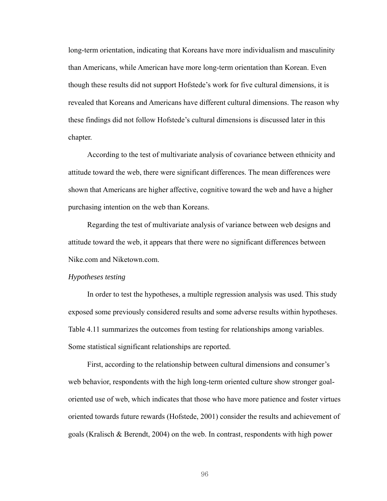long-term orientation, indicating that Koreans have more individualism and masculinity than Americans, while American have more long-term orientation than Korean. Even though these results did not support Hofstede's work for five cultural dimensions, it is revealed that Koreans and Americans have different cultural dimensions. The reason why these findings did not follow Hofstede's cultural dimensions is discussed later in this chapter.

According to the test of multivariate analysis of covariance between ethnicity and attitude toward the web, there were significant differences. The mean differences were shown that Americans are higher affective, cognitive toward the web and have a higher purchasing intention on the web than Koreans.

Regarding the test of multivariate analysis of variance between web designs and attitude toward the web, it appears that there were no significant differences between Nike.com and Niketown.com.

#### *Hypotheses testing*

In order to test the hypotheses, a multiple regression analysis was used. This study exposed some previously considered results and some adverse results within hypotheses. Table 4.11 summarizes the outcomes from testing for relationships among variables. Some statistical significant relationships are reported.

First, according to the relationship between cultural dimensions and consumer's web behavior, respondents with the high long-term oriented culture show stronger goaloriented use of web, which indicates that those who have more patience and foster virtues oriented towards future rewards (Hofstede, 2001) consider the results and achievement of goals (Kralisch & Berendt, 2004) on the web. In contrast, respondents with high power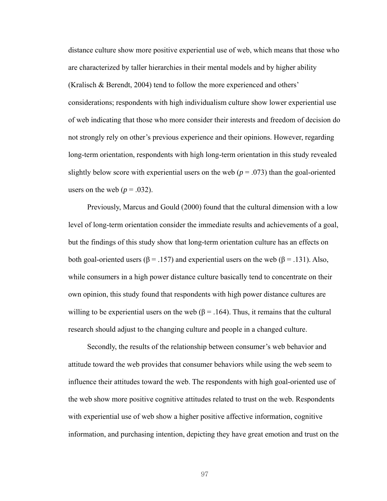distance culture show more positive experiential use of web, which means that those who are characterized by taller hierarchies in their mental models and by higher ability (Kralisch & Berendt, 2004) tend to follow the more experienced and others' considerations; respondents with high individualism culture show lower experiential use of web indicating that those who more consider their interests and freedom of decision do not strongly rely on other's previous experience and their opinions. However, regarding long-term orientation, respondents with high long-term orientation in this study revealed slightly below score with experiential users on the web  $(p = .073)$  than the goal-oriented users on the web ( $p = .032$ ).

Previously, Marcus and Gould (2000) found that the cultural dimension with a low level of long-term orientation consider the immediate results and achievements of a goal, but the findings of this study show that long-term orientation culture has an effects on both goal-oriented users ( $\beta$  = .157) and experiential users on the web ( $\beta$  = .131). Also, while consumers in a high power distance culture basically tend to concentrate on their own opinion, this study found that respondents with high power distance cultures are willing to be experiential users on the web ( $\beta$  = .164). Thus, it remains that the cultural research should adjust to the changing culture and people in a changed culture.

Secondly, the results of the relationship between consumer's web behavior and attitude toward the web provides that consumer behaviors while using the web seem to influence their attitudes toward the web. The respondents with high goal-oriented use of the web show more positive cognitive attitudes related to trust on the web. Respondents with experiential use of web show a higher positive affective information, cognitive information, and purchasing intention, depicting they have great emotion and trust on the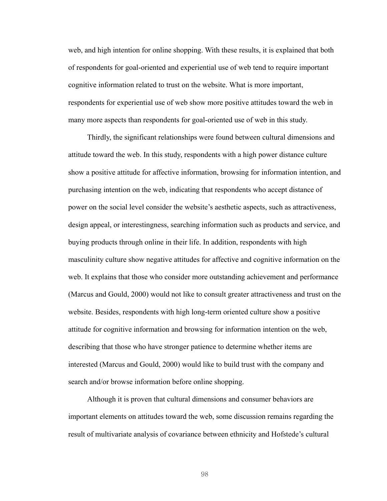web, and high intention for online shopping. With these results, it is explained that both of respondents for goal-oriented and experiential use of web tend to require important cognitive information related to trust on the website. What is more important, respondents for experiential use of web show more positive attitudes toward the web in many more aspects than respondents for goal-oriented use of web in this study.

Thirdly, the significant relationships were found between cultural dimensions and attitude toward the web. In this study, respondents with a high power distance culture show a positive attitude for affective information, browsing for information intention, and purchasing intention on the web, indicating that respondents who accept distance of power on the social level consider the website's aesthetic aspects, such as attractiveness, design appeal, or interestingness, searching information such as products and service, and buying products through online in their life. In addition, respondents with high masculinity culture show negative attitudes for affective and cognitive information on the web. It explains that those who consider more outstanding achievement and performance (Marcus and Gould, 2000) would not like to consult greater attractiveness and trust on the website. Besides, respondents with high long-term oriented culture show a positive attitude for cognitive information and browsing for information intention on the web, describing that those who have stronger patience to determine whether items are interested (Marcus and Gould, 2000) would like to build trust with the company and search and/or browse information before online shopping.

Although it is proven that cultural dimensions and consumer behaviors are important elements on attitudes toward the web, some discussion remains regarding the result of multivariate analysis of covariance between ethnicity and Hofstede's cultural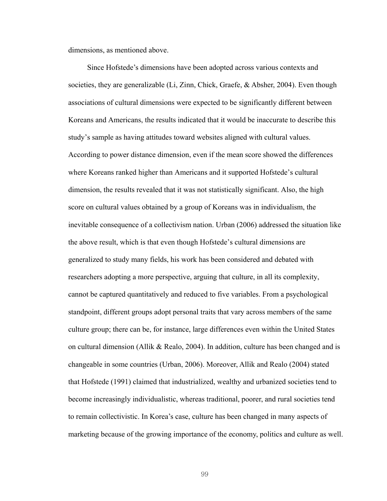dimensions, as mentioned above.

Since Hofstede's dimensions have been adopted across various contexts and societies, they are generalizable (Li, Zinn, Chick, Graefe, & Absher, 2004). Even though associations of cultural dimensions were expected to be significantly different between Koreans and Americans, the results indicated that it would be inaccurate to describe this study's sample as having attitudes toward websites aligned with cultural values. According to power distance dimension, even if the mean score showed the differences where Koreans ranked higher than Americans and it supported Hofstede's cultural dimension, the results revealed that it was not statistically significant. Also, the high score on cultural values obtained by a group of Koreans was in individualism, the inevitable consequence of a collectivism nation. Urban (2006) addressed the situation like the above result, which is that even though Hofstede's cultural dimensions are generalized to study many fields, his work has been considered and debated with researchers adopting a more perspective, arguing that culture, in all its complexity, cannot be captured quantitatively and reduced to five variables. From a psychological standpoint, different groups adopt personal traits that vary across members of the same culture group; there can be, for instance, large differences even within the United States on cultural dimension (Allik & Realo, 2004). In addition, culture has been changed and is changeable in some countries (Urban, 2006). Moreover, Allik and Realo (2004) stated that Hofstede (1991) claimed that industrialized, wealthy and urbanized societies tend to become increasingly individualistic, whereas traditional, poorer, and rural societies tend to remain collectivistic. In Korea's case, culture has been changed in many aspects of marketing because of the growing importance of the economy, politics and culture as well.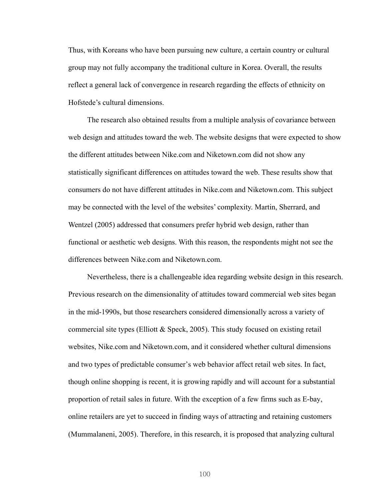Thus, with Koreans who have been pursuing new culture, a certain country or cultural group may not fully accompany the traditional culture in Korea. Overall, the results reflect a general lack of convergence in research regarding the effects of ethnicity on Hofstede's cultural dimensions.

The research also obtained results from a multiple analysis of covariance between web design and attitudes toward the web. The website designs that were expected to show the different attitudes between Nike.com and Niketown.com did not show any statistically significant differences on attitudes toward the web. These results show that consumers do not have different attitudes in Nike.com and Niketown.com. This subject may be connected with the level of the websites' complexity. Martin, Sherrard, and Wentzel (2005) addressed that consumers prefer hybrid web design, rather than functional or aesthetic web designs. With this reason, the respondents might not see the differences between Nike.com and Niketown.com.

Nevertheless, there is a challengeable idea regarding website design in this research. Previous research on the dimensionality of attitudes toward commercial web sites began in the mid-1990s, but those researchers considered dimensionally across a variety of commercial site types (Elliott & Speck, 2005). This study focused on existing retail websites, Nike.com and Niketown.com, and it considered whether cultural dimensions and two types of predictable consumer's web behavior affect retail web sites. In fact, though online shopping is recent, it is growing rapidly and will account for a substantial proportion of retail sales in future. With the exception of a few firms such as E-bay, online retailers are yet to succeed in finding ways of attracting and retaining customers (Mummalaneni, 2005). Therefore, in this research, it is proposed that analyzing cultural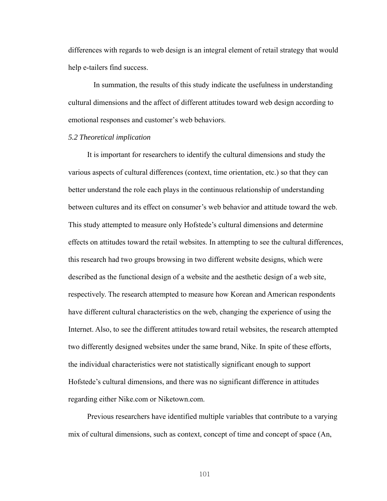differences with regards to web design is an integral element of retail strategy that would help e-tailers find success.

In summation, the results of this study indicate the usefulness in understanding cultural dimensions and the affect of different attitudes toward web design according to emotional responses and customer's web behaviors.

## *5.2 Theoretical implication*

It is important for researchers to identify the cultural dimensions and study the various aspects of cultural differences (context, time orientation, etc.) so that they can better understand the role each plays in the continuous relationship of understanding between cultures and its effect on consumer's web behavior and attitude toward the web. This study attempted to measure only Hofstede's cultural dimensions and determine effects on attitudes toward the retail websites. In attempting to see the cultural differences, this research had two groups browsing in two different website designs, which were described as the functional design of a website and the aesthetic design of a web site, respectively. The research attempted to measure how Korean and American respondents have different cultural characteristics on the web, changing the experience of using the Internet. Also, to see the different attitudes toward retail websites, the research attempted two differently designed websites under the same brand, Nike. In spite of these efforts, the individual characteristics were not statistically significant enough to support Hofstede's cultural dimensions, and there was no significant difference in attitudes regarding either Nike.com or Niketown.com.

Previous researchers have identified multiple variables that contribute to a varying mix of cultural dimensions, such as context, concept of time and concept of space (An,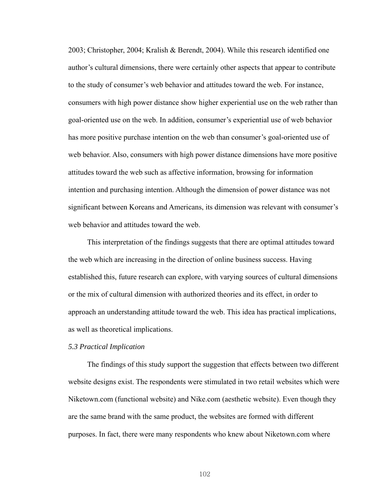2003; Christopher, 2004; Kralish & Berendt, 2004). While this research identified one author's cultural dimensions, there were certainly other aspects that appear to contribute to the study of consumer's web behavior and attitudes toward the web. For instance, consumers with high power distance show higher experiential use on the web rather than goal-oriented use on the web. In addition, consumer's experiential use of web behavior has more positive purchase intention on the web than consumer's goal-oriented use of web behavior. Also, consumers with high power distance dimensions have more positive attitudes toward the web such as affective information, browsing for information intention and purchasing intention. Although the dimension of power distance was not significant between Koreans and Americans, its dimension was relevant with consumer's web behavior and attitudes toward the web.

This interpretation of the findings suggests that there are optimal attitudes toward the web which are increasing in the direction of online business success. Having established this, future research can explore, with varying sources of cultural dimensions or the mix of cultural dimension with authorized theories and its effect, in order to approach an understanding attitude toward the web. This idea has practical implications, as well as theoretical implications.

## *5.3 Practical Implication*

The findings of this study support the suggestion that effects between two different website designs exist. The respondents were stimulated in two retail websites which were Niketown.com (functional website) and Nike.com (aesthetic website). Even though they are the same brand with the same product, the websites are formed with different purposes. In fact, there were many respondents who knew about Niketown.com where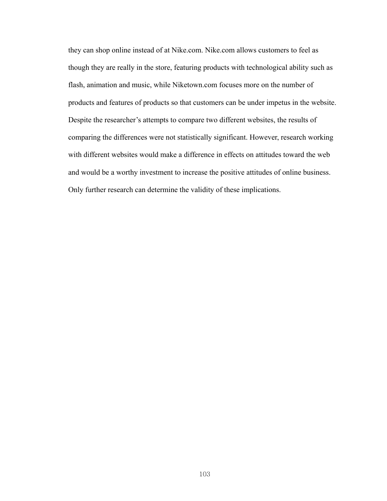they can shop online instead of at Nike.com. Nike.com allows customers to feel as though they are really in the store, featuring products with technological ability such as flash, animation and music, while Niketown.com focuses more on the number of products and features of products so that customers can be under impetus in the website. Despite the researcher's attempts to compare two different websites, the results of comparing the differences were not statistically significant. However, research working with different websites would make a difference in effects on attitudes toward the web and would be a worthy investment to increase the positive attitudes of online business. Only further research can determine the validity of these implications.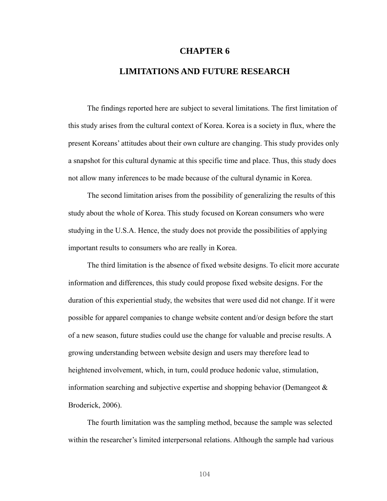### **CHAPTER 6**

# **LIMITATIONS AND FUTURE RESEARCH**

The findings reported here are subject to several limitations. The first limitation of this study arises from the cultural context of Korea. Korea is a society in flux, where the present Koreans' attitudes about their own culture are changing. This study provides only a snapshot for this cultural dynamic at this specific time and place. Thus, this study does not allow many inferences to be made because of the cultural dynamic in Korea.

The second limitation arises from the possibility of generalizing the results of this study about the whole of Korea. This study focused on Korean consumers who were studying in the U.S.A. Hence, the study does not provide the possibilities of applying important results to consumers who are really in Korea.

The third limitation is the absence of fixed website designs. To elicit more accurate information and differences, this study could propose fixed website designs. For the duration of this experiential study, the websites that were used did not change. If it were possible for apparel companies to change website content and/or design before the start of a new season, future studies could use the change for valuable and precise results. A growing understanding between website design and users may therefore lead to heightened involvement, which, in turn, could produce hedonic value, stimulation, information searching and subjective expertise and shopping behavior (Demangeot & Broderick, 2006).

The fourth limitation was the sampling method, because the sample was selected within the researcher's limited interpersonal relations. Although the sample had various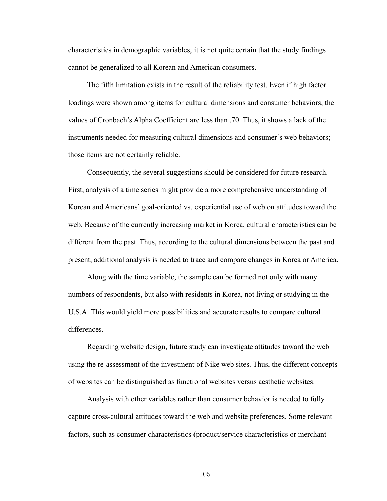characteristics in demographic variables, it is not quite certain that the study findings cannot be generalized to all Korean and American consumers.

The fifth limitation exists in the result of the reliability test. Even if high factor loadings were shown among items for cultural dimensions and consumer behaviors, the values of Cronbach's Alpha Coefficient are less than .70. Thus, it shows a lack of the instruments needed for measuring cultural dimensions and consumer's web behaviors; those items are not certainly reliable.

Consequently, the several suggestions should be considered for future research. First, analysis of a time series might provide a more comprehensive understanding of Korean and Americans' goal-oriented vs. experiential use of web on attitudes toward the web. Because of the currently increasing market in Korea, cultural characteristics can be different from the past. Thus, according to the cultural dimensions between the past and present, additional analysis is needed to trace and compare changes in Korea or America.

Along with the time variable, the sample can be formed not only with many numbers of respondents, but also with residents in Korea, not living or studying in the U.S.A. This would yield more possibilities and accurate results to compare cultural differences.

Regarding website design, future study can investigate attitudes toward the web using the re-assessment of the investment of Nike web sites. Thus, the different concepts of websites can be distinguished as functional websites versus aesthetic websites.

Analysis with other variables rather than consumer behavior is needed to fully capture cross-cultural attitudes toward the web and website preferences. Some relevant factors, such as consumer characteristics (product/service characteristics or merchant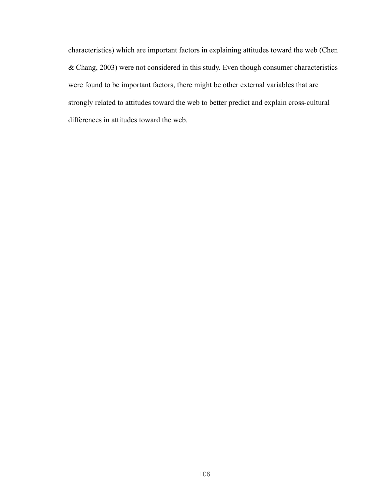characteristics) which are important factors in explaining attitudes toward the web (Chen & Chang, 2003) were not considered in this study. Even though consumer characteristics were found to be important factors, there might be other external variables that are strongly related to attitudes toward the web to better predict and explain cross-cultural differences in attitudes toward the web.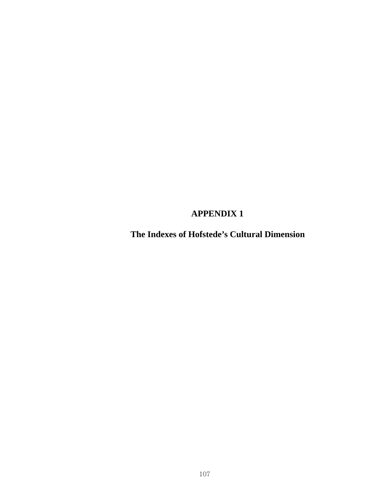# **APPENDIX 1**

**The Indexes of Hofstede's Cultural Dimension**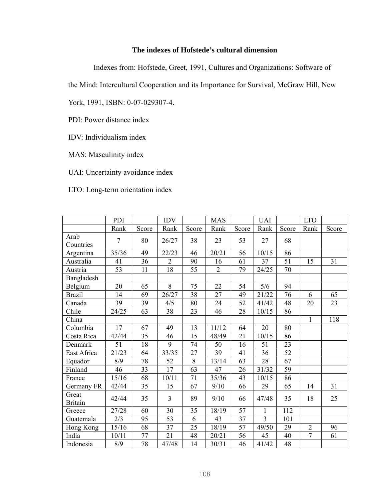# **The indexes of Hofstede's cultural dimension**

Indexes from: Hofstede, Greet, 1991, Cultures and Organizations: Software of

the Mind: Intercultural Cooperation and its Importance for Survival, McGraw Hill, New

York, 1991, ISBN: 0-07-029307-4.

PDI: Power distance index

IDV: Individualism index

MAS: Masculinity index

UAI: Uncertainty avoidance index

LTO: Long-term orientation index

|                         | PDI            |       | IDV            |       | <b>MAS</b>     |       | <b>UAI</b>     |       | <b>LTO</b>     |       |
|-------------------------|----------------|-------|----------------|-------|----------------|-------|----------------|-------|----------------|-------|
|                         | Rank           | Score | Rank           | Score | Rank           | Score | Rank           | Score | Rank           | Score |
| Arab<br>Countries       | $\overline{7}$ | 80    | 26/27          | 38    | 23             | 53    | 27             | 68    |                |       |
| Argentina               | 35/36          | 49    | 22/23          | 46    | 20/21          | 56    | 10/15          | 86    |                |       |
| Australia               | 41             | 36    | $\overline{2}$ | 90    | 16             | 61    | 37             | 51    | 15             | 31    |
| Austria                 | 53             | 11    | 18             | 55    | $\overline{2}$ | 79    | 24/25          | 70    |                |       |
| Bangladesh              |                |       |                |       |                |       |                |       |                |       |
| Belgium                 | 20             | 65    | 8              | 75    | 22             | 54    | 5/6            | 94    |                |       |
| <b>Brazil</b>           | 14             | 69    | 26/27          | 38    | 27             | 49    | 21/22          | 76    | 6              | 65    |
| Canada                  | 39             | 39    | 4/5            | 80    | 24             | 52    | 41/42          | 48    | 20             | 23    |
| Chile                   | 24/25          | 63    | 38             | 23    | 46             | 28    | 10/15          | 86    |                |       |
| China                   |                |       |                |       |                |       |                |       | 1              | 118   |
| Columbia                | 17             | 67    | 49             | 13    | 11/12          | 64    | 20             | 80    |                |       |
| Costa Rica              | 42/44          | 35    | 46             | 15    | 48/49          | 21    | 10/15          | 86    |                |       |
| Denmark                 | 51             | 18    | 9              | 74    | 50             | 16    | 51             | 23    |                |       |
| East Africa             | 21/23          | 64    | 33/35          | 27    | 39             | 41    | 36             | 52    |                |       |
| Equador                 | 8/9            | 78    | 52             | $8\,$ | 13/14          | 63    | 28             | 67    |                |       |
| Finland                 | 46             | 33    | 17             | 63    | 47             | 26    | 31/32          | 59    |                |       |
| France                  | 15/16          | 68    | 10/11          | 71    | 35/36          | 43    | 10/15          | 86    |                |       |
| Germany FR              | 42/44          | 35    | 15             | 67    | 9/10           | 66    | 29             | 65    | 14             | 31    |
| Great<br><b>Britain</b> | 42/44          | 35    | 3              | 89    | 9/10           | 66    | 47/48          | 35    | 18             | 25    |
| Greece                  | 27/28          | 60    | 30             | 35    | 18/19          | 57    | $\mathbf{1}$   | 112   |                |       |
| Guatemala               | 2/3            | 95    | 53             | 6     | 43             | 37    | $\overline{3}$ | 101   |                |       |
| Hong Kong               | 15/16          | 68    | 37             | 25    | 18/19          | 57    | 49/50          | 29    | $\overline{2}$ | 96    |
| India                   | 10/11          | 77    | 21             | 48    | 20/21          | 56    | 45             | 40    | $\overline{7}$ | 61    |
| Indonesia               | 8/9            | 78    | 47/48          | 14    | 30/31          | 46    | 41/42          | 48    |                |       |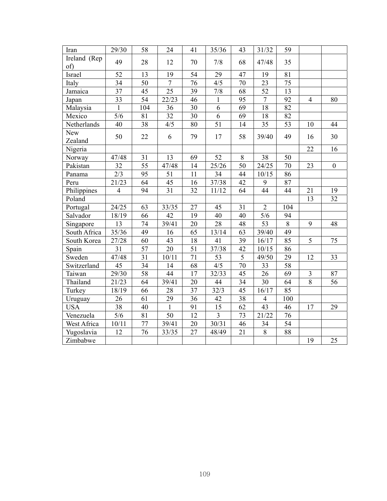| <b>Iran</b>         | 29/30           | 58              | 24     | 41              | 35/36            | 43              | 31/32           | 59              |                         |                  |
|---------------------|-----------------|-----------------|--------|-----------------|------------------|-----------------|-----------------|-----------------|-------------------------|------------------|
| Ireland (Rep<br>of) | 49              | 28              | 12     | 70              | 7/8              | 68              | 47/48           | 35              |                         |                  |
| Israel              | 52              | 13              | 19     | 54              | 29               | 47              | 19              | 81              |                         |                  |
| Italy               | 34              | 50              | $\tau$ | 76              | 4/5              | 70              | 23              | 75              |                         |                  |
| Jamaica             | 37              | 45              | 25     | 39              | 7/8              | 68              | 52              | 13              |                         |                  |
| Japan               | 33              | $\overline{54}$ | 22/23  | 46              | 1                | $\overline{95}$ | $\overline{7}$  | $\overline{92}$ | $\overline{4}$          | 80               |
| Malaysia            | $\mathbf{1}$    | 104             | 36     | 30              | $\overline{6}$   | $\overline{69}$ | $\overline{18}$ | 82              |                         |                  |
| Mexico              | 5/6             | 81              | 32     | 30              | 6                | 69              | 18              | 82              |                         |                  |
| Netherlands         | 40              | 38              | 4/5    | 80              | 51               | 14              | 35              | 53              | 10                      | 44               |
| New<br>Zealand      | 50              | 22              | 6      | 79              | 17               | 58              | 39/40           | 49              | 16                      | 30               |
| Nigeria             |                 |                 |        |                 |                  |                 |                 |                 | 22                      | 16               |
| Norway              | 47/48           | 31              | 13     | 69              | 52               | 8               | 38              | 50              |                         |                  |
| Pakistan            | 32              | $\overline{55}$ | 47/48  | 14              | 25/26            | 50              | 24/25           | 70              | 23                      | $\boldsymbol{0}$ |
| Panama              | 2/3             | 95              | 51     | 11              | 34               | 44              | 10/15           | 86              |                         |                  |
| Peru                | 21/23           | 64              | 45     | 16              | 37/38            | 42              | 9               | 87              |                         |                  |
| Philippines         | $\overline{4}$  | 94              | 31     | 32              | 11/12            | 64              | 44              | 44              | 21                      | 19               |
| Poland              |                 |                 |        |                 |                  |                 |                 |                 | 13                      | 32               |
| Portugal            | 24/25           | 63              | 33/35  | 27              | 45               | 31              | $\overline{2}$  | 104             |                         |                  |
| Salvador            | 18/19           | 66              | 42     | 19              | 40               | 40              | 5/6             | 94              |                         |                  |
| Singapore           | 13              | 74              | 39/41  | 20              | 28               | 48              | 53              | 8               | 9                       | 48               |
| South Africa        | 35/36           | 49              | 16     | 65              | 13/14            | 63              | 39/40           | 49              |                         |                  |
| South Korea         | 27/28           | 60              | 43     | 18              | 41               | 39              | 16/17           | 85              | 5                       | 75               |
| Spain               | 31              | 57              | 20     | 51              | 37/38            | 42              | 10/15           | 86              |                         |                  |
| Sweden              | 47/48           | $\overline{31}$ | 10/11  | 71              | 53               | $\overline{5}$  | 49/50           | 29              | 12                      | 33               |
| Switzerland         | $\overline{45}$ | $\overline{34}$ | 14     | $\overline{68}$ | $\overline{4/5}$ | $\overline{70}$ | 33              | 58              |                         |                  |
| Taiwan              | $\sqrt{29/30}$  | 58              | 44     | 17              | 32/33            | $\overline{45}$ | $\overline{26}$ | $\overline{69}$ | $\overline{\mathbf{3}}$ | 87               |
| Thailand            | 21/23           | 64              | 39/41  | 20              | 44               | 34              | 30              | $\overline{64}$ | $\overline{8}$          | 56               |
| Turkey              | 18/19           | 66              | 28     | 37              | 32/3             | 45              | 16/17           | 85              |                         |                  |
| Uruguay             | 26              | 61              | 29     | 36              | 42               | 38              | $\overline{4}$  | 100             |                         |                  |
| <b>USA</b>          | 38              | 40              | 1      | 91              | 15               | 62              | 43              | 46              | 17                      | 29               |
| Venezuela           | 5/6             | 81              | 50     | 12              | $\overline{3}$   | 73              | 21/22           | 76              |                         |                  |
| West Africa         | 10/11           | 77              | 39/41  | 20              | 30/31            | 46              | 34              | 54              |                         |                  |
| Yugoslavia          | 12              | 76              | 33/35  | 27              | 48/49            | 21              | 8               | 88              |                         |                  |
| Zimbabwe            |                 |                 |        |                 |                  |                 |                 |                 | 19                      | 25               |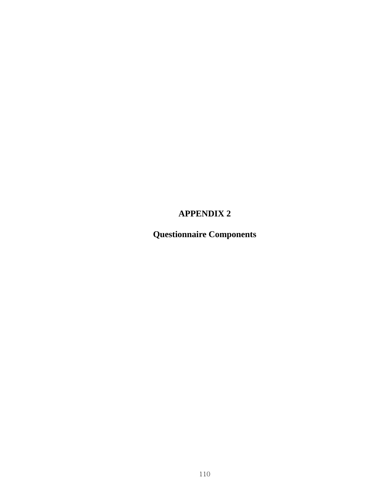# **APPENDIX 2**

**Questionnaire Components**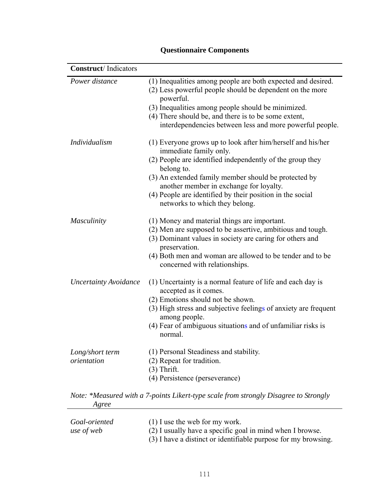| <b>Construct</b> /Indicators   |                                                                                                                                                                                                                                                                                                                                                                    |
|--------------------------------|--------------------------------------------------------------------------------------------------------------------------------------------------------------------------------------------------------------------------------------------------------------------------------------------------------------------------------------------------------------------|
| Power distance                 | (1) Inequalities among people are both expected and desired.<br>(2) Less powerful people should be dependent on the more<br>powerful.<br>(3) Inequalities among people should be minimized.<br>(4) There should be, and there is to be some extent,<br>interdependencies between less and more powerful people.                                                    |
| Individualism                  | (1) Everyone grows up to look after him/herself and his/her<br>immediate family only.<br>(2) People are identified independently of the group they<br>belong to.<br>(3) An extended family member should be protected by<br>another member in exchange for loyalty.<br>(4) People are identified by their position in the social<br>networks to which they belong. |
| Masculinity                    | (1) Money and material things are important.<br>(2) Men are supposed to be assertive, ambitious and tough.<br>(3) Dominant values in society are caring for others and<br>preservation.<br>(4) Both men and woman are allowed to be tender and to be<br>concerned with relationships.                                                                              |
| <b>Uncertainty Avoidance</b>   | (1) Uncertainty is a normal feature of life and each day is<br>accepted as it comes.<br>(2) Emotions should not be shown.<br>(3) High stress and subjective feelings of anxiety are frequent<br>among people.<br>(4) Fear of ambiguous situations and of unfamiliar risks is<br>normal.                                                                            |
| Long/short term<br>orientation | (1) Personal Steadiness and stability.<br>(2) Repeat for tradition.<br>$(3)$ Thrift.<br>(4) Persistence (perseverance)                                                                                                                                                                                                                                             |
|                                | Note: *Measured with a 7 points Likert type scale from strongly Disgarge to Strongly                                                                                                                                                                                                                                                                               |

# **Questionnaire Components**

*Note: \*Measured with a 7-points Likert-type scale from strongly Disagree to Strongly Agree* 

| Goal-oriented | $(1)$ I use the web for my work.                               |
|---------------|----------------------------------------------------------------|
| use of web    | (2) I usually have a specific goal in mind when I browse.      |
|               | (3) I have a distinct or identifiable purpose for my browsing. |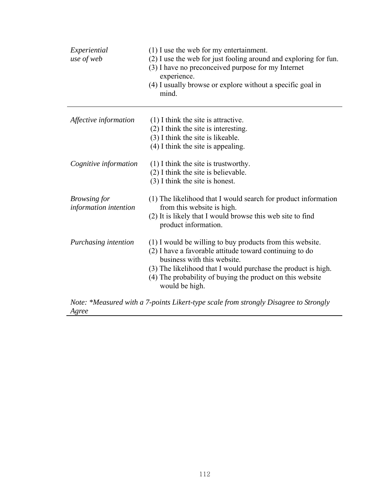| Experiential<br>use of web                   | $(1)$ I use the web for my entertainment.<br>(2) I use the web for just fooling around and exploring for fun.<br>(3) I have no preconceived purpose for my Internet<br>experience.<br>(4) I usually browse or explore without a specific goal in<br>mind.                                           |
|----------------------------------------------|-----------------------------------------------------------------------------------------------------------------------------------------------------------------------------------------------------------------------------------------------------------------------------------------------------|
| Affective information                        | $(1)$ I think the site is attractive.<br>$(2)$ I think the site is interesting.<br>(3) I think the site is likeable.<br>$(4)$ I think the site is appealing.                                                                                                                                        |
| Cognitive information                        | $(1)$ I think the site is trustworthy.<br>(2) I think the site is believable.<br>$(3)$ I think the site is honest.                                                                                                                                                                                  |
| <b>Browsing for</b><br>information intention | (1) The likelihood that I would search for product information<br>from this website is high.<br>(2) It is likely that I would browse this web site to find<br>product information.                                                                                                                  |
| Purchasing intention                         | (1) I would be willing to buy products from this website.<br>(2) I have a favorable attitude toward continuing to do<br>business with this website.<br>(3) The likelihood that I would purchase the product is high.<br>(4) The probability of buying the product on this website<br>would be high. |

*Note: \*Measured with a 7-points Likert-type scale from strongly Disagree to Strongly Agree*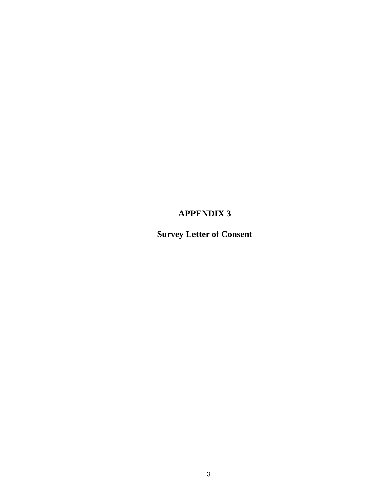# **APPENDIX 3**

**Survey Letter of Consent**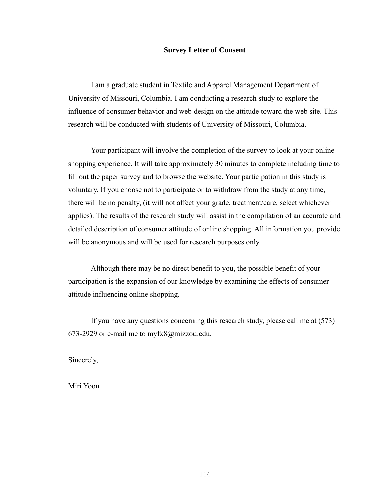### **Survey Letter of Consent**

I am a graduate student in Textile and Apparel Management Department of University of Missouri, Columbia. I am conducting a research study to explore the influence of consumer behavior and web design on the attitude toward the web site. This research will be conducted with students of University of Missouri, Columbia.

Your participant will involve the completion of the survey to look at your online shopping experience. It will take approximately 30 minutes to complete including time to fill out the paper survey and to browse the website. Your participation in this study is voluntary. If you choose not to participate or to withdraw from the study at any time, there will be no penalty, (it will not affect your grade, treatment/care, select whichever applies). The results of the research study will assist in the compilation of an accurate and detailed description of consumer attitude of online shopping. All information you provide will be anonymous and will be used for research purposes only.

Although there may be no direct benefit to you, the possible benefit of your participation is the expansion of our knowledge by examining the effects of consumer attitude influencing online shopping.

If you have any questions concerning this research study, please call me at (573) 673-2929 or e-mail me to myfx8@mizzou.edu.

Sincerely,

Miri Yoon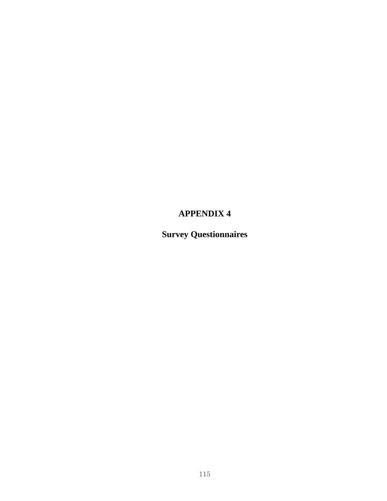# **APPENDIX 4**

**Survey Questionnaires**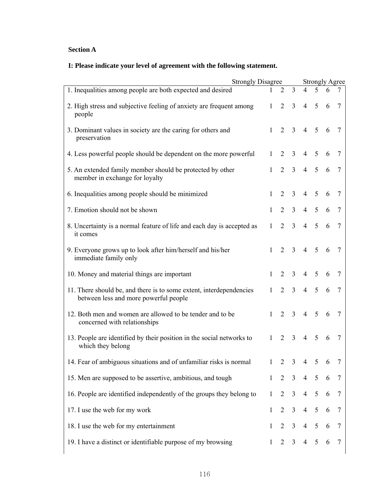# **Section A**

# **I: Please indicate your level of agreement with the following statement.**

| <b>Strongly Disagree</b>                                                                                     |              |                |                |                 |                 |   | <b>Strongly Agree</b> |  |
|--------------------------------------------------------------------------------------------------------------|--------------|----------------|----------------|-----------------|-----------------|---|-----------------------|--|
| 1. Inequalities among people are both expected and desired                                                   |              | 2              | $\overline{3}$ | 4               | 5               | 6 | 7                     |  |
| 2. High stress and subjective feeling of anxiety are frequent among<br>people                                | $\mathbf{1}$ | $\overline{2}$ | $\overline{3}$ | $\overline{4}$  | 5               | 6 | $\overline{7}$        |  |
| 3. Dominant values in society are the caring for others and<br>preservation                                  | $\mathbf{1}$ | $\overline{2}$ | $\overline{3}$ |                 | $4 \quad 5$     | 6 | $7\phantom{.0}$       |  |
| 4. Less powerful people should be dependent on the more powerful                                             | $\mathbf{1}$ | $\overline{2}$ | $\overline{3}$ | $\overline{4}$  | 5               | 6 | $\overline{7}$        |  |
| 5. An extended family member should be protected by other<br>member in exchange for loyalty                  | $\mathbf{1}$ | $\overline{2}$ | $\mathfrak{Z}$ | 4               | $\overline{5}$  | 6 | $\overline{7}$        |  |
| 6. Inequalities among people should be minimized                                                             | $\mathbf{1}$ | $\overline{2}$ | 3              | $\overline{4}$  | $\overline{5}$  | 6 | 7                     |  |
| 7. Emotion should not be shown                                                                               | $\mathbf{1}$ | $\overline{2}$ | 3 <sup>7</sup> |                 | $4 \quad 5$     | 6 | $7\phantom{.0}$       |  |
| 8. Uncertainty is a normal feature of life and each day is accepted as<br>it comes                           | 1            | $\overline{2}$ | $\overline{3}$ |                 | $4 \quad 5$     | 6 | $\overline{7}$        |  |
| 9. Everyone grows up to look after him/herself and his/her<br>immediate family only                          | $\mathbf{1}$ |                | $2 \quad 3$    |                 | $4 \quad 5$     | 6 | $\overline{7}$        |  |
| 10. Money and material things are important                                                                  | $\mathbf{1}$ | $\overline{2}$ | 3              | $\overline{4}$  | 5               | 6 | $\overline{7}$        |  |
| 11. There should be, and there is to some extent, interdependencies<br>between less and more powerful people | $\mathbf{1}$ | $\overline{2}$ | $\overline{3}$ | $\overline{4}$  | 5               | 6 | $7\phantom{.0}$       |  |
| 12. Both men and women are allowed to be tender and to be<br>concerned with relationships                    | $\mathbf{1}$ | $\overline{2}$ | $\mathfrak{Z}$ |                 | $4 \quad 5$     | 6 | 7                     |  |
| 13. People are identified by their position in the social networks to<br>which they belong                   | $\mathbf{1}$ | $\overline{2}$ | $\overline{3}$ | $4\overline{ }$ | 5               | 6 | 7                     |  |
| 14. Fear of ambiguous situations and of unfamiliar risks is normal                                           | 1            |                | $2 \quad 3$    |                 | $4 \quad 5$     | 6 | $\overline{7}$        |  |
| 15. Men are supposed to be assertive, ambitious, and tough                                                   | $\mathbf{1}$ | $\overline{2}$ | $\overline{3}$ | $\overline{4}$  | $5\overline{)}$ | 6 | $\overline{7}$        |  |
| 16. People are identified independently of the groups they belong to                                         | $\mathbf{1}$ | $\overline{2}$ | $\mathfrak{Z}$ | $\overline{4}$  | 5               | 6 | $\overline{7}$        |  |
| 17. I use the web for my work                                                                                | $\mathbf{1}$ | $\overline{2}$ | $\mathfrak{Z}$ | $\overline{4}$  | $\sqrt{5}$      | 6 | $\overline{7}$        |  |
| 18. I use the web for my entertainment                                                                       | $\mathbf{1}$ | $\overline{2}$ | $\overline{3}$ | $\overline{4}$  | $\overline{5}$  | 6 | $7\phantom{.0}$       |  |
| 19. I have a distinct or identifiable purpose of my browsing                                                 | $\mathbf{1}$ |                | $2 \quad 3$    |                 | $4 \quad 5$     | 6 | $\overline{7}$        |  |
|                                                                                                              |              |                |                |                 |                 |   |                       |  |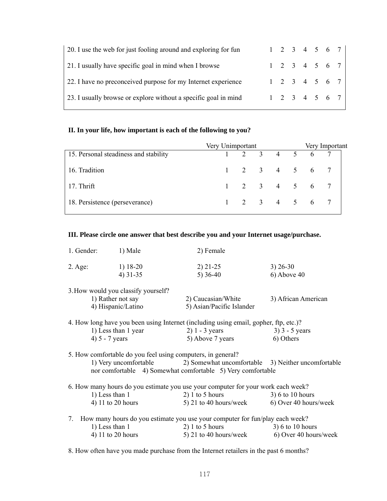| 20. I use the web for just fooling around and exploring for fun | $1 \t2 \t3 \t4 \t5 \t6 \t7$ |  |  |  |
|-----------------------------------------------------------------|-----------------------------|--|--|--|
| 21. I usually have specific goal in mind when I browse          | $1 \t2 \t3 \t4 \t5 \t6 \t7$ |  |  |  |
| 22. I have no preconceived purpose for my Internet experience   | $1 \t2 \t3 \t4 \t5 \t6 \t7$ |  |  |  |
| 23. I usually browse or explore without a specific goal in mind | $1 \t2 \t3 \t4 \t5 \t6 \t7$ |  |  |  |

## **II. In your life, how important is each of the following to you?**

|                                       | Very Unimportant |  |  |                             | Very Important                 |  |
|---------------------------------------|------------------|--|--|-----------------------------|--------------------------------|--|
| 15. Personal steadiness and stability |                  |  |  |                             | $1 \t2 \t3 \t4 \t5 \t6 \t7 \t$ |  |
| 16. Tradition                         |                  |  |  | $1 \t2 \t3 \t4 \t5 \t6 \t7$ |                                |  |
| 17. Thrift                            |                  |  |  | $1 \t2 \t3 \t4 \t5 \t6 \t7$ |                                |  |
| 18. Persistence (perseverance)        |                  |  |  | $1 \t2 \t3 \t4 \t5 \t6 \t7$ |                                |  |

#### **III. Please circle one answer that best describe you and your Internet usage/purchase.**

| 1. Gender:      | 1) Male    | 2) Female  |               |
|-----------------|------------|------------|---------------|
| $2. \text{Age}$ | 1) $18-20$ | $2)$ 21-25 | $3)$ 26-30    |
|                 | $4)$ 31-35 | $5)$ 36-40 | $6)$ Above 40 |

| 3. How would you classify yourself? |                           |                     |
|-------------------------------------|---------------------------|---------------------|
| 1) Rather not say                   | 2) Caucasian/White        | 3) African American |
| 4) Hispanic/Latino                  | 5) Asian/Pacific Islander |                     |
|                                     |                           |                     |

| 4. How long have you been using Internet (including using email, gopher, ftp, etc.)? |                  |                  |
|--------------------------------------------------------------------------------------|------------------|------------------|
| 1) Less than 1 year                                                                  | $2)$ 1 - 3 years | $3) 3 - 5$ years |
| 4) $5 - 7$ years                                                                     | 5) Above 7 years | 6) Others        |

5. How comfortable do you feel using computers, in general?<br>1) Very uncomfortable 2) Somewhat uncom  $1)$  Somewhat uncomfortable  $3)$  Neither uncomfortable nor comfortable 4) Somewhat comfortable 5) Very comfortable

|                                  |                                                                              | 6. How many hours do you estimate you use your computer for your work each week? |                       |  |  |  |  |  |
|----------------------------------|------------------------------------------------------------------------------|----------------------------------------------------------------------------------|-----------------------|--|--|--|--|--|
|                                  | 1) Less than 1                                                               | $2)$ 1 to 5 hours                                                                | $3)$ 6 to 10 hours    |  |  |  |  |  |
|                                  | 4) 11 to 20 hours                                                            | 5) 21 to 40 hours/week                                                           | 6) Over 40 hours/week |  |  |  |  |  |
| $7_{\scriptscriptstyle{\ddots}}$ | How many hours do you estimate you use your computer for fun/play each week? |                                                                                  |                       |  |  |  |  |  |
|                                  | 1) Less than 1                                                               | $2)$ 1 to 5 hours                                                                | $3)$ 6 to 10 hours    |  |  |  |  |  |

4) 11 to 20 hours  $(5)$  21 to 40 hours/week  $(6)$  Over 40 hours/week

8. How often have you made purchase from the Internet retailers in the past 6 months?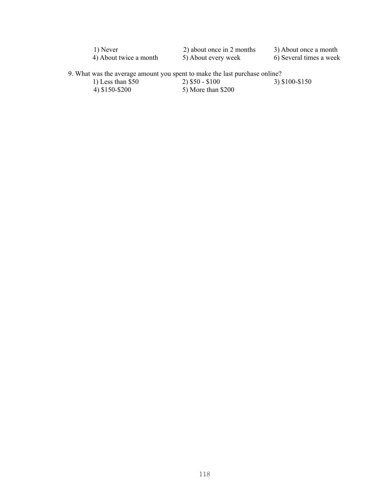| 1) Never               | 2) about once in 2 months | 3) About once a month   |
|------------------------|---------------------------|-------------------------|
| 4) About twice a month | 5) About every week       | 6) Several times a week |

9. What was the average amount you spent to make the last purchase online?

4) \$150-\$200 5) More than \$200

1) Less than \$50 2) \$50 - \$100 3) \$100-\$150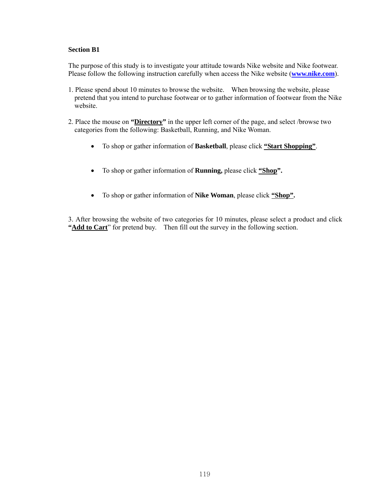### **Section B1**

The purpose of this study is to investigate your attitude towards Nike website and Nike footwear. Please follow the following instruction carefully when access the Nike website (**[www.nike.com](http://www.nike.com/)**).

- 1. Please spend about 10 minutes to browse the website. When browsing the website, please pretend that you intend to purchase footwear or to gather information of footwear from the Nike website.
- 2. Place the mouse on **"Directory"** in the upper left corner of the page, and select /browse two categories from the following: Basketball, Running, and Nike Woman.
	- To shop or gather information of **Basketball**, please click **"Start Shopping"**.
	- To shop or gather information of **Running,** please click **"Shop".**
	- To shop or gather information of **Nike Woman**, please click **"Shop".**

3. After browsing the website of two categories for 10 minutes, please select a product and click "**Add to Cart**" for pretend buy. Then fill out the survey in the following section.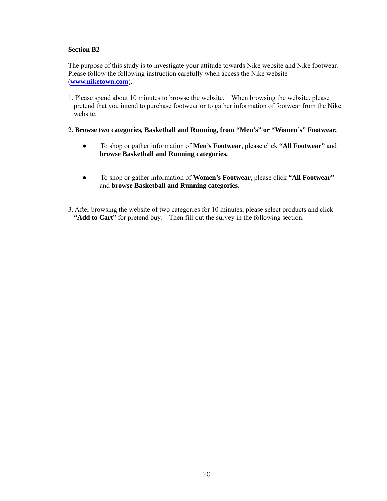### **Section B2**

The purpose of this study is to investigate your attitude towards Nike website and Nike footwear. Please follow the following instruction carefully when access the Nike website (**[www.niketown.com](http://www.niketown.com/)**).

1. Please spend about 10 minutes to browse the website. When browsing the website, please pretend that you intend to purchase footwear or to gather information of footwear from the Nike website.

## 2. **Browse two categories, Basketball and Running, from "Men's" or "Women's" Footwear.**

- To shop or gather information of **Men's Footwear**, please click **"All Footwear"** and **browse Basketball and Running categories.**
- To shop or gather information of **Women's Footwear**, please click **"All Footwear"** and **browse Basketball and Running categories.**
- 3. After browsing the website of two categories for 10 minutes, please select products and click "**Add to Cart**" for pretend buy. Then fill out the survey in the following section.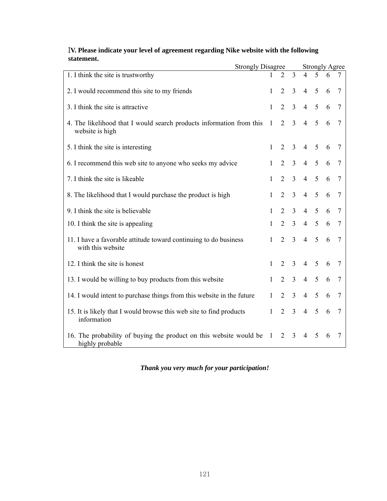| IV. Please indicate your level of agreement regarding Nike website with the following |                   |                     |  |  |  |  |
|---------------------------------------------------------------------------------------|-------------------|---------------------|--|--|--|--|
| statement.                                                                            |                   |                     |  |  |  |  |
|                                                                                       | Strongly Disagree | $Stringplot \Delta$ |  |  |  |  |

|                                                                                         | <b>Strongly Disagree</b> |              |                |                | <b>Strongly Agree</b> |   |   |   |  |
|-----------------------------------------------------------------------------------------|--------------------------|--------------|----------------|----------------|-----------------------|---|---|---|--|
| 1. I think the site is trustworthy                                                      |                          |              | $\overline{2}$ | $\overline{3}$ | $\overline{4}$        | 5 | 6 |   |  |
| 2. I would recommend this site to my friends                                            |                          | 1            | 2              | $\overline{3}$ | $\overline{4}$        | 5 | 6 | 7 |  |
| 3. I think the site is attractive                                                       |                          | 1            | $\overline{2}$ | $\overline{3}$ | $\overline{4}$        | 5 | 6 | 7 |  |
| 4. The likelihood that I would search products information from this<br>website is high | -1                       |              | $\overline{2}$ | $\overline{3}$ | $\overline{4}$        | 5 | 6 |   |  |
| 5. I think the site is interesting                                                      |                          | $\mathbf{1}$ | $\overline{2}$ | 3              | 4 <sub>5</sub>        |   | 6 |   |  |
| 6. I recommend this web site to anyone who seeks my advice                              |                          | $\mathbf{1}$ | $\overline{2}$ | $\overline{3}$ | $\overline{4}$        | 5 | 6 | 7 |  |
| 7. I think the site is likeable                                                         |                          | 1            | $\overline{2}$ | $\overline{3}$ | $\overline{4}$        | 5 | 6 | 7 |  |
| 8. The likelihood that I would purchase the product is high                             |                          | $\mathbf{1}$ | $\overline{2}$ | $\overline{3}$ | $\overline{4}$        | 5 | 6 | 7 |  |
| 9. I think the site is believable                                                       |                          | $\mathbf{1}$ | 2              | $\overline{3}$ | $\overline{4}$        | 5 | 6 | 7 |  |
| 10. I think the site is appealing                                                       |                          | $\mathbf{1}$ | 2              | $\overline{3}$ | 4                     | 5 | 6 | 7 |  |
| 11. I have a favorable attitude toward continuing to do business<br>with this website   |                          | $\mathbf{1}$ | $\overline{2}$ | $\overline{3}$ | $\overline{4}$        | 5 | 6 | 7 |  |
| 12. I think the site is honest                                                          |                          | 1            | 2              | 3              | $\overline{4}$        | 5 | 6 | 7 |  |
| 13. I would be willing to buy products from this website                                |                          | $\mathbf{1}$ | 2              | $\overline{3}$ | $\overline{4}$        | 5 | 6 | 7 |  |
| 14. I would intent to purchase things from this website in the future                   |                          | $\mathbf{1}$ | 2              | $\overline{3}$ | $\overline{4}$        | 5 | 6 | 7 |  |
| 15. It is likely that I would browse this web site to find products<br>information      |                          | 1            | $\overline{2}$ | $\overline{3}$ | $\overline{4}$        | 5 | 6 |   |  |
| 16. The probability of buying the product on this website would be<br>highly probable   | $\overline{1}$           |              | 2              | $\overline{3}$ | $\overline{4}$        | 5 | 6 |   |  |

*Thank you very much for your participation!*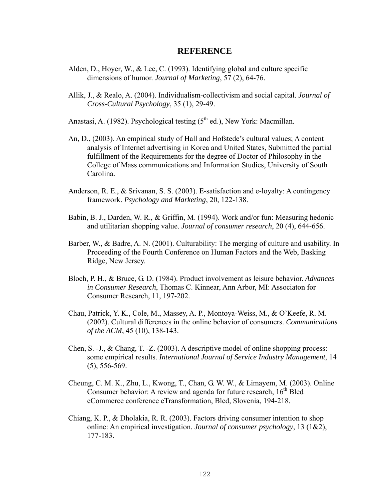## **REFERENCE**

- Alden, D., Hoyer, W., & Lee, C. (1993). Identifying global and culture specific dimensions of humor. *Journal of Marketing*, 57 (2), 64-76.
- Allik, J., & Realo, A. (2004). Individualism-collectivism and social capital. *Journal of Cross-Cultural Psychology*, 35 (1), 29-49.

Anastasi, A. (1982). Psychological testing  $(5<sup>th</sup>$  ed.), New York: Macmillan.

- An, D., (2003). An empirical study of Hall and Hofstede's cultural values; A content analysis of Internet advertising in Korea and United States, Submitted the partial fulfillment of the Requirements for the degree of Doctor of Philosophy in the College of Mass communications and Information Studies, University of South Carolina.
- Anderson, R. E., & Srivanan, S. S. (2003). E-satisfaction and e-loyalty: A contingency framework. *Psychology and Marketing*, 20, 122-138.
- Babin, B. J., Darden, W. R., & Griffin, M. (1994). Work and/or fun: Measuring hedonic and utilitarian shopping value. *Journal of consumer research*, 20 (4), 644-656.
- Barber, W., & Badre, A. N. (2001). Culturability: The merging of culture and usability. In Proceeding of the Fourth Conference on Human Factors and the Web, Basking Ridge, New Jersey.
- Bloch, P. H., & Bruce, G. D. (1984). Product involvement as leisure behavior. *Advances in Consumer Research*, Thomas C. Kinnear, Ann Arbor, MI: Associaton for Consumer Research, 11, 197-202.
- Chau, Patrick, Y. K., Cole, M., Massey, A. P., Montoya-Weiss, M., & O'Keefe, R. M. (2002). Cultural differences in the online behavior of consumers. *Communications of the ACM*, 45 (10), 138-143.
- Chen, S. -J., & Chang, T. -Z. (2003). A descriptive model of online shopping process: some empirical results. *International Journal of Service Industry Management*, 14 (5), 556-569.
- Cheung, C. M. K., Zhu, L., Kwong, T., Chan, G. W. W., & Limayem, M. (2003). Online Consumer behavior: A review and agenda for future research,  $16<sup>th</sup>$  Bled eCommerce conference eTransformation, Bled, Slovenia, 194-218.
- Chiang, K. P., & Dholakia, R. R. (2003). Factors driving consumer intention to shop online: An empirical investigation*. Journal of consumer psychology*, 13 (1&2), 177-183.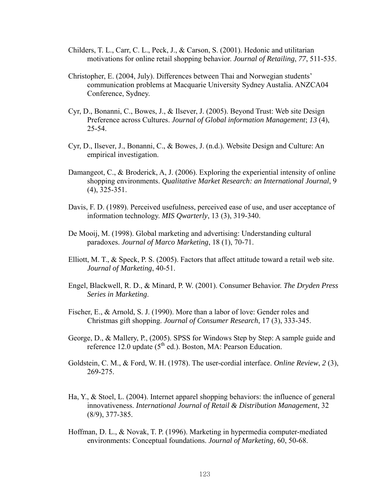- Childers, T. L., Carr, C. L., Peck, J., & Carson, S. (2001). Hedonic and utilitarian motivations for online retail shopping behavior. *Journal of Retailing*, *77*, 511-535.
- Christopher, E. (2004, July). Differences between Thai and Norwegian students' communication problems at Macquarie University Sydney Austalia. ANZCA04 Conference, Sydney.
- Cyr, D., Bonanni, C., Bowes, J., & Ilsever, J. (2005). Beyond Trust: Web site Design Preference across Cultures. *Journal of Global information Management*; *13* (4), 25-54.
- Cyr, D., Ilsever, J., Bonanni, C., & Bowes, J. (n.d.). Website Design and Culture: An empirical investigation.
- Damangeot, C., & Broderick, A., J. (2006). Exploring the experiential intensity of online shopping environments. *Qualitative Market Research: an International Journal*, 9 (4), 325-351.
- Davis, F. D. (1989). Perceived usefulness, perceived ease of use, and user acceptance of information technology. *MIS Qwarterly*, 13 (3), 319-340.
- De Mooij, M. (1998). Global marketing and advertising: Understanding cultural paradoxes. *Journal of Marco Marketing*, 18 (1), 70-71.
- Elliott, M. T., & Speck, P. S. (2005). Factors that affect attitude toward a retail web site. *Journal of Marketing*, 40-51.
- Engel, Blackwell, R. D., & Minard, P. W. (2001). Consumer Behavior. *The Dryden Press Series in Marketing*.
- Fischer, E., & Arnold, S. J. (1990). More than a labor of love: Gender roles and Christmas gift shopping. *Journal of Consumer Research*, 17 (3), 333-345.
- George, D., & Mallery, P., (2005). SPSS for Windows Step by Step: A sample guide and reference 12.0 update  $(5<sup>th</sup>$  ed.). Boston, MA: Pearson Education.
- Goldstein, C. M., & Ford, W. H. (1978). The user-cordial interface. *Online Review*, *2* (3), 269-275.
- Ha, Y., & Stoel, L. (2004). Internet apparel shopping behaviors: the influence of general innovativeness. *International Journal of Retail & Distribution Management*, 32 (8/9), 377-385.
- Hoffman, D. L., & Novak, T. P. (1996). Marketing in hypermedia computer-mediated environments: Conceptual foundations. *Journal of Marketing*, 60, 50-68.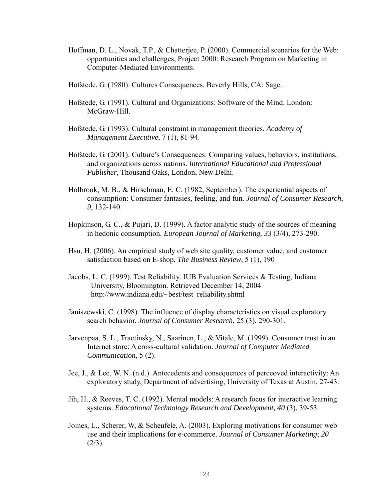- Hoffman, D. L., Novak, T.P., & Chatterjee, P. (2000). Commercial scenarios for the Web: opportunities and challenges, Project 2000: Research Program on Marketing in Computer-Mediated Environments.
- Hofstede, G. (1980). Cultures Consequences. Beverly Hills, CA: Sage.
- Hofstede, G. (1991). Cultural and Organizations: Software of the Mind. London: McGraw-Hill.
- Hofstede, G. (1993). Cultural constraint in management theories. *Academy of Management Executive*, 7 (1), 81-94.
- Hofstede, G. (2001). Culture's Consequences: Comparing values, behaviors, institutions, and organizations across nations. *International Educational and Professional Publisher*, Thousand Oaks, London, New Delhi.
- Holbrook, M. B., & Hirschman, E. C. (1982, September). The experiential aspects of consumption: Consumer fantasies, feeling, and fun. *Journal of Consumer Research*, *9*, 132-140.
- Hopkinson, G. C., & Pujari, D. (1999). A factor analytic study of the sources of meaning in hedonic consumption. *European Journal of Marketing, 33* (3/4), 273-290.
- Hsu, H. (2006). An empirical study of web site quality, customer value, and customer satisfaction based on E-shop, *The Business Review*, 5 (1), 190
- Jacobs, L. C. (1999). Test Reliability. IUB Evaluation Services & Testing, Indiana University, Bloomington. Retrieved December 14, 2004 [http://www.indiana.edu/~best/test\\_reliability.shtml](http://www.indiana.edu/~best/test_reliability.shtml)
- Janiszewski, C. (1998). The influence of display characteristics on visual exploratory search behavior. *Journal of Consumer Research*, 25 (3), 290-301.
- Jarvenpaa, S. L., Tractinsky, N., Saarinen, L., & Vitale, M. (1999). Consumer trust in an Internet store: A cross-cultural validation. *Journal of Computer Mediated Communication*, 5 (2).
- Jee, J., & Lee, W. N. (n.d.). Antecedents and consequences of perceoved interactivity: An exploratory study, Department of advertising, University of Texas at Austin, 27-43.
- Jih, H., & Reeves, T. C. (1992). Mental models: A research focus for interactive learning systems. *Educational Technology Research and Development, 40 (3), 39-53.*
- Joines, L., Scherer, W, & Scheufele, A. (2003). Exploring motivations for consumer web use and their implications for e-commerce. *Journal of Consumer Marketing*; *20*   $(2/3)$ .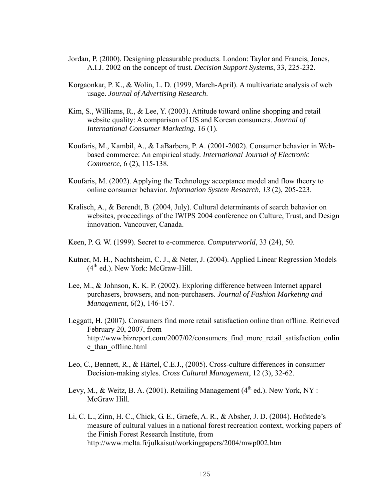- Jordan, P. (2000). Designing pleasurable products. London: Taylor and Francis, Jones, A.I.J. 2002 on the concept of trust. *Decision Support Systems*, 33, 225-232.
- Korgaonkar, P. K., & Wolin, L. D. (1999, March-April). A multivariate analysis of web usage. *Journal of Advertising Research*.
- Kim, S., Williams, R., & Lee, Y. (2003). Attitude toward online shopping and retail website quality: A comparison of US and Korean consumers. *Journal of International Consumer Marketing*, *16* (1).
- Koufaris, M., Kambil, A., & LaBarbera, P. A. (2001-2002). Consumer behavior in Webbased commerce: An empirical study. *International Journal of Electronic Commerce,* 6 (2), 115-138.
- Koufaris, M. (2002). Applying the Technology acceptance model and flow theory to online consumer behavior*. Information System Research*, *13* (2), 205-223.
- Kralisch, A., & Berendt, B. (2004, July). Cultural determinants of search behavior on websites, proceedings of the IWIPS 2004 conference on Culture, Trust, and Design innovation. Vancouver, Canada.
- Keen, P. G. W. (1999). Secret to e-commerce. *Computerworld*, 33 (24), 50.
- Kutner, M. H., Nachtsheim, C. J., & Neter, J. (2004). Applied Linear Regression Models  $(4<sup>th</sup>$  ed.). New York: McGraw-Hill.
- Lee, M., & Johnson, K. K. P. (2002). Exploring difference between Internet apparel purchasers, browsers, and non-purchasers. *Journal of Fashion Marketing and Management*, *6*(2), 146-157.
- Leggatt, H. (2007). Consumers find more retail satisfaction online than offline. Retrieved February 20, 2007, from http://www.bizreport.com/2007/02/consumers find more retail satisfaction onlin [e\\_than\\_offline.html](http://www.bizreport.com/2007/02/consumers_find_more_retail_satisfaction_online_than_offline.html)
- Leo, C., Bennett, R., & Härtel, C.E.J., (2005). Cross-culture differences in consumer Decision-making styles. *Cross Cultural Management*, 12 (3), 32-62.
- Levy, M., & Weitz, B. A. (2001). Retailing Management  $(4<sup>th</sup>$  ed.). New York, NY : McGraw Hill.
- Li, C. L., Zinn, H. C., Chick, G. E., Graefe, A. R., & Absher, J. D. (2004). Hofstede's measure of cultural values in a national forest recreation context, working papers of the Finish Forest Research Institute, from <http://www.melta.fi/julkaisut/workingpapers/2004/mwp002.htm>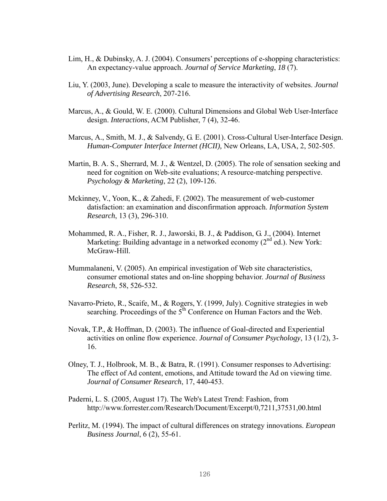- Lim, H., & Dubinsky, A. J. (2004). Consumers' perceptions of e-shopping characteristics: An expectancy-value approach. *Journal of Service Marketing*, *18* (7).
- Liu, Y. (2003, June). Developing a scale to measure the interactivity of websites. *Journal of Advertising Research*, 207-216.
- Marcus, A., & Gould, W. E. (2000). Cultural Dimensions and Global Web User-Interface design. *Interactions*, ACM Publisher, 7 (4), 32-46.
- Marcus, A., Smith, M. J., & Salvendy, G. E. (2001). Cross-Cultural User-Interface Design. *Human-Computer Interface Internet (HCII),* New Orleans, LA, USA, 2, 502-505.
- Martin, B. A. S., Sherrard, M. J., & Wentzel, D. (2005). The role of sensation seeking and need for cognition on Web-site evaluations; A resource-matching perspective. *Psychology & Marketing*, 22 (2), 109-126.
- Mckinney, V., Yoon, K., & Zahedi, F. (2002). The measurement of web-customer datisfaction: an examination and disconfirmation approach. *Information System Research*, 13 (3), 296-310.
- Mohammed, R. A., Fisher, R. J., Jaworski, B. J., & Paddison, G. J., (2004). Internet Marketing: Building advantage in a networked economy  $(2^{nd}$  ed.). New York: McGraw-Hill.
- Mummalaneni, V. (2005). An empirical investigation of Web site characteristics, consumer emotional states and on-line shopping behavior. *Journal of Business Research*, 58, 526-532.
- Navarro-Prieto, R., Scaife, M., & Rogers, Y. (1999, July). Cognitive strategies in web searching. Proceedings of the  $5<sup>th</sup>$  Conference on Human Factors and the Web.
- Novak, T.P., & Hoffman, D. (2003). The influence of Goal-directed and Experiential activities on online flow experience. *Journal of Consumer Psychology*, 13 (1/2), 3- 16.
- Olney, T. J., Holbrook, M. B., & Batra, R. (1991). Consumer responses to Advertising: The effect of Ad content, emotions, and Attitude toward the Ad on viewing time. *Journal of Consumer Research*, 17, 440-453.
- Paderni, L. S. (2005, August 17). The Web's Latest Trend: Fashion, from http://www.forrester.com/Research/Document/Excerpt/0,7211,37531,00.html
- Perlitz, M. (1994). The impact of cultural differences on strategy innovations. *European Business Journal*, 6 (2), 55-61.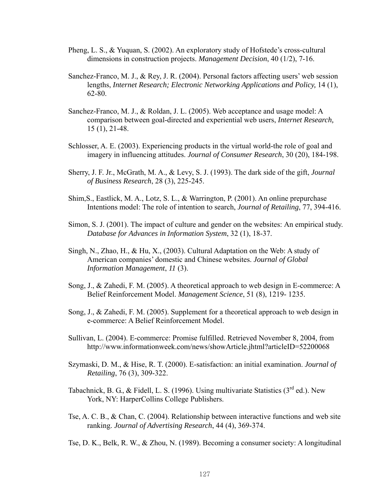- Pheng, L. S., & Yuquan, S. (2002). An exploratory study of Hofstede's cross-cultural dimensions in construction projects. *Management Decision*, 40 (1/2), 7-16.
- Sanchez-Franco, M. J., & Rey, J. R. (2004). Personal factors affecting users' web session lengths, *Internet Research; Electronic Networking Applications and Policy,* 14 (1), 62-80.
- Sanchez-Franco, M. J., & Roldan, J. L. (2005). Web acceptance and usage model: A comparison between goal-directed and experiential web users, *Internet Research,*  15 (1), 21-48.
- Schlosser, A. E. (2003). Experiencing products in the virtual world-the role of goal and imagery in influencing attitudes. *Journal of Consumer Research*, 30 (20), 184-198.
- Sherry, J. F. Jr., McGrath, M. A., & Levy, S. J. (1993). The dark side of the gift, *Journal of Business Research*, 28 (3), 225-245.
- Shim,S., Eastlick, M. A., Lotz, S. L., & Warrington, P. (2001). An online prepurchase Intentions model: The role of intention to search, *Journal of Retailing*, 77, 394-416.
- Simon, S. J. (2001). The impact of culture and gender on the websites: An empirical study. *Database for Advances in Information System*, 32 (1), 18-37.
- Singh, N., Zhao, H., & Hu, X., (2003). Cultural Adaptation on the Web: A study of American companies' domestic and Chinese websites. *Journal of Global Information Management*, *11* (3).
- Song, J., & Zahedi, F. M. (2005). A theoretical approach to web design in E-commerce: A Belief Reinforcement Model. *Management Science*, 51 (8), 1219- 1235.
- Song, J., & Zahedi, F. M. (2005). Supplement for a theoretical approach to web design in e-commerce: A Belief Reinforcement Model.
- Sullivan, L. (2004). E-commerce: Promise fulfilled. Retrieved November 8, 2004, from <http://www.informationweek.com/news/showArticle.jhtml?articleID=52200068>
- Szymaski, D. M., & Hise, R. T. (2000). E-satisfaction: an initial examination. *Journal of Retailing*, 76 (3), 309-322.
- Tabachnick, B. G., & Fidell, L. S. (1996). Using multivariate Statistics ( $3<sup>rd</sup>$  ed.). New York, NY: HarperCollins College Publishers.
- Tse, A. C. B., & Chan, C. (2004). Relationship between interactive functions and web site ranking. *Journal of Advertising Research*, 44 (4), 369-374.
- Tse, D. K., Belk, R. W., & Zhou, N. (1989). Becoming a consumer society: A longitudinal